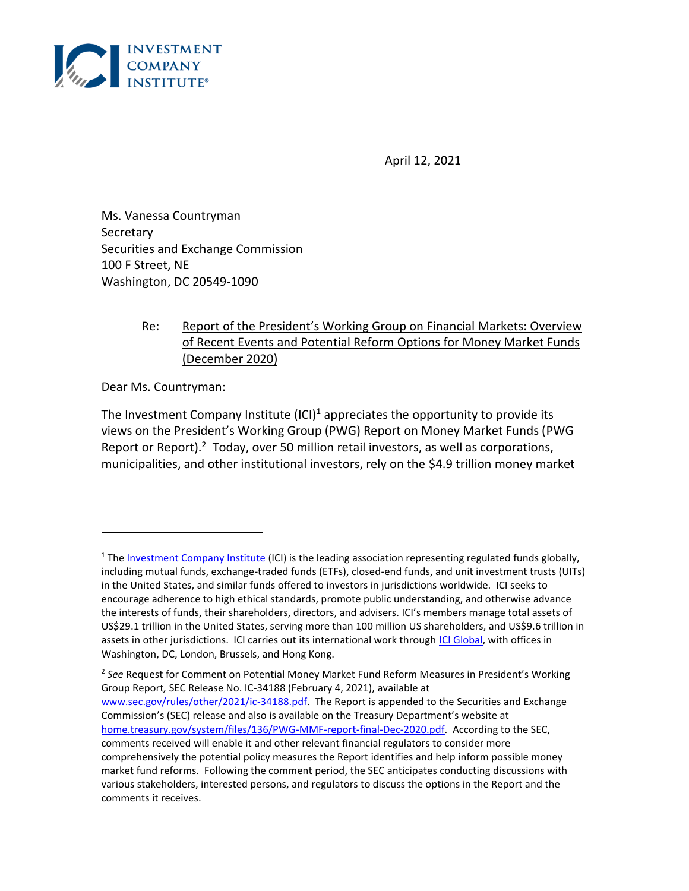

April 12, 2021

Ms. Vanessa Countryman **Secretary** Securities and Exchange Commission 100 F Street, NE Washington, DC 20549-1090

## Re: Report of the President's Working Group on Financial Markets: Overview of Recent Events and Potential Reform Options for Money Market Funds (December 2020)

Dear Ms. Countryman:

The Investment Company Institute  $(ICI)^1$  appreciates the opportunity to provide its views on the President's Working Group (PWG) Report on Money Market Funds (PWG Report or Report). $2$  Today, over 50 million retail investors, as well as corporations, municipalities, and other institutional investors, rely on the \$4.9 trillion money market

<sup>&</sup>lt;sup>1</sup> The [Investment Company Institute](https://www.ici.org/) (ICI) is the leading association representing regulated funds globally, including mutual funds, exchange-traded funds (ETFs), closed-end funds, and unit investment trusts (UITs) in the United States, and similar funds offered to investors in jurisdictions worldwide. ICI seeks to encourage adherence to high ethical standards, promote public understanding, and otherwise advance the interests of funds, their shareholders, directors, and advisers. ICI's members manage total assets of US\$29.1 trillion in the United States, serving more than 100 million US shareholders, and US\$9.6 trillion in assets in other jurisdictions. ICI carries out its international work through [ICI Global,](https://www.iciglobal.org/iciglobal) with offices in Washington, DC, London, Brussels, and Hong Kong.

<sup>2</sup> *See* Request for Comment on Potential Money Market Fund Reform Measures in President's Working Group Report*,* SEC Release No. IC-34188 (February 4, 2021), available at [www.sec.gov/rules/other/2021/ic-34188.pdf.](http://www.sec.gov/rules/other/2021/ic-34188.pdf) The Report is appended to the Securities and Exchange Commission's (SEC) release and also is available on the Treasury Department's website at [home.treasury.gov/system/files/136/PWG-MMF-report-final-Dec-2020.pdf.](http://home.treasury.gov/system/files/136/PWG-MMF-report-final-Dec-2020.pdf) According to the SEC, comments received will enable it and other relevant financial regulators to consider more comprehensively the potential policy measures the Report identifies and help inform possible money market fund reforms. Following the comment period, the SEC anticipates conducting discussions with various stakeholders, interested persons, and regulators to discuss the options in the Report and the comments it receives.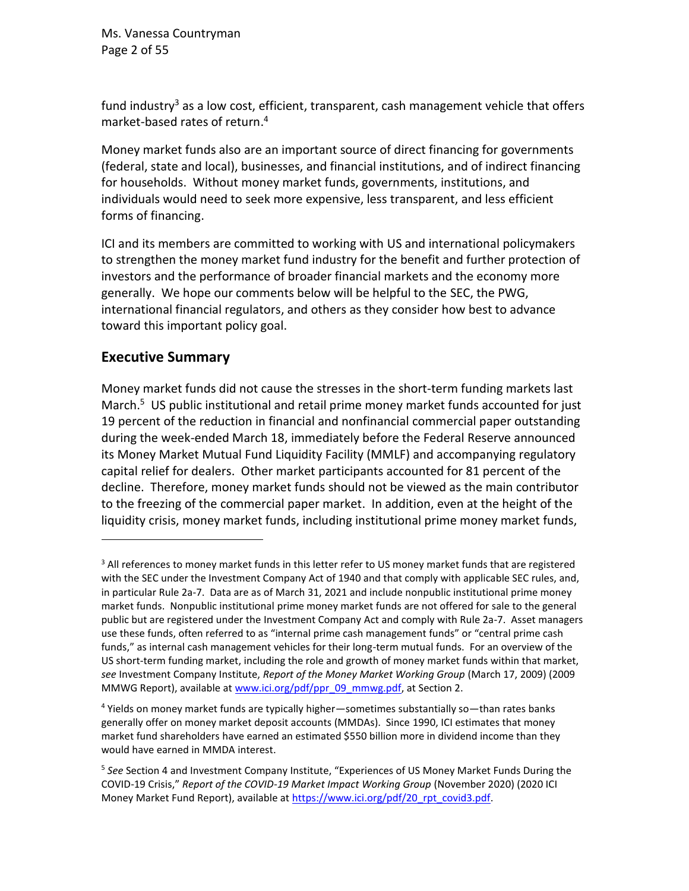Ms. Vanessa Countryman Page 2 of 55

<span id="page-1-0"></span>fund industry<sup>3</sup> as a low cost, efficient, transparent, cash management vehicle that offers market-based rates of return. 4

Money market funds also are an important source of direct financing for governments (federal, state and local), businesses, and financial institutions, and of indirect financing for households. Without money market funds, governments, institutions, and individuals would need to seek more expensive, less transparent, and less efficient forms of financing.

ICI and its members are committed to working with US and international policymakers to strengthen the money market fund industry for the benefit and further protection of investors and the performance of broader financial markets and the economy more generally. We hope our comments below will be helpful to the SEC, the PWG, international financial regulators, and others as they consider how best to advance toward this important policy goal.

## **Executive Summary**

<span id="page-1-1"></span>Money market funds did not cause the stresses in the short-term funding markets last March.<sup>5</sup> US public institutional and retail prime money market funds accounted for just 19 percent of the reduction in financial and nonfinancial commercial paper outstanding during the week-ended March 18, immediately before the Federal Reserve announced its Money Market Mutual Fund Liquidity Facility (MMLF) and accompanying regulatory capital relief for dealers. Other market participants accounted for 81 percent of the decline. Therefore, money market funds should not be viewed as the main contributor to the freezing of the commercial paper market. In addition, even at the height of the liquidity crisis, money market funds, including institutional prime money market funds,

<sup>&</sup>lt;sup>3</sup> All references to money market funds in this letter refer to US money market funds that are registered with the SEC under the Investment Company Act of 1940 and that comply with applicable SEC rules, and, in particular Rule 2a-7. Data are as of March 31, 2021 and include nonpublic institutional prime money market funds. Nonpublic institutional prime money market funds are not offered for sale to the general public but are registered under the Investment Company Act and comply with Rule 2a-7. Asset managers use these funds, often referred to as "internal prime cash management funds" or "central prime cash funds," as internal cash management vehicles for their long-term mutual funds. For an overview of the US short-term funding market, including the role and growth of money market funds within that market, *see* Investment Company Institute, *Report of the Money Market Working Group* (March 17, 2009) (2009 MMWG Report), available at [www.ici.org/pdf/ppr\\_09\\_mmwg.pdf,](http://www.ici.org/pdf/ppr_09_mmwg.pdf) at Section 2.

<sup>4</sup> Yields on money market funds are typically higher—sometimes substantially so—than rates banks generally offer on money market deposit accounts (MMDAs). Since 1990, ICI estimates that money market fund shareholders have earned an estimated \$550 billion more in dividend income than they would have earned in MMDA interest.

<sup>5</sup> *See* Section [4](#page-37-0) and Investment Company Institute, "Experiences of US Money Market Funds During the COVID-19 Crisis," *Report of the COVID-19 Market Impact Working Group* (November 2020) (2020 ICI Money Market Fund Report), available a[t https://www.ici.org/pdf/20\\_rpt\\_covid3.pdf.](https://www.ici.org/pdf/20_rpt_covid3.pdf)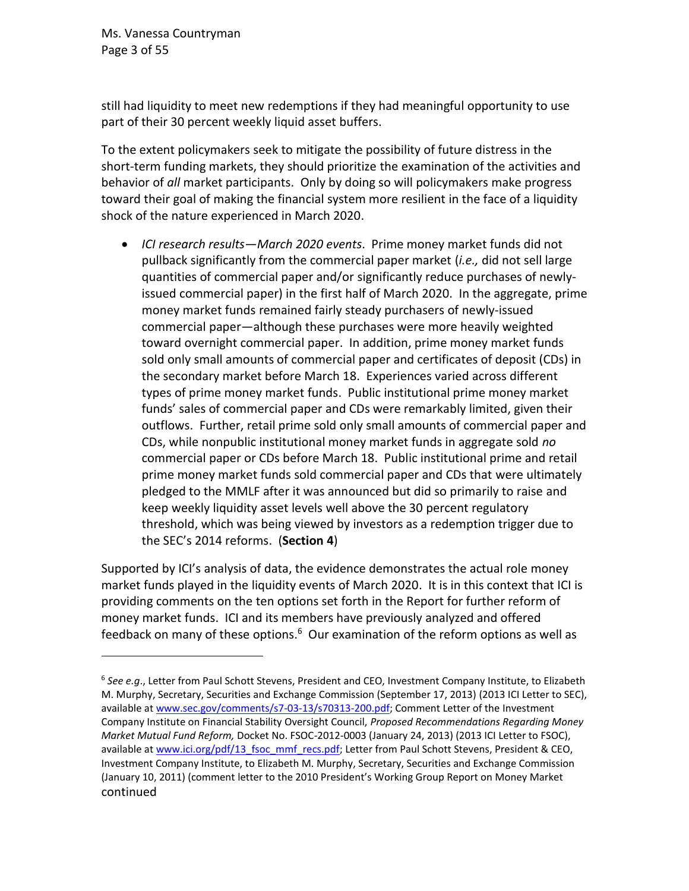Ms. Vanessa Countryman Page 3 of 55

still had liquidity to meet new redemptions if they had meaningful opportunity to use part of their 30 percent weekly liquid asset buffers.

To the extent policymakers seek to mitigate the possibility of future distress in the short-term funding markets, they should prioritize the examination of the activities and behavior of *all* market participants. Only by doing so will policymakers make progress toward their goal of making the financial system more resilient in the face of a liquidity shock of the nature experienced in March 2020.

• *ICI research results—March 2020 events*. Prime money market funds did not pullback significantly from the commercial paper market (*i.e.,* did not sell large quantities of commercial paper and/or significantly reduce purchases of newlyissued commercial paper) in the first half of March 2020. In the aggregate, prime money market funds remained fairly steady purchasers of newly-issued commercial paper—although these purchases were more heavily weighted toward overnight commercial paper. In addition, prime money market funds sold only small amounts of commercial paper and certificates of deposit (CDs) in the secondary market before March 18. Experiences varied across different types of prime money market funds. Public institutional prime money market funds' sales of commercial paper and CDs were remarkably limited, given their outflows. Further, retail prime sold only small amounts of commercial paper and CDs, while nonpublic institutional money market funds in aggregate sold *no* commercial paper or CDs before March 18. Public institutional prime and retail prime money market funds sold commercial paper and CDs that were ultimately pledged to the MMLF after it was announced but did so primarily to raise and keep weekly liquidity asset levels well above the 30 percent regulatory threshold, which was being viewed by investors as a redemption trigger due to the SEC's 2014 reforms. (**Section [4](#page-37-0)**)

Supported by ICI's analysis of data, the evidence demonstrates the actual role money market funds played in the liquidity events of March 2020. It is in this context that ICI is providing comments on the ten options set forth in the Report for further reform of money market funds. ICI and its members have previously analyzed and offered feedback on many of these options.<sup>6</sup> Our examination of the reform options as well as

<span id="page-2-0"></span><sup>6</sup> *See e.g*., Letter from Paul Schott Stevens, President and CEO, Investment Company Institute, to Elizabeth M. Murphy, Secretary, Securities and Exchange Commission (September 17, 2013) (2013 ICI Letter to SEC), available a[t www.sec.gov/comments/s7-03-13/s70313-200.pdf;](http://www.sec.gov/comments/s7-03-13/s70313-200.pdf) Comment Letter of the Investment Company Institute on Financial Stability Oversight Council, *Proposed Recommendations Regarding Money Market Mutual Fund Reform,* Docket No. FSOC-2012-0003 (January 24, 2013) (2013 ICI Letter to FSOC), available a[t www.ici.org/pdf/13\\_fsoc\\_mmf\\_recs.pdf;](http://www.ici.org/pdf/13_fsoc_mmf_recs.pdf) Letter from Paul Schott Stevens, President & CEO, Investment Company Institute, to Elizabeth M. Murphy, Secretary, Securities and Exchange Commission (January 10, 2011) (comment letter to the 2010 President's Working Group Report on Money Market continued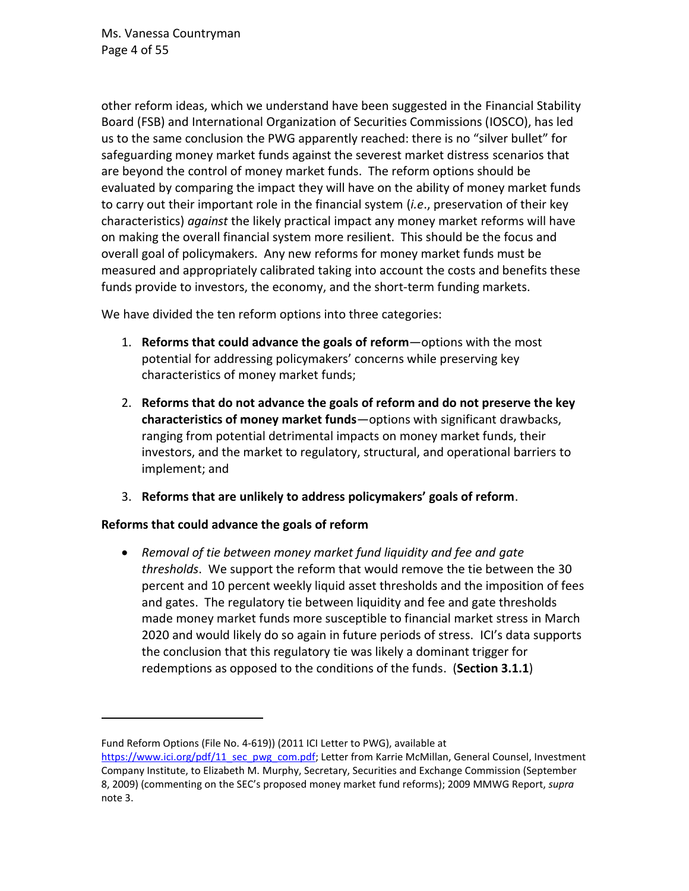Ms. Vanessa Countryman Page 4 of 55

other reform ideas, which we understand have been suggested in the Financial Stability Board (FSB) and International Organization of Securities Commissions (IOSCO), has led us to the same conclusion the PWG apparently reached: there is no "silver bullet" for safeguarding money market funds against the severest market distress scenarios that are beyond the control of money market funds. The reform options should be evaluated by comparing the impact they will have on the ability of money market funds to carry out their important role in the financial system (*i.e*., preservation of their key characteristics) *against* the likely practical impact any money market reforms will have on making the overall financial system more resilient. This should be the focus and overall goal of policymakers. Any new reforms for money market funds must be measured and appropriately calibrated taking into account the costs and benefits these funds provide to investors, the economy, and the short-term funding markets.

We have divided the ten reform options into three categories:

- 1. **Reforms that could advance the goals of reform**—options with the most potential for addressing policymakers' concerns while preserving key characteristics of money market funds;
- 2. **Reforms that do not advance the goals of reform and do not preserve the key characteristics of money market funds**—options with significant drawbacks, ranging from potential detrimental impacts on money market funds, their investors, and the market to regulatory, structural, and operational barriers to implement; and
- 3. **Reforms that are unlikely to address policymakers' goals of reform**.

### **Reforms that could advance the goals of reform**

• *Removal of tie between money market fund liquidity and fee and gate thresholds*. We support the reform that would remove the tie between the 30 percent and 10 percent weekly liquid asset thresholds and the imposition of fees and gates. The regulatory tie between liquidity and fee and gate thresholds made money market funds more susceptible to financial market stress in March 2020 and would likely do so again in future periods of stress. ICI's data supports the conclusion that this regulatory tie was likely a dominant trigger for redemptions as opposed to the conditions of the funds. (**Section [3.1.1](#page-10-0)**)

Fund Reform Options (File No. 4-619)) (2011 ICI Letter to PWG), available at

[https://www.ici.org/pdf/11\\_sec\\_pwg\\_com.pdf;](https://www.ici.org/pdf/11_sec_pwg_com.pdf) Letter from Karrie McMillan, General Counsel, Investment Company Institute, to Elizabeth M. Murphy, Secretary, Securities and Exchange Commission (September 8, 2009) (commenting on the SEC's proposed money market fund reforms); 2009 MMWG Report, *supra* note [3.](#page-1-0)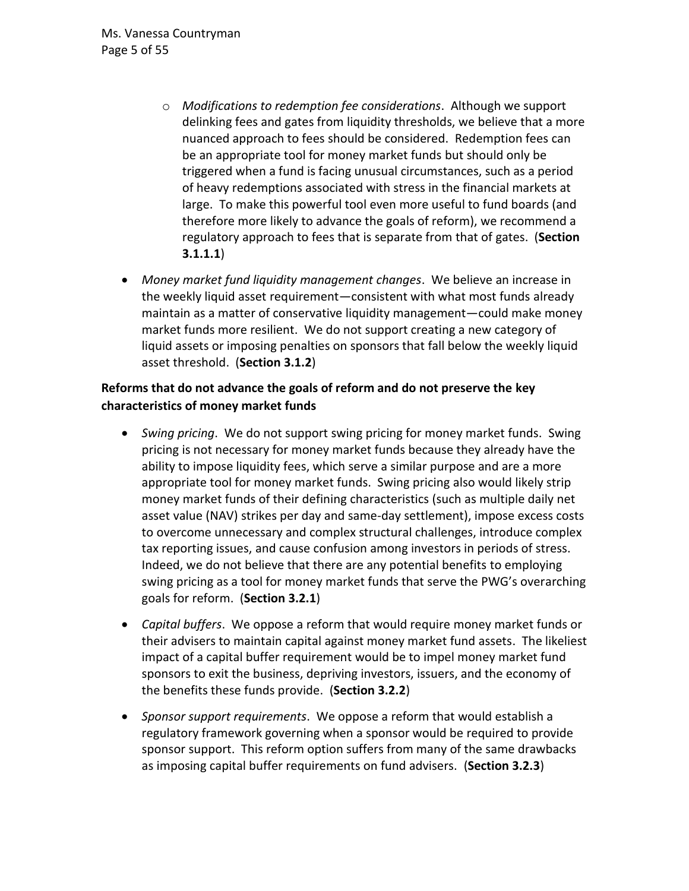- o *Modifications to redemption fee considerations*. Although we support delinking fees and gates from liquidity thresholds, we believe that a more nuanced approach to fees should be considered. Redemption fees can be an appropriate tool for money market funds but should only be triggered when a fund is facing unusual circumstances, such as a period of heavy redemptions associated with stress in the financial markets at large. To make this powerful tool even more useful to fund boards (and therefore more likely to advance the goals of reform), we recommend a regulatory approach to fees that is separate from that of gates. (**Section [3.1.1.1](#page-14-0)**)
- *Money market fund liquidity management changes*. We believe an increase in the weekly liquid asset requirement—consistent with what most funds already maintain as a matter of conservative liquidity management—could make money market funds more resilient. We do not support creating a new category of liquid assets or imposing penalties on sponsors that fall below the weekly liquid asset threshold. (**Section [3.1.2](#page-15-0)**)

## **Reforms that do not advance the goals of reform and do not preserve the key characteristics of money market funds**

- *Swing pricing*. We do not support swing pricing for money market funds. Swing pricing is not necessary for money market funds because they already have the ability to impose liquidity fees, which serve a similar purpose and are a more appropriate tool for money market funds. Swing pricing also would likely strip money market funds of their defining characteristics (such as multiple daily net asset value (NAV) strikes per day and same-day settlement), impose excess costs to overcome unnecessary and complex structural challenges, introduce complex tax reporting issues, and cause confusion among investors in periods of stress. Indeed, we do not believe that there are any potential benefits to employing swing pricing as a tool for money market funds that serve the PWG's overarching goals for reform. (**Section [3.2.1](#page-17-0)**)
- *Capital buffers*. We oppose a reform that would require money market funds or their advisers to maintain capital against money market fund assets. The likeliest impact of a capital buffer requirement would be to impel money market fund sponsors to exit the business, depriving investors, issuers, and the economy of the benefits these funds provide. (**Section [3.2.2](#page-23-0)**)
- *Sponsor support requirements*. We oppose a reform that would establish a regulatory framework governing when a sponsor would be required to provide sponsor support. This reform option suffers from many of the same drawbacks as imposing capital buffer requirements on fund advisers. (**Section [3.2.3](#page-28-0)**)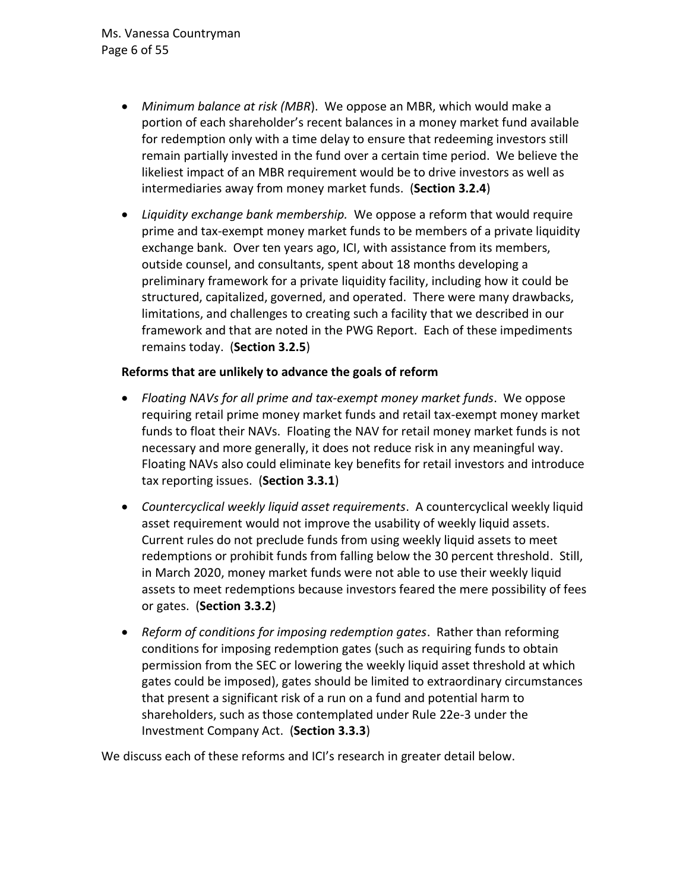- *Minimum balance at risk (MBR*). We oppose an MBR, which would make a portion of each shareholder's recent balances in a money market fund available for redemption only with a time delay to ensure that redeeming investors still remain partially invested in the fund over a certain time period. We believe the likeliest impact of an MBR requirement would be to drive investors as well as intermediaries away from money market funds. (**Section [3.2.4](#page-29-0)**)
- *Liquidity exchange bank membership.* We oppose a reform that would require prime and tax-exempt money market funds to be members of a private liquidity exchange bank. Over ten years ago, ICI, with assistance from its members, outside counsel, and consultants, spent about 18 months developing a preliminary framework for a private liquidity facility, including how it could be structured, capitalized, governed, and operated. There were many drawbacks, limitations, and challenges to creating such a facility that we described in our framework and that are noted in the PWG Report. Each of these impediments remains today. (**Section [3.2.5](#page-32-0)**)

#### **Reforms that are unlikely to advance the goals of reform**

- *Floating NAVs for all prime and tax-exempt money market funds*. We oppose requiring retail prime money market funds and retail tax-exempt money market funds to float their NAVs. Floating the NAV for retail money market funds is not necessary and more generally, it does not reduce risk in any meaningful way. Floating NAVs also could eliminate key benefits for retail investors and introduce tax reporting issues. (**Sectio[n 3.3.1](#page-33-0)**)
- *Countercyclical weekly liquid asset requirements*. A countercyclical weekly liquid asset requirement would not improve the usability of weekly liquid assets. Current rules do not preclude funds from using weekly liquid assets to meet redemptions or prohibit funds from falling below the 30 percent threshold. Still, in March 2020, money market funds were not able to use their weekly liquid assets to meet redemptions because investors feared the mere possibility of fees or gates. (**Section [3.3.2](#page-36-0)**)
- *Reform of conditions for imposing redemption gates*. Rather than reforming conditions for imposing redemption gates (such as requiring funds to obtain permission from the SEC or lowering the weekly liquid asset threshold at which gates could be imposed), gates should be limited to extraordinary circumstances that present a significant risk of a run on a fund and potential harm to shareholders, such as those contemplated under Rule 22e-3 under the Investment Company Act. (**Section [3.3.3](#page-36-1)**)

We discuss each of these reforms and ICI's research in greater detail below.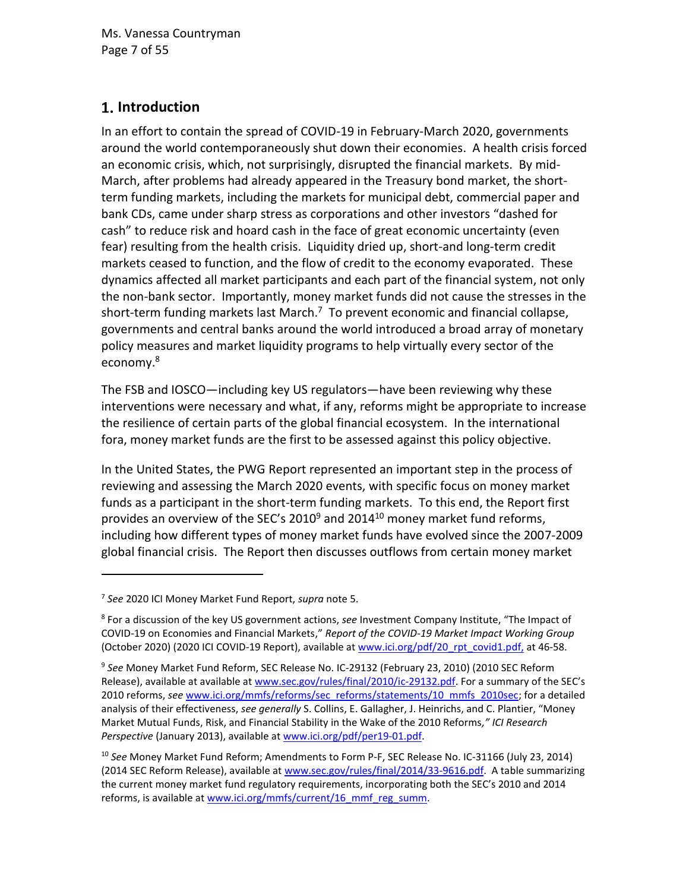# 1. Introduction

In an effort to contain the spread of COVID-19 in February-March 2020, governments around the world contemporaneously shut down their economies. A health crisis forced an economic crisis, which, not surprisingly, disrupted the financial markets. By mid-March, after problems had already appeared in the Treasury bond market, the shortterm funding markets, including the markets for municipal debt, commercial paper and bank CDs, came under sharp stress as corporations and other investors "dashed for cash" to reduce risk and hoard cash in the face of great economic uncertainty (even fear) resulting from the health crisis. Liquidity dried up, short-and long-term credit markets ceased to function, and the flow of credit to the economy evaporated. These dynamics affected all market participants and each part of the financial system, not only the non-bank sector. Importantly, money market funds did not cause the stresses in the short-term funding markets last March.<sup>7</sup> To prevent economic and financial collapse, governments and central banks around the world introduced a broad array of monetary policy measures and market liquidity programs to help virtually every sector of the economy. 8

<span id="page-6-2"></span>The FSB and IOSCO—including key US regulators—have been reviewing why these interventions were necessary and what, if any, reforms might be appropriate to increase the resilience of certain parts of the global financial ecosystem. In the international fora, money market funds are the first to be assessed against this policy objective.

<span id="page-6-1"></span><span id="page-6-0"></span>In the United States, the PWG Report represented an important step in the process of reviewing and assessing the March 2020 events, with specific focus on money market funds as a participant in the short-term funding markets. To this end, the Report first provides an overview of the SEC's 2010<sup>9</sup> and 2014<sup>10</sup> money market fund reforms, including how different types of money market funds have evolved since the 2007-2009 global financial crisis. The Report then discusses outflows from certain money market

<sup>7</sup> *See* 2020 ICI Money Market Fund Report, *supra* note [5.](#page-1-1)

<sup>8</sup> For a discussion of the key US government actions, *see* Investment Company Institute, "The Impact of COVID-19 on Economies and Financial Markets," *Report of the COVID-19 Market Impact Working Group* (October 2020) (2020 ICI COVID-19 Report), available at [www.ici.org/pdf/20\\_rpt\\_covid1.pdf,](http://www.ici.org/pdf/20_rpt_covid1.pdf) at 46-58.

<sup>9</sup> *See* Money Market Fund Reform, SEC Release No. IC-29132 (February 23, 2010) (2010 SEC Reform Release), available at available a[t www.sec.gov/rules/final/2010/ic-29132.pdf.](http://www.sec.gov/rules/final/2010/ic-29132.pdf) For a summary of the SEC's 2010 reforms, see [www.ici.org/mmfs/reforms/sec\\_reforms/statements/10\\_mmfs\\_2010sec;](http://www.ici.org/mmfs/reforms/sec_reforms/statements/10_mmfs_2010sec) for a detailed analysis of their effectiveness, *see generally* S. Collins, E. Gallagher, J. Heinrichs, and C. Plantier, "Money Market Mutual Funds, Risk, and Financial Stability in the Wake of the 2010 Reforms*," ICI Research*  Perspective (January 2013), available at [www.ici.org/pdf/per19-01.pdf.](http://www.ici.org/pdf/per19-01.pdf)

<sup>10</sup> *See* Money Market Fund Reform; Amendments to Form P-F, SEC Release No. IC-31166 (July 23, 2014) (2014 SEC Reform Release), available at [www.sec.gov/rules/final/2014/33-9616.pdf.](http://www.sec.gov/rules/final/2014/33-9616.pdf) A table summarizing the current money market fund regulatory requirements, incorporating both the SEC's 2010 and 2014 reforms, is available at [www.ici.org/mmfs/current/16\\_mmf\\_reg\\_summ.](http://www.ici.org/mmfs/current/16_mmf_reg_summ)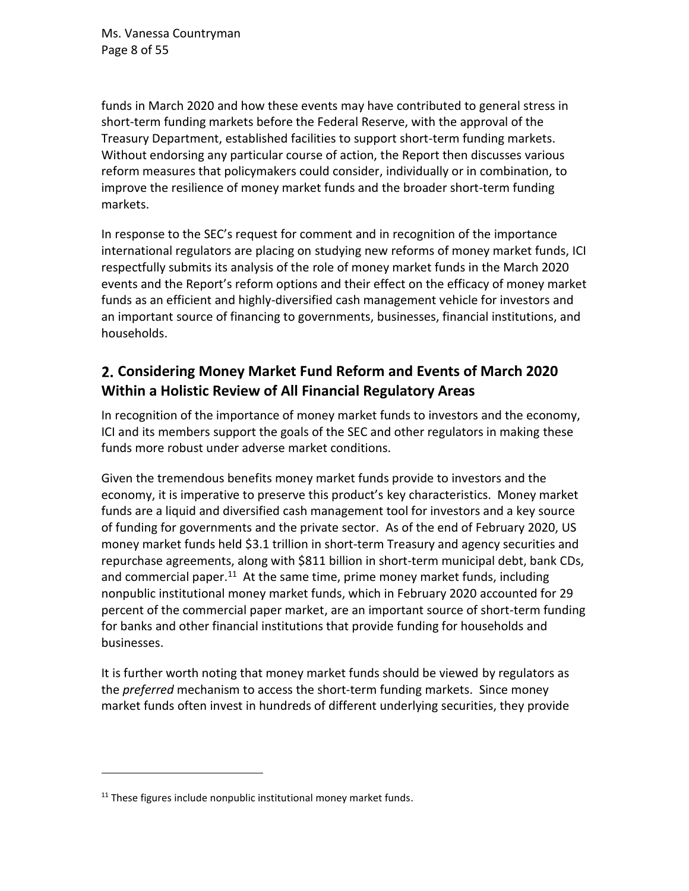Ms. Vanessa Countryman Page 8 of 55

funds in March 2020 and how these events may have contributed to general stress in short-term funding markets before the Federal Reserve, with the approval of the Treasury Department, established facilities to support short-term funding markets. Without endorsing any particular course of action, the Report then discusses various reform measures that policymakers could consider, individually or in combination, to improve the resilience of money market funds and the broader short-term funding markets.

In response to the SEC's request for comment and in recognition of the importance international regulators are placing on studying new reforms of money market funds, ICI respectfully submits its analysis of the role of money market funds in the March 2020 events and the Report's reform options and their effect on the efficacy of money market funds as an efficient and highly-diversified cash management vehicle for investors and an important source of financing to governments, businesses, financial institutions, and households.

# **Considering Money Market Fund Reform and Events of March 2020 Within a Holistic Review of All Financial Regulatory Areas**

In recognition of the importance of money market funds to investors and the economy, ICI and its members support the goals of the SEC and other regulators in making these funds more robust under adverse market conditions.

Given the tremendous benefits money market funds provide to investors and the economy, it is imperative to preserve this product's key characteristics. Money market funds are a liquid and diversified cash management tool for investors and a key source of funding for governments and the private sector. As of the end of February 2020, US money market funds held \$3.1 trillion in short-term Treasury and agency securities and repurchase agreements, along with \$811 billion in short-term municipal debt, bank CDs, and commercial paper.<sup>11</sup> At the same time, prime money market funds, including nonpublic institutional money market funds, which in February 2020 accounted for 29 percent of the commercial paper market, are an important source of short-term funding for banks and other financial institutions that provide funding for households and businesses.

It is further worth noting that money market funds should be viewed by regulators as the *preferred* mechanism to access the short-term funding markets. Since money market funds often invest in hundreds of different underlying securities, they provide

 $11$  These figures include nonpublic institutional money market funds.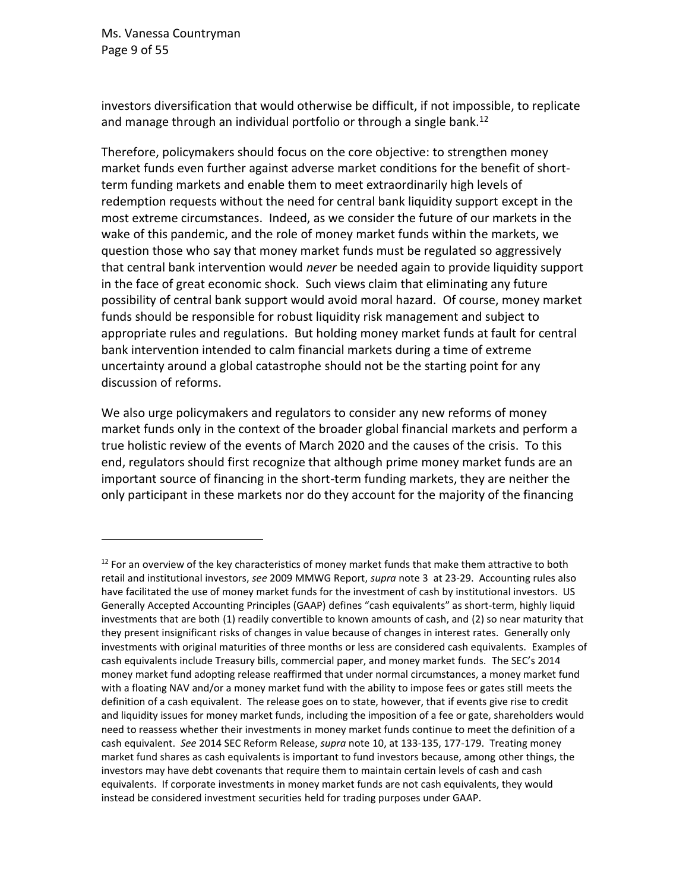Ms. Vanessa Countryman Page 9 of 55

investors diversification that would otherwise be difficult, if not impossible, to replicate and manage through an individual portfolio or through a single bank.<sup>12</sup>

Therefore, policymakers should focus on the core objective: to strengthen money market funds even further against adverse market conditions for the benefit of shortterm funding markets and enable them to meet extraordinarily high levels of redemption requests without the need for central bank liquidity support except in the most extreme circumstances. Indeed, as we consider the future of our markets in the wake of this pandemic, and the role of money market funds within the markets, we question those who say that money market funds must be regulated so aggressively that central bank intervention would *never* be needed again to provide liquidity support in the face of great economic shock. Such views claim that eliminating any future possibility of central bank support would avoid moral hazard. Of course, money market funds should be responsible for robust liquidity risk management and subject to appropriate rules and regulations. But holding money market funds at fault for central bank intervention intended to calm financial markets during a time of extreme uncertainty around a global catastrophe should not be the starting point for any discussion of reforms.

We also urge policymakers and regulators to consider any new reforms of money market funds only in the context of the broader global financial markets and perform a true holistic review of the events of March 2020 and the causes of the crisis. To this end, regulators should first recognize that although prime money market funds are an important source of financing in the short-term funding markets, they are neither the only participant in these markets nor do they account for the majority of the financing

 $12$  For an overview of the key characteristics of money market funds that make them attractive to both retail and institutional investors, *see* 2009 MMWG Report, *supra* not[e 3](#page-1-0) at 23-29. Accounting rules also have facilitated the use of money market funds for the investment of cash by institutional investors. US Generally Accepted Accounting Principles (GAAP) defines "cash equivalents" as short-term, highly liquid investments that are both (1) readily convertible to known amounts of cash, and (2) so near maturity that they present insignificant risks of changes in value because of changes in interest rates. Generally only investments with original maturities of three months or less are considered cash equivalents. Examples of cash equivalents include Treasury bills, commercial paper, and money market funds. The SEC's 2014 money market fund adopting release reaffirmed that under normal circumstances, a money market fund with a floating NAV and/or a money market fund with the ability to impose fees or gates still meets the definition of a cash equivalent. The release goes on to state, however, that if events give rise to credit and liquidity issues for money market funds, including the imposition of a fee or gate, shareholders would need to reassess whether their investments in money market funds continue to meet the definition of a cash equivalent. *See* 2014 SEC Reform Release, *supra* note [10,](#page-6-0) at 133-135, 177-179. Treating money market fund shares as cash equivalents is important to fund investors because, among other things, the investors may have debt covenants that require them to maintain certain levels of cash and cash equivalents. If corporate investments in money market funds are not cash equivalents, they would instead be considered investment securities held for trading purposes under GAAP.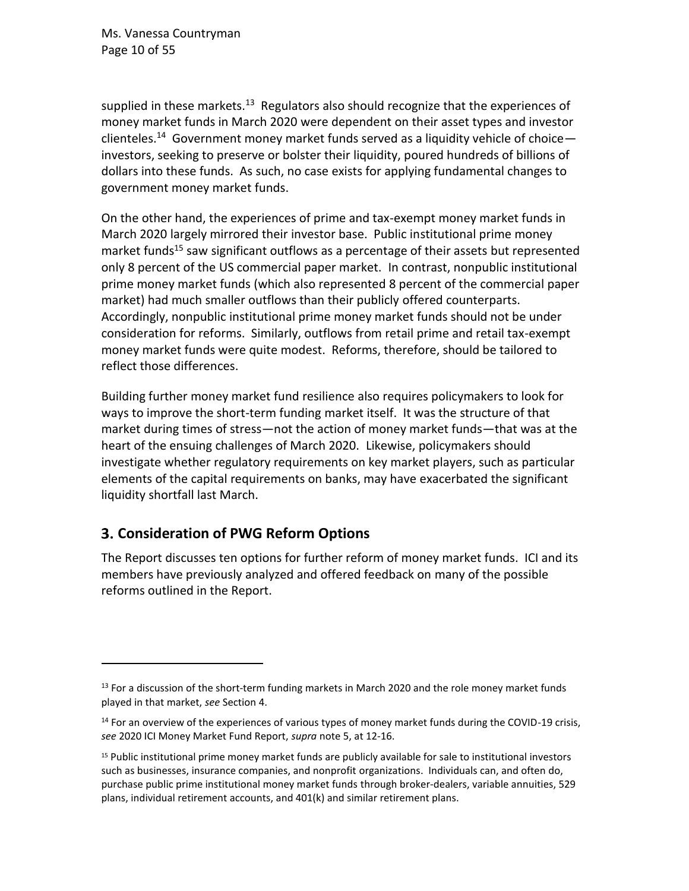Ms. Vanessa Countryman Page 10 of 55

supplied in these markets.<sup>13</sup> Regulators also should recognize that the experiences of money market funds in March 2020 were dependent on their asset types and investor clienteles.<sup>14</sup> Government money market funds served as a liquidity vehicle of choiceinvestors, seeking to preserve or bolster their liquidity, poured hundreds of billions of dollars into these funds. As such, no case exists for applying fundamental changes to government money market funds.

<span id="page-9-0"></span>On the other hand, the experiences of prime and tax-exempt money market funds in March 2020 largely mirrored their investor base. Public institutional prime money market funds<sup>15</sup> saw significant outflows as a percentage of their assets but represented only 8 percent of the US commercial paper market. In contrast, nonpublic institutional prime money market funds (which also represented 8 percent of the commercial paper market) had much smaller outflows than their publicly offered counterparts. Accordingly, nonpublic institutional prime money market funds should not be under consideration for reforms. Similarly, outflows from retail prime and retail tax-exempt money market funds were quite modest. Reforms, therefore, should be tailored to reflect those differences.

Building further money market fund resilience also requires policymakers to look for ways to improve the short-term funding market itself. It was the structure of that market during times of stress—not the action of money market funds—that was at the heart of the ensuing challenges of March 2020. Likewise, policymakers should investigate whether regulatory requirements on key market players, such as particular elements of the capital requirements on banks, may have exacerbated the significant liquidity shortfall last March.

# **Consideration of PWG Reform Options**

The Report discusses ten options for further reform of money market funds. ICI and its members have previously analyzed and offered feedback on many of the possible reforms outlined in the Report.

 $<sup>13</sup>$  For a discussion of the short-term funding markets in March 2020 and the role money market funds</sup> played in that market, *see* Section [4.](#page-37-0)

 $<sup>14</sup>$  For an overview of the experiences of various types of money market funds during the COVID-19 crisis,</sup> *see* 2020 ICI Money Market Fund Report, *supra* note [5,](#page-1-1) at 12-16.

<sup>15</sup> Public institutional prime money market funds are publicly available for sale to institutional investors such as businesses, insurance companies, and nonprofit organizations. Individuals can, and often do, purchase public prime institutional money market funds through broker-dealers, variable annuities, 529 plans, individual retirement accounts, and 401(k) and similar retirement plans.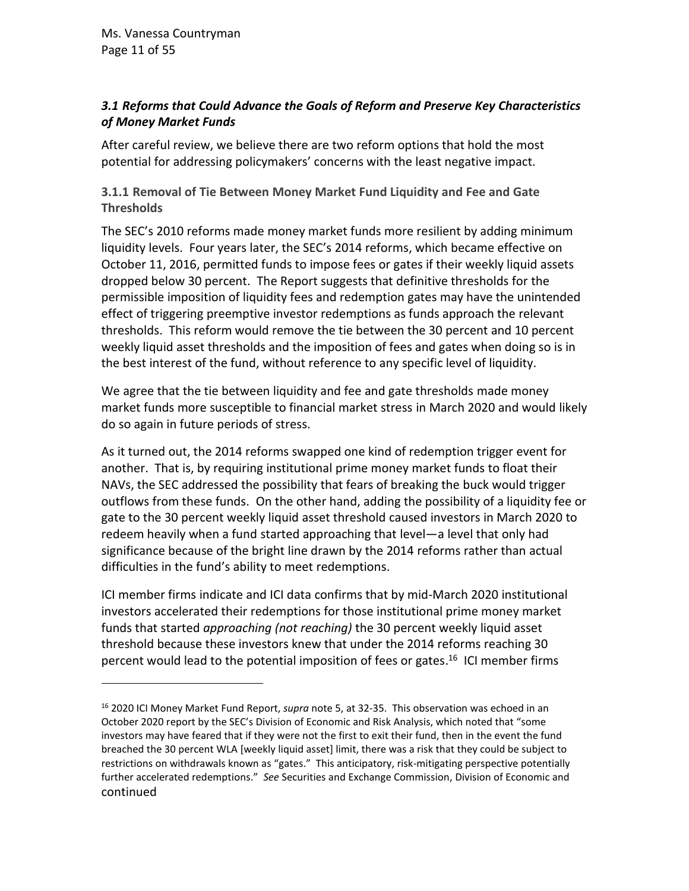## *3.1 Reforms that Could Advance the Goals of Reform and Preserve Key Characteristics of Money Market Funds*

After careful review, we believe there are two reform options that hold the most potential for addressing policymakers' concerns with the least negative impact.

<span id="page-10-0"></span>**3.1.1 Removal of Tie Between Money Market Fund Liquidity and Fee and Gate Thresholds**

The SEC's 2010 reforms made money market funds more resilient by adding minimum liquidity levels. Four years later, the SEC's 2014 reforms, which became effective on October 11, 2016, permitted funds to impose fees or gates if their weekly liquid assets dropped below 30 percent. The Report suggests that definitive thresholds for the permissible imposition of liquidity fees and redemption gates may have the unintended effect of triggering preemptive investor redemptions as funds approach the relevant thresholds. This reform would remove the tie between the 30 percent and 10 percent weekly liquid asset thresholds and the imposition of fees and gates when doing so is in the best interest of the fund, without reference to any specific level of liquidity.

We agree that the tie between liquidity and fee and gate thresholds made money market funds more susceptible to financial market stress in March 2020 and would likely do so again in future periods of stress.

As it turned out, the 2014 reforms swapped one kind of redemption trigger event for another. That is, by requiring institutional prime money market funds to float their NAVs, the SEC addressed the possibility that fears of breaking the buck would trigger outflows from these funds. On the other hand, adding the possibility of a liquidity fee or gate to the 30 percent weekly liquid asset threshold caused investors in March 2020 to redeem heavily when a fund started approaching that level—a level that only had significance because of the bright line drawn by the 2014 reforms rather than actual difficulties in the fund's ability to meet redemptions.

ICI member firms indicate and ICI data confirms that by mid-March 2020 institutional investors accelerated their redemptions for those institutional prime money market funds that started *approaching (not reaching)* the 30 percent weekly liquid asset threshold because these investors knew that under the 2014 reforms reaching 30 percent would lead to the potential imposition of fees or gates. <sup>16</sup> ICI member firms

<sup>16</sup> 2020 ICI Money Market Fund Report, *supra* note [5,](#page-1-1) at 32-35. This observation was echoed in an October 2020 report by the SEC's Division of Economic and Risk Analysis, which noted that "some investors may have feared that if they were not the first to exit their fund, then in the event the fund breached the 30 percent WLA [weekly liquid asset] limit, there was a risk that they could be subject to restrictions on withdrawals known as "gates." This anticipatory, risk-mitigating perspective potentially further accelerated redemptions." *See* Securities and Exchange Commission, Division of Economic and continued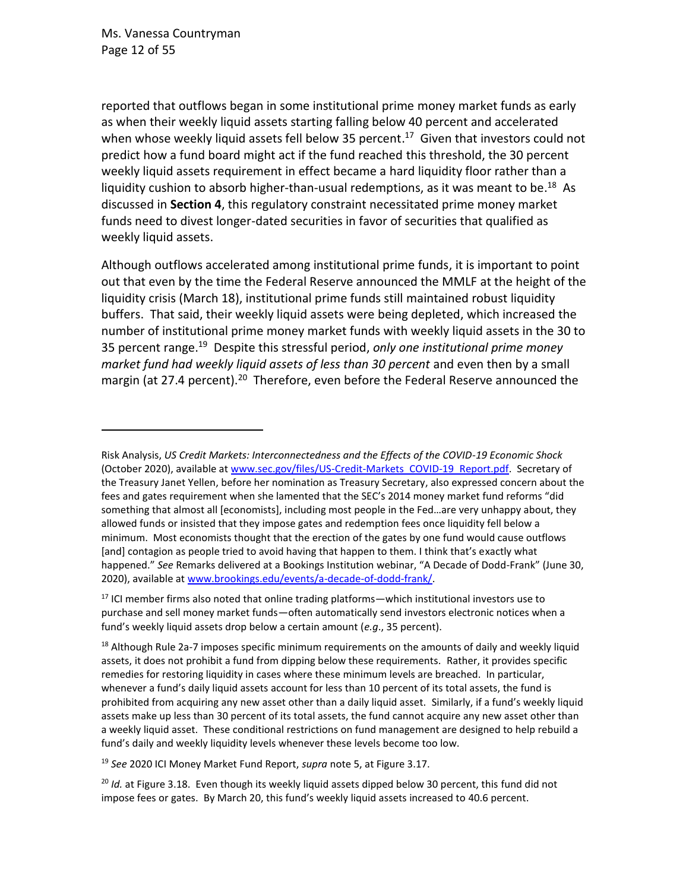reported that outflows began in some institutional prime money market funds as early as when their weekly liquid assets starting falling below 40 percent and accelerated when whose weekly liquid assets fell below 35 percent.<sup>17</sup> Given that investors could not predict how a fund board might act if the fund reached this threshold, the 30 percent weekly liquid assets requirement in effect became a hard liquidity floor rather than a liquidity cushion to absorb higher-than-usual redemptions, as it was meant to be.<sup>18</sup> As discussed in **Sectio[n 4](#page-37-0)**, this regulatory constraint necessitated prime money market funds need to divest longer-dated securities in favor of securities that qualified as weekly liquid assets.

Although outflows accelerated among institutional prime funds, it is important to point out that even by the time the Federal Reserve announced the MMLF at the height of the liquidity crisis (March 18), institutional prime funds still maintained robust liquidity buffers. That said, their weekly liquid assets were being depleted, which increased the number of institutional prime money market funds with weekly liquid assets in the 30 to 35 percent range.<sup>19</sup> Despite this stressful period, *only one institutional prime money market fund had weekly liquid assets of less than 30 percent* and even then by a small margin (at 27.4 percent).<sup>20</sup> Therefore, even before the Federal Reserve announced the

<sup>19</sup> *See* 2020 ICI Money Market Fund Report, *supra* note [5,](#page-1-1) at Figure 3.17.

Risk Analysis, *US Credit Markets: Interconnectedness and the Effects of the COVID-19 Economic Shock*  (October 2020), available at [www.sec.gov/files/US-Credit-Markets\\_COVID-19\\_Report.pdf.](http://www.sec.gov/files/US-Credit-Markets_COVID-19_Report.pdf) Secretary of the Treasury Janet Yellen, before her nomination as Treasury Secretary, also expressed concern about the fees and gates requirement when she lamented that the SEC's 2014 money market fund reforms "did something that almost all [economists], including most people in the Fed…are very unhappy about, they allowed funds or insisted that they impose gates and redemption fees once liquidity fell below a minimum. Most economists thought that the erection of the gates by one fund would cause outflows [and] contagion as people tried to avoid having that happen to them. I think that's exactly what happened." *See* Remarks delivered at a Bookings Institution webinar, "A Decade of Dodd-Frank" (June 30, 2020), available a[t www.brookings.edu/events/a-decade-of-dodd-frank/.](http://www.brookings.edu/events/a-decade-of-dodd-frank/)

 $17$  ICI member firms also noted that online trading platforms—which institutional investors use to purchase and sell money market funds—often automatically send investors electronic notices when a fund's weekly liquid assets drop below a certain amount (*e.g*., 35 percent).

 $18$  Although Rule 2a-7 imposes specific minimum requirements on the amounts of daily and weekly liquid assets, it does not prohibit a fund from dipping below these requirements. Rather, it provides specific remedies for restoring liquidity in cases where these minimum levels are breached. In particular, whenever a fund's daily liquid assets account for less than 10 percent of its total assets, the fund is prohibited from acquiring any new asset other than a daily liquid asset. Similarly, if a fund's weekly liquid assets make up less than 30 percent of its total assets, the fund cannot acquire any new asset other than a weekly liquid asset. These conditional restrictions on fund management are designed to help rebuild a fund's daily and weekly liquidity levels whenever these levels become too low.

<sup>&</sup>lt;sup>20</sup> Id. at Figure 3.18. Even though its weekly liquid assets dipped below 30 percent, this fund did not impose fees or gates. By March 20, this fund's weekly liquid assets increased to 40.6 percent.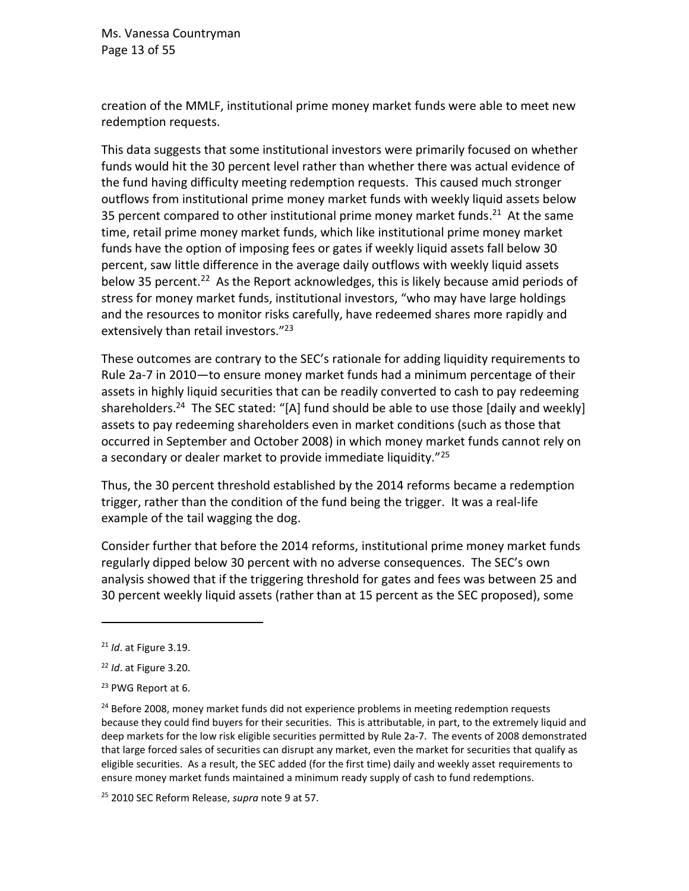Ms. Vanessa Countryman Page 13 of 55

creation of the MMLF, institutional prime money market funds were able to meet new redemption requests.

This data suggests that some institutional investors were primarily focused on whether funds would hit the 30 percent level rather than whether there was actual evidence of the fund having difficulty meeting redemption requests. This caused much stronger outflows from institutional prime money market funds with weekly liquid assets below 35 percent compared to other institutional prime money market funds.<sup>21</sup> At the same time, retail prime money market funds, which like institutional prime money market funds have the option of imposing fees or gates if weekly liquid assets fall below 30 percent, saw little difference in the average daily outflows with weekly liquid assets below 35 percent.<sup>22</sup> As the Report acknowledges, this is likely because amid periods of stress for money market funds, institutional investors, "who may have large holdings and the resources to monitor risks carefully, have redeemed shares more rapidly and extensively than retail investors."<sup>23</sup>

These outcomes are contrary to the SEC's rationale for adding liquidity requirements to Rule 2a-7 in 2010—to ensure money market funds had a minimum percentage of their assets in highly liquid securities that can be readily converted to cash to pay redeeming shareholders.<sup>24</sup> The SEC stated: "[A] fund should be able to use those [daily and weekly] assets to pay redeeming shareholders even in market conditions (such as those that occurred in September and October 2008) in which money market funds cannot rely on a secondary or dealer market to provide immediate liquidity."<sup>25</sup>

Thus, the 30 percent threshold established by the 2014 reforms became a redemption trigger, rather than the condition of the fund being the trigger. It was a real-life example of the tail wagging the dog.

Consider further that before the 2014 reforms, institutional prime money market funds regularly dipped below 30 percent with no adverse consequences. The SEC's own analysis showed that if the triggering threshold for gates and fees was between 25 and 30 percent weekly liquid assets (rather than at 15 percent as the SEC proposed), some

<sup>21</sup> *Id*. at Figure 3.19.

<sup>22</sup> *Id*. at Figure 3.20.

<sup>23</sup> PWG Report at 6.

<sup>&</sup>lt;sup>24</sup> Before 2008, money market funds did not experience problems in meeting redemption requests because they could find buyers for their securities. This is attributable, in part, to the extremely liquid and deep markets for the low risk eligible securities permitted by Rule 2a-7. The events of 2008 demonstrated that large forced sales of securities can disrupt any market, even the market for securities that qualify as eligible securities. As a result, the SEC added (for the first time) daily and weekly asset requirements to ensure money market funds maintained a minimum ready supply of cash to fund redemptions.

<sup>25</sup> 2010 SEC Reform Release, *supra* note [9](#page-6-1) at 57.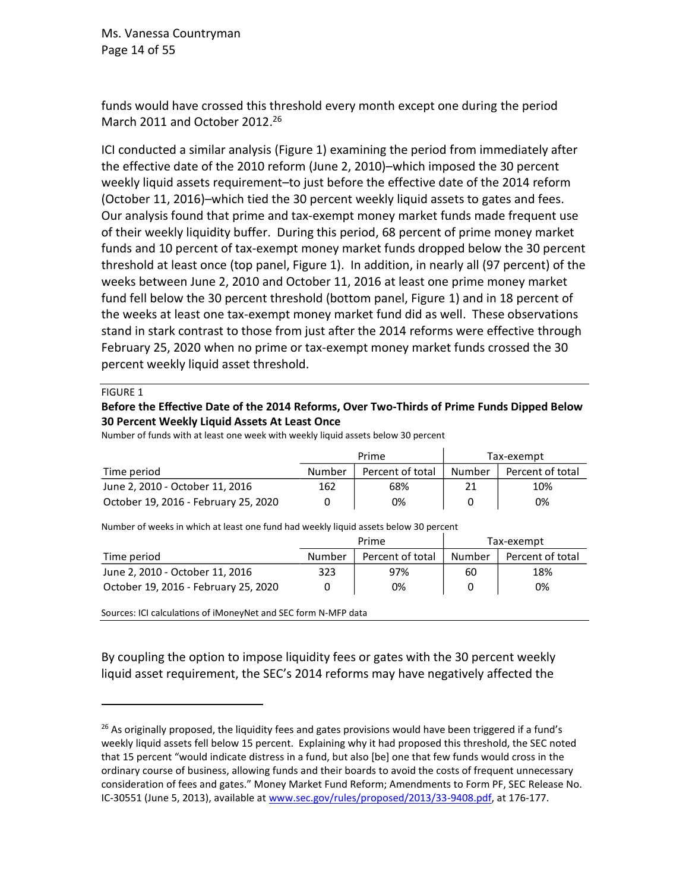Ms. Vanessa Countryman Page 14 of 55

funds would have crossed this threshold every month except one during the period March 2011 and October 2012.<sup>26</sup>

ICI conducted a similar analysis (Figure 1) examining the period from immediately after the effective date of the 2010 reform (June 2, 2010)–which imposed the 30 percent weekly liquid assets requirement–to just before the effective date of the 2014 reform (October 11, 2016)–which tied the 30 percent weekly liquid assets to gates and fees. Our analysis found that prime and tax-exempt money market funds made frequent use of their weekly liquidity buffer. During this period, 68 percent of prime money market funds and 10 percent of tax-exempt money market funds dropped below the 30 percent threshold at least once (top panel, Figure 1). In addition, in nearly all (97 percent) of the weeks between June 2, 2010 and October 11, 2016 at least one prime money market fund fell below the 30 percent threshold (bottom panel, Figure 1) and in 18 percent of the weeks at least one tax-exempt money market fund did as well. These observations stand in stark contrast to those from just after the 2014 reforms were effective through February 25, 2020 when no prime or tax-exempt money market funds crossed the 30 percent weekly liquid asset threshold.

#### FIGURE 1

#### **Before the Effective Date of the 2014 Reforms, Over Two-Thirds of Prime Funds Dipped Below 30 Percent Weekly Liquid Assets At Least Once**

|                                      |        | Prime            | Tax-exempt |                  |
|--------------------------------------|--------|------------------|------------|------------------|
| Time period                          | Number | Percent of total | Number     | Percent of total |
| June 2, 2010 - October 11, 2016      | 162    | 68%              |            | 10%              |
| October 19, 2016 - February 25, 2020 |        | 0%               |            | 0%               |

Number of funds with at least one week with weekly liquid assets below 30 percent

Number of weeks in which at least one fund had weekly liquid assets below 30 percent

|                                      |        | Prime            | Tax-exempt |                  |  |
|--------------------------------------|--------|------------------|------------|------------------|--|
| Time period                          | Number | Percent of total | Number     | Percent of total |  |
| June 2, 2010 - October 11, 2016      | 323    | 97%              | 60         | 18%              |  |
| October 19, 2016 - February 25, 2020 |        | 0%               |            | 0%               |  |

Sources: ICI calculations of iMoneyNet and SEC form N-MFP data

By coupling the option to impose liquidity fees or gates with the 30 percent weekly liquid asset requirement, the SEC's 2014 reforms may have negatively affected the

 $26$  As originally proposed, the liquidity fees and gates provisions would have been triggered if a fund's weekly liquid assets fell below 15 percent. Explaining why it had proposed this threshold, the SEC noted that 15 percent "would indicate distress in a fund, but also [be] one that few funds would cross in the ordinary course of business, allowing funds and their boards to avoid the costs of frequent unnecessary consideration of fees and gates." Money Market Fund Reform; Amendments to Form PF, SEC Release No. IC-30551 (June 5, 2013), available at [www.sec.gov/rules/proposed/2013/33-9408.pdf,](http://www.sec.gov/rules/proposed/2013/33-9408.pdf) at 176-177.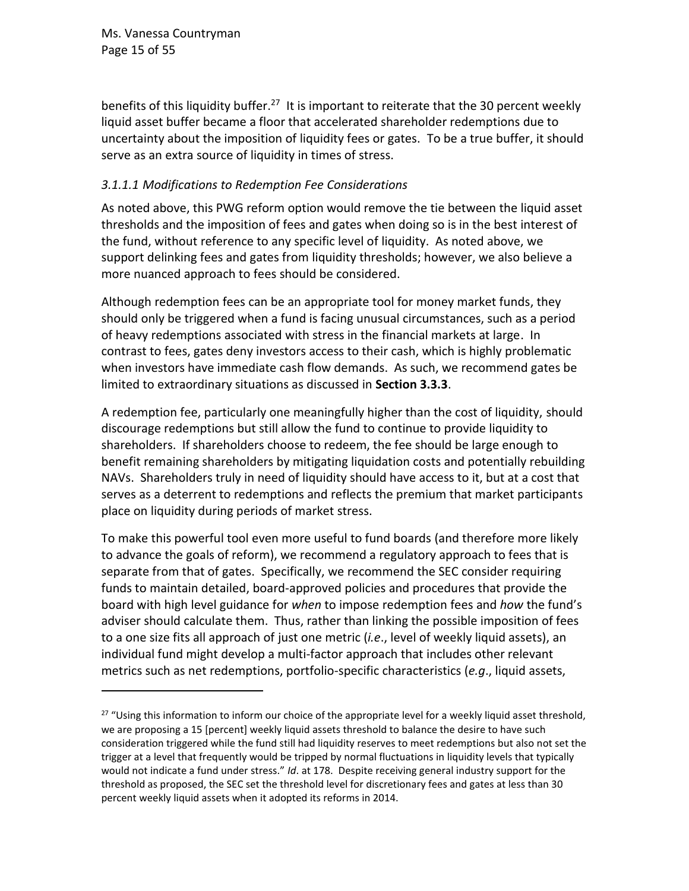Ms. Vanessa Countryman Page 15 of 55

benefits of this liquidity buffer.<sup>27</sup> It is important to reiterate that the 30 percent weekly liquid asset buffer became a floor that accelerated shareholder redemptions due to uncertainty about the imposition of liquidity fees or gates. To be a true buffer, it should serve as an extra source of liquidity in times of stress.

## <span id="page-14-0"></span>*3.1.1.1 Modifications to Redemption Fee Considerations*

As noted above, this PWG reform option would remove the tie between the liquid asset thresholds and the imposition of fees and gates when doing so is in the best interest of the fund, without reference to any specific level of liquidity. As noted above, we support delinking fees and gates from liquidity thresholds; however, we also believe a more nuanced approach to fees should be considered.

Although redemption fees can be an appropriate tool for money market funds, they should only be triggered when a fund is facing unusual circumstances, such as a period of heavy redemptions associated with stress in the financial markets at large. In contrast to fees, gates deny investors access to their cash, which is highly problematic when investors have immediate cash flow demands. As such, we recommend gates be limited to extraordinary situations as discussed in **Section 3.3.3**.

A redemption fee, particularly one meaningfully higher than the cost of liquidity, should discourage redemptions but still allow the fund to continue to provide liquidity to shareholders. If shareholders choose to redeem, the fee should be large enough to benefit remaining shareholders by mitigating liquidation costs and potentially rebuilding NAVs. Shareholders truly in need of liquidity should have access to it, but at a cost that serves as a deterrent to redemptions and reflects the premium that market participants place on liquidity during periods of market stress.

To make this powerful tool even more useful to fund boards (and therefore more likely to advance the goals of reform), we recommend a regulatory approach to fees that is separate from that of gates. Specifically, we recommend the SEC consider requiring funds to maintain detailed, board-approved policies and procedures that provide the board with high level guidance for *when* to impose redemption fees and *how* the fund's adviser should calculate them. Thus, rather than linking the possible imposition of fees to a one size fits all approach of just one metric (*i.e*., level of weekly liquid assets), an individual fund might develop a multi-factor approach that includes other relevant metrics such as net redemptions, portfolio-specific characteristics (*e.g*., liquid assets,

 $27$  "Using this information to inform our choice of the appropriate level for a weekly liquid asset threshold, we are proposing a 15 [percent] weekly liquid assets threshold to balance the desire to have such consideration triggered while the fund still had liquidity reserves to meet redemptions but also not set the trigger at a level that frequently would be tripped by normal fluctuations in liquidity levels that typically would not indicate a fund under stress." *Id*. at 178. Despite receiving general industry support for the threshold as proposed, the SEC set the threshold level for discretionary fees and gates at less than 30 percent weekly liquid assets when it adopted its reforms in 2014.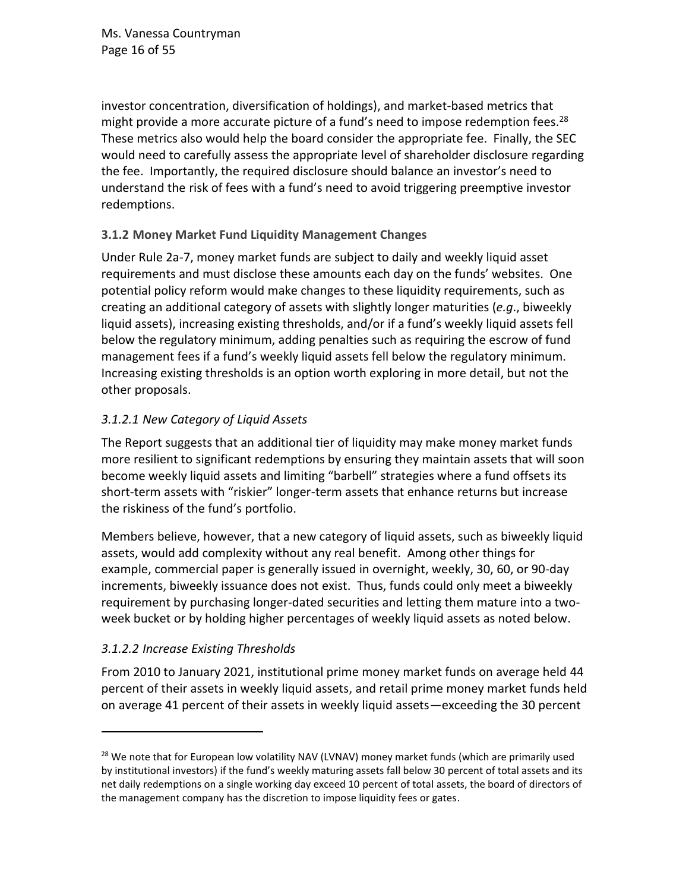investor concentration, diversification of holdings), and market-based metrics that might provide a more accurate picture of a fund's need to impose redemption fees.<sup>28</sup> These metrics also would help the board consider the appropriate fee. Finally, the SEC would need to carefully assess the appropriate level of shareholder disclosure regarding the fee. Importantly, the required disclosure should balance an investor's need to understand the risk of fees with a fund's need to avoid triggering preemptive investor redemptions.

## <span id="page-15-0"></span>**3.1.2 Money Market Fund Liquidity Management Changes**

Under Rule 2a-7, money market funds are subject to daily and weekly liquid asset requirements and must disclose these amounts each day on the funds' websites. One potential policy reform would make changes to these liquidity requirements, such as creating an additional category of assets with slightly longer maturities (*e.g*., biweekly liquid assets), increasing existing thresholds, and/or if a fund's weekly liquid assets fell below the regulatory minimum, adding penalties such as requiring the escrow of fund management fees if a fund's weekly liquid assets fell below the regulatory minimum. Increasing existing thresholds is an option worth exploring in more detail, but not the other proposals.

## *3.1.2.1 New Category of Liquid Assets*

The Report suggests that an additional tier of liquidity may make money market funds more resilient to significant redemptions by ensuring they maintain assets that will soon become weekly liquid assets and limiting "barbell" strategies where a fund offsets its short-term assets with "riskier" longer-term assets that enhance returns but increase the riskiness of the fund's portfolio.

Members believe, however, that a new category of liquid assets, such as biweekly liquid assets, would add complexity without any real benefit. Among other things for example, commercial paper is generally issued in overnight, weekly, 30, 60, or 90-day increments, biweekly issuance does not exist. Thus, funds could only meet a biweekly requirement by purchasing longer-dated securities and letting them mature into a twoweek bucket or by holding higher percentages of weekly liquid assets as noted below.

## *3.1.2.2 Increase Existing Thresholds*

From 2010 to January 2021, institutional prime money market funds on average held 44 percent of their assets in weekly liquid assets, and retail prime money market funds held on average 41 percent of their assets in weekly liquid assets—exceeding the 30 percent

<sup>&</sup>lt;sup>28</sup> We note that for European low volatility NAV (LVNAV) money market funds (which are primarily used by institutional investors) if the fund's weekly maturing assets fall below 30 percent of total assets and its net daily redemptions on a single working day exceed 10 percent of total assets, the board of directors of the management company has the discretion to impose liquidity fees or gates.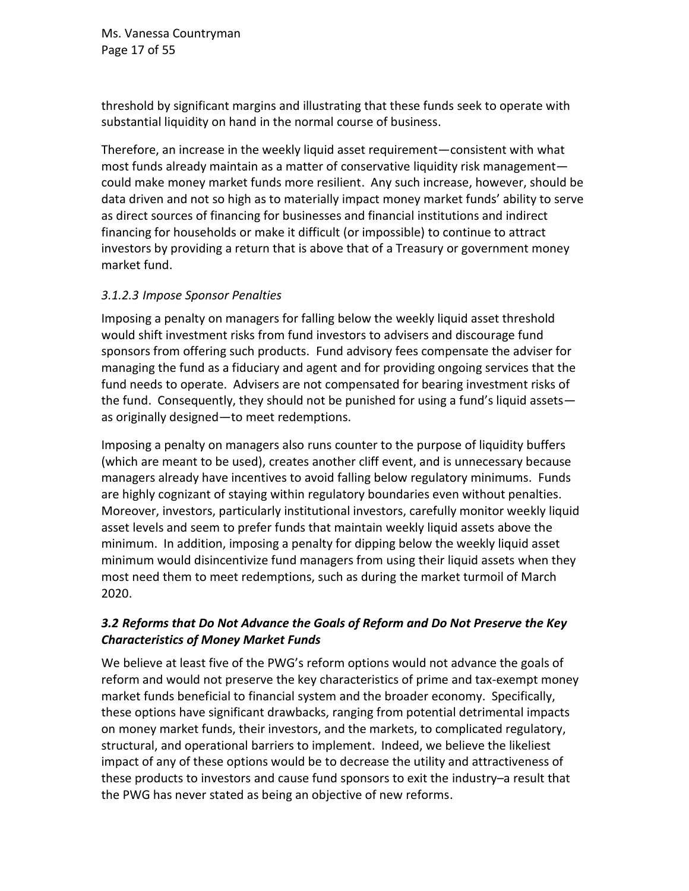Ms. Vanessa Countryman Page 17 of 55

threshold by significant margins and illustrating that these funds seek to operate with substantial liquidity on hand in the normal course of business.

Therefore, an increase in the weekly liquid asset requirement—consistent with what most funds already maintain as a matter of conservative liquidity risk management could make money market funds more resilient. Any such increase, however, should be data driven and not so high as to materially impact money market funds' ability to serve as direct sources of financing for businesses and financial institutions and indirect financing for households or make it difficult (or impossible) to continue to attract investors by providing a return that is above that of a Treasury or government money market fund.

#### *3.1.2.3 Impose Sponsor Penalties*

Imposing a penalty on managers for falling below the weekly liquid asset threshold would shift investment risks from fund investors to advisers and discourage fund sponsors from offering such products. Fund advisory fees compensate the adviser for managing the fund as a fiduciary and agent and for providing ongoing services that the fund needs to operate. Advisers are not compensated for bearing investment risks of the fund. Consequently, they should not be punished for using a fund's liquid assets as originally designed—to meet redemptions.

Imposing a penalty on managers also runs counter to the purpose of liquidity buffers (which are meant to be used), creates another cliff event, and is unnecessary because managers already have incentives to avoid falling below regulatory minimums. Funds are highly cognizant of staying within regulatory boundaries even without penalties. Moreover, investors, particularly institutional investors, carefully monitor weekly liquid asset levels and seem to prefer funds that maintain weekly liquid assets above the minimum. In addition, imposing a penalty for dipping below the weekly liquid asset minimum would disincentivize fund managers from using their liquid assets when they most need them to meet redemptions, such as during the market turmoil of March 2020.

### *3.2 Reforms that Do Not Advance the Goals of Reform and Do Not Preserve the Key Characteristics of Money Market Funds*

We believe at least five of the PWG's reform options would not advance the goals of reform and would not preserve the key characteristics of prime and tax-exempt money market funds beneficial to financial system and the broader economy. Specifically, these options have significant drawbacks, ranging from potential detrimental impacts on money market funds, their investors, and the markets, to complicated regulatory, structural, and operational barriers to implement. Indeed, we believe the likeliest impact of any of these options would be to decrease the utility and attractiveness of these products to investors and cause fund sponsors to exit the industry–a result that the PWG has never stated as being an objective of new reforms.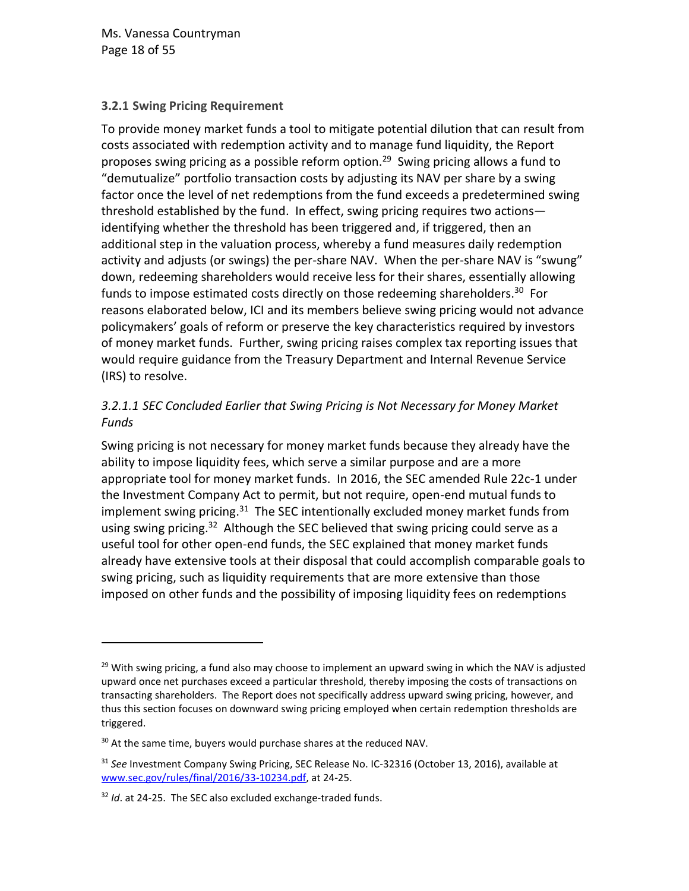Ms. Vanessa Countryman Page 18 of 55

#### <span id="page-17-0"></span>**3.2.1 Swing Pricing Requirement**

To provide money market funds a tool to mitigate potential dilution that can result from costs associated with redemption activity and to manage fund liquidity, the Report proposes swing pricing as a possible reform option.<sup>29</sup> Swing pricing allows a fund to "demutualize" portfolio transaction costs by adjusting its NAV per share by a swing factor once the level of net redemptions from the fund exceeds a predetermined swing threshold established by the fund. In effect, swing pricing requires two actions identifying whether the threshold has been triggered and, if triggered, then an additional step in the valuation process, whereby a fund measures daily redemption activity and adjusts (or swings) the per-share NAV. When the per-share NAV is "swung" down, redeeming shareholders would receive less for their shares, essentially allowing funds to impose estimated costs directly on those redeeming shareholders.<sup>30</sup> For reasons elaborated below, ICI and its members believe swing pricing would not advance policymakers' goals of reform or preserve the key characteristics required by investors of money market funds. Further, swing pricing raises complex tax reporting issues that would require guidance from the Treasury Department and Internal Revenue Service (IRS) to resolve.

## *3.2.1.1 SEC Concluded Earlier that Swing Pricing is Not Necessary for Money Market Funds*

Swing pricing is not necessary for money market funds because they already have the ability to impose liquidity fees, which serve a similar purpose and are a more appropriate tool for money market funds. In 2016, the SEC amended Rule 22c-1 under the Investment Company Act to permit, but not require, open-end mutual funds to implement swing pricing.<sup>31</sup> The SEC intentionally excluded money market funds from using swing pricing.<sup>32</sup> Although the SEC believed that swing pricing could serve as a useful tool for other open-end funds, the SEC explained that money market funds already have extensive tools at their disposal that could accomplish comparable goals to swing pricing, such as liquidity requirements that are more extensive than those imposed on other funds and the possibility of imposing liquidity fees on redemptions

 $29$  With swing pricing, a fund also may choose to implement an upward swing in which the NAV is adjusted upward once net purchases exceed a particular threshold, thereby imposing the costs of transactions on transacting shareholders. The Report does not specifically address upward swing pricing, however, and thus this section focuses on downward swing pricing employed when certain redemption thresholds are triggered.

 $30$  At the same time, buyers would purchase shares at the reduced NAV.

<sup>31</sup> *See* Investment Company Swing Pricing, SEC Release No. IC-32316 (October 13, 2016), available at [www.sec.gov/rules/final/2016/33-10234.pdf,](http://www.sec.gov/rules/final/2016/33-10234.pdf) at 24-25.

<sup>32</sup> *Id*. at 24-25. The SEC also excluded exchange-traded funds.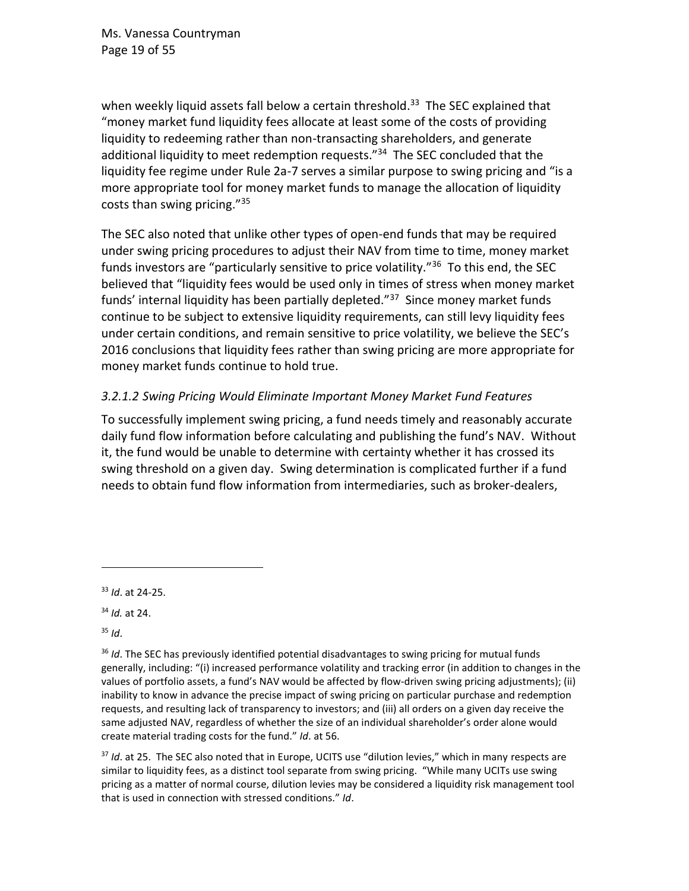when weekly liquid assets fall below a certain threshold.<sup>33</sup> The SEC explained that "money market fund liquidity fees allocate at least some of the costs of providing liquidity to redeeming rather than non-transacting shareholders, and generate additional liquidity to meet redemption requests."<sup>34</sup> The SEC concluded that the liquidity fee regime under Rule 2a-7 serves a similar purpose to swing pricing and "is a more appropriate tool for money market funds to manage the allocation of liquidity costs than swing pricing."<sup>35</sup>

The SEC also noted that unlike other types of open-end funds that may be required under swing pricing procedures to adjust their NAV from time to time, money market funds investors are "particularly sensitive to price volatility."<sup>36</sup> To this end, the SEC believed that "liquidity fees would be used only in times of stress when money market funds' internal liquidity has been partially depleted."<sup>37</sup> Since money market funds continue to be subject to extensive liquidity requirements, can still levy liquidity fees under certain conditions, and remain sensitive to price volatility, we believe the SEC's 2016 conclusions that liquidity fees rather than swing pricing are more appropriate for money market funds continue to hold true.

### *3.2.1.2 Swing Pricing Would Eliminate Important Money Market Fund Features*

To successfully implement swing pricing, a fund needs timely and reasonably accurate daily fund flow information before calculating and publishing the fund's NAV. Without it, the fund would be unable to determine with certainty whether it has crossed its swing threshold on a given day. Swing determination is complicated further if a fund needs to obtain fund flow information from intermediaries, such as broker-dealers,

<sup>35</sup> *Id*.

<sup>37</sup> *Id*. at 25. The SEC also noted that in Europe, UCITS use "dilution levies," which in many respects are similar to liquidity fees, as a distinct tool separate from swing pricing. "While many UCITs use swing pricing as a matter of normal course, dilution levies may be considered a liquidity risk management tool that is used in connection with stressed conditions." *Id*.

<sup>33</sup> *Id*. at 24-25.

<sup>34</sup> *Id.* at 24.

<sup>36</sup> *Id*. The SEC has previously identified potential disadvantages to swing pricing for mutual funds generally, including: "(i) increased performance volatility and tracking error (in addition to changes in the values of portfolio assets, a fund's NAV would be affected by flow-driven swing pricing adjustments); (ii) inability to know in advance the precise impact of swing pricing on particular purchase and redemption requests, and resulting lack of transparency to investors; and (iii) all orders on a given day receive the same adjusted NAV, regardless of whether the size of an individual shareholder's order alone would create material trading costs for the fund." *Id*. at 56.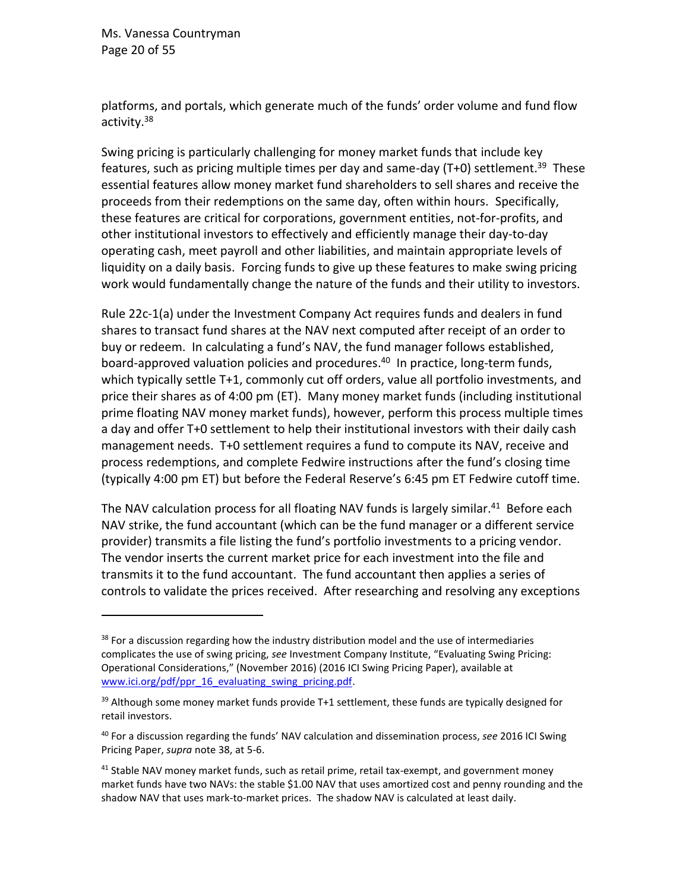Ms. Vanessa Countryman Page 20 of 55

<span id="page-19-0"></span>platforms, and portals, which generate much of the funds' order volume and fund flow activity.<sup>38</sup>

Swing pricing is particularly challenging for money market funds that include key features, such as pricing multiple times per day and same-day (T+0) settlement.<sup>39</sup> These essential features allow money market fund shareholders to sell shares and receive the proceeds from their redemptions on the same day, often within hours. Specifically, these features are critical for corporations, government entities, not-for-profits, and other institutional investors to effectively and efficiently manage their day-to-day operating cash, meet payroll and other liabilities, and maintain appropriate levels of liquidity on a daily basis. Forcing funds to give up these features to make swing pricing work would fundamentally change the nature of the funds and their utility to investors.

Rule 22c-1(a) under the Investment Company Act requires funds and dealers in fund shares to transact fund shares at the NAV next computed after receipt of an order to buy or redeem. In calculating a fund's NAV, the fund manager follows established, board-approved valuation policies and procedures. 40 In practice, long-term funds, which typically settle T+1, commonly cut off orders, value all portfolio investments, and price their shares as of 4:00 pm (ET). Many money market funds (including institutional prime floating NAV money market funds), however, perform this process multiple times a day and offer T+0 settlement to help their institutional investors with their daily cash management needs. T+0 settlement requires a fund to compute its NAV, receive and process redemptions, and complete Fedwire instructions after the fund's closing time (typically 4:00 pm ET) but before the Federal Reserve's 6:45 pm ET Fedwire cutoff time.

The NAV calculation process for all floating NAV funds is largely similar.<sup>41</sup> Before each NAV strike, the fund accountant (which can be the fund manager or a different service provider) transmits a file listing the fund's portfolio investments to a pricing vendor. The vendor inserts the current market price for each investment into the file and transmits it to the fund accountant. The fund accountant then applies a series of controls to validate the prices received. After researching and resolving any exceptions

 $38$  For a discussion regarding how the industry distribution model and the use of intermediaries complicates the use of swing pricing, *see* Investment Company Institute, "Evaluating Swing Pricing: Operational Considerations," (November 2016) (2016 ICI Swing Pricing Paper), available at www.ici.org/pdf/ppr\_16\_evaluating\_swing\_pricing.pdf.

 $39$  Although some money market funds provide T+1 settlement, these funds are typically designed for retail investors.

<sup>40</sup> For a discussion regarding the funds' NAV calculation and dissemination process, *see* 2016 ICI Swing Pricing Paper, *supra* note [38,](#page-19-0) at 5-6.

<sup>&</sup>lt;sup>41</sup> Stable NAV money market funds, such as retail prime, retail tax-exempt, and government money market funds have two NAVs: the stable \$1.00 NAV that uses amortized cost and penny rounding and the shadow NAV that uses mark-to-market prices. The shadow NAV is calculated at least daily.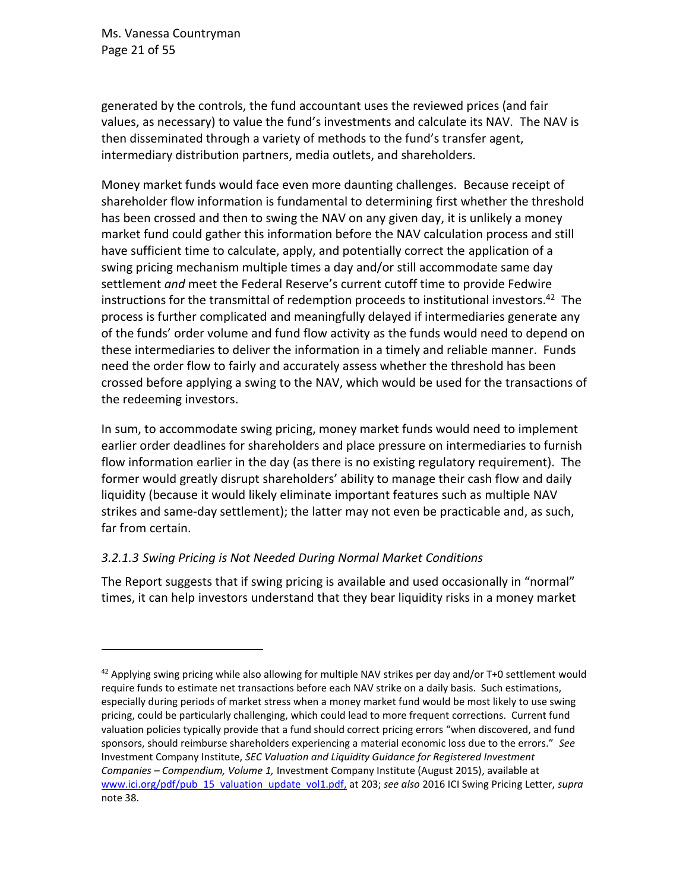Ms. Vanessa Countryman Page 21 of 55

generated by the controls, the fund accountant uses the reviewed prices (and fair values, as necessary) to value the fund's investments and calculate its NAV. The NAV is then disseminated through a variety of methods to the fund's transfer agent, intermediary distribution partners, media outlets, and shareholders.

Money market funds would face even more daunting challenges. Because receipt of shareholder flow information is fundamental to determining first whether the threshold has been crossed and then to swing the NAV on any given day, it is unlikely a money market fund could gather this information before the NAV calculation process and still have sufficient time to calculate, apply, and potentially correct the application of a swing pricing mechanism multiple times a day and/or still accommodate same day settlement *and* meet the Federal Reserve's current cutoff time to provide Fedwire instructions for the transmittal of redemption proceeds to institutional investors. 42 The process is further complicated and meaningfully delayed if intermediaries generate any of the funds' order volume and fund flow activity as the funds would need to depend on these intermediaries to deliver the information in a timely and reliable manner. Funds need the order flow to fairly and accurately assess whether the threshold has been crossed before applying a swing to the NAV, which would be used for the transactions of the redeeming investors.

In sum, to accommodate swing pricing, money market funds would need to implement earlier order deadlines for shareholders and place pressure on intermediaries to furnish flow information earlier in the day (as there is no existing regulatory requirement). The former would greatly disrupt shareholders' ability to manage their cash flow and daily liquidity (because it would likely eliminate important features such as multiple NAV strikes and same-day settlement); the latter may not even be practicable and, as such, far from certain.

### *3.2.1.3 Swing Pricing is Not Needed During Normal Market Conditions*

The Report suggests that if swing pricing is available and used occasionally in "normal" times, it can help investors understand that they bear liquidity risks in a money market

<sup>&</sup>lt;sup>42</sup> Applying swing pricing while also allowing for multiple NAV strikes per day and/or T+0 settlement would require funds to estimate net transactions before each NAV strike on a daily basis. Such estimations, especially during periods of market stress when a money market fund would be most likely to use swing pricing, could be particularly challenging, which could lead to more frequent corrections. Current fund valuation policies typically provide that a fund should correct pricing errors "when discovered, and fund sponsors, should reimburse shareholders experiencing a material economic loss due to the errors." *See*  Investment Company Institute, *SEC Valuation and Liquidity Guidance for Registered Investment Companies – Compendium, Volume 1,* Investment Company Institute (August 2015), available at [www.ici.org/pdf/pub\\_15\\_valuation\\_update\\_vol1.pdf,](http://www.ici.org/pdf/pub_15_valuation_update_vol1.pdf) at 203; *see also* 2016 ICI Swing Pricing Letter, *supra* note [38.](#page-19-0)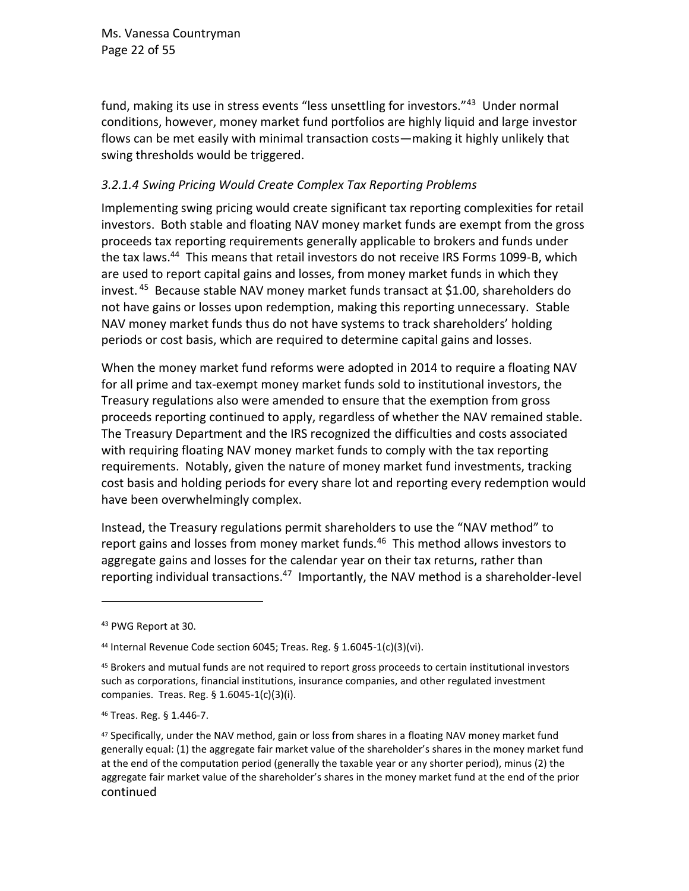Ms. Vanessa Countryman Page 22 of 55

fund, making its use in stress events "less unsettling for investors."<sup>43</sup> Under normal conditions, however, money market fund portfolios are highly liquid and large investor flows can be met easily with minimal transaction costs—making it highly unlikely that swing thresholds would be triggered.

#### *3.2.1.4 Swing Pricing Would Create Complex Tax Reporting Problems*

Implementing swing pricing would create significant tax reporting complexities for retail investors. Both stable and floating NAV money market funds are exempt from the gross proceeds tax reporting requirements generally applicable to brokers and funds under the tax laws.<sup>44</sup> This means that retail investors do not receive IRS Forms 1099-B, which are used to report capital gains and losses, from money market funds in which they invest. <sup>45</sup> Because stable NAV money market funds transact at \$1.00, shareholders do not have gains or losses upon redemption, making this reporting unnecessary. Stable NAV money market funds thus do not have systems to track shareholders' holding periods or cost basis, which are required to determine capital gains and losses.

When the money market fund reforms were adopted in 2014 to require a floating NAV for all prime and tax-exempt money market funds sold to institutional investors, the Treasury regulations also were amended to ensure that the exemption from gross proceeds reporting continued to apply, regardless of whether the NAV remained stable. The Treasury Department and the IRS recognized the difficulties and costs associated with requiring floating NAV money market funds to comply with the tax reporting requirements. Notably, given the nature of money market fund investments, tracking cost basis and holding periods for every share lot and reporting every redemption would have been overwhelmingly complex.

Instead, the Treasury regulations permit shareholders to use the "NAV method" to report gains and losses from money market funds.<sup>46</sup> This method allows investors to aggregate gains and losses for the calendar year on their tax returns, rather than reporting individual transactions.<sup>47</sup> Importantly, the NAV method is a shareholder-level

<sup>&</sup>lt;sup>43</sup> PWG Report at 30.

<sup>44</sup> Internal Revenue Code section 6045; Treas. Reg. § 1.6045-1(c)(3)(vi).

<sup>45</sup> Brokers and mutual funds are not required to report gross proceeds to certain institutional investors such as corporations, financial institutions, insurance companies, and other regulated investment companies. Treas. Reg. § 1.6045-1(c)(3)(i).

<sup>46</sup> Treas. Reg. § 1.446-7.

<sup>&</sup>lt;sup>47</sup> Specifically, under the NAV method, gain or loss from shares in a floating NAV money market fund generally equal: (1) the aggregate fair market value of the shareholder's shares in the money market fund at the end of the computation period (generally the taxable year or any shorter period), minus (2) the aggregate fair market value of the shareholder's shares in the money market fund at the end of the prior continued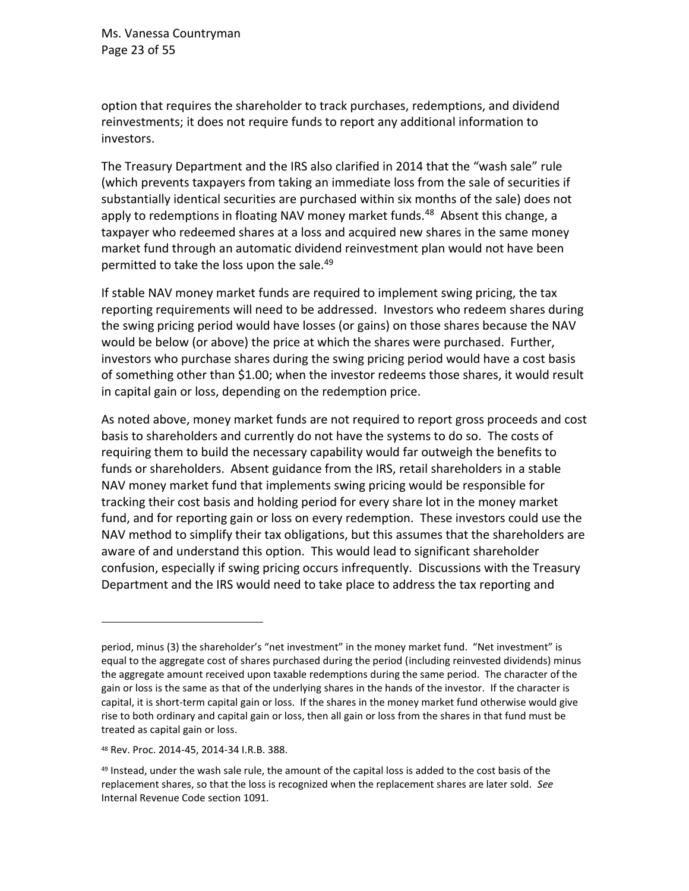Ms. Vanessa Countryman Page 23 of 55

option that requires the shareholder to track purchases, redemptions, and dividend reinvestments; it does not require funds to report any additional information to investors.

The Treasury Department and the IRS also clarified in 2014 that the "wash sale" rule (which prevents taxpayers from taking an immediate loss from the sale of securities if substantially identical securities are purchased within six months of the sale) does not apply to redemptions in floating NAV money market funds.<sup>48</sup> Absent this change, a taxpayer who redeemed shares at a loss and acquired new shares in the same money market fund through an automatic dividend reinvestment plan would not have been permitted to take the loss upon the sale.<sup>49</sup>

If stable NAV money market funds are required to implement swing pricing, the tax reporting requirements will need to be addressed. Investors who redeem shares during the swing pricing period would have losses (or gains) on those shares because the NAV would be below (or above) the price at which the shares were purchased. Further, investors who purchase shares during the swing pricing period would have a cost basis of something other than \$1.00; when the investor redeems those shares, it would result in capital gain or loss, depending on the redemption price.

As noted above, money market funds are not required to report gross proceeds and cost basis to shareholders and currently do not have the systems to do so. The costs of requiring them to build the necessary capability would far outweigh the benefits to funds or shareholders. Absent guidance from the IRS, retail shareholders in a stable NAV money market fund that implements swing pricing would be responsible for tracking their cost basis and holding period for every share lot in the money market fund, and for reporting gain or loss on every redemption. These investors could use the NAV method to simplify their tax obligations, but this assumes that the shareholders are aware of and understand this option. This would lead to significant shareholder confusion, especially if swing pricing occurs infrequently. Discussions with the Treasury Department and the IRS would need to take place to address the tax reporting and

period, minus (3) the shareholder's "net investment" in the money market fund. "Net investment" is equal to the aggregate cost of shares purchased during the period (including reinvested dividends) minus the aggregate amount received upon taxable redemptions during the same period. The character of the gain or loss is the same as that of the underlying shares in the hands of the investor. If the character is capital, it is short-term capital gain or loss. If the shares in the money market fund otherwise would give rise to both ordinary and capital gain or loss, then all gain or loss from the shares in that fund must be treated as capital gain or loss.

<sup>48</sup> Rev. Proc. 2014-45, 2014-34 I.R.B. 388.

<sup>49</sup> Instead, under the wash sale rule, the amount of the capital loss is added to the cost basis of the replacement shares, so that the loss is recognized when the replacement shares are later sold. *See* Internal Revenue Code section 1091.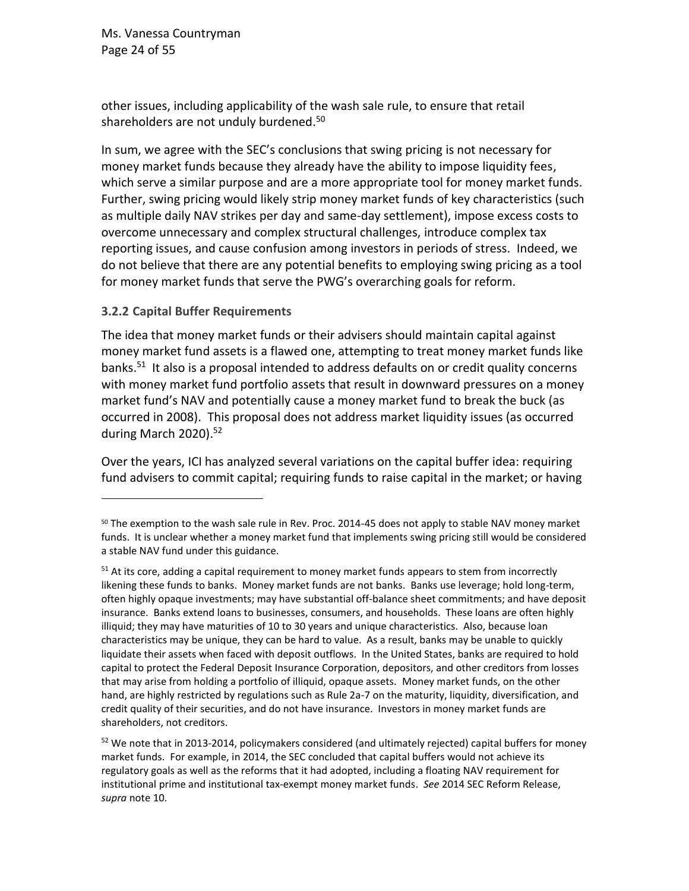Ms. Vanessa Countryman Page 24 of 55

other issues, including applicability of the wash sale rule, to ensure that retail shareholders are not unduly burdened.<sup>50</sup>

In sum, we agree with the SEC's conclusions that swing pricing is not necessary for money market funds because they already have the ability to impose liquidity fees, which serve a similar purpose and are a more appropriate tool for money market funds. Further, swing pricing would likely strip money market funds of key characteristics (such as multiple daily NAV strikes per day and same-day settlement), impose excess costs to overcome unnecessary and complex structural challenges, introduce complex tax reporting issues, and cause confusion among investors in periods of stress. Indeed, we do not believe that there are any potential benefits to employing swing pricing as a tool for money market funds that serve the PWG's overarching goals for reform.

#### <span id="page-23-0"></span>**3.2.2 Capital Buffer Requirements**

The idea that money market funds or their advisers should maintain capital against money market fund assets is a flawed one, attempting to treat money market funds like banks.<sup>51</sup> It also is a proposal intended to address defaults on or credit quality concerns with money market fund portfolio assets that result in downward pressures on a money market fund's NAV and potentially cause a money market fund to break the buck (as occurred in 2008). This proposal does not address market liquidity issues (as occurred during March 2020).<sup>52</sup>

Over the years, ICI has analyzed several variations on the capital buffer idea: requiring fund advisers to commit capital; requiring funds to raise capital in the market; or having

<sup>50</sup> The exemption to the wash sale rule in Rev. Proc. 2014-45 does not apply to stable NAV money market funds. It is unclear whether a money market fund that implements swing pricing still would be considered a stable NAV fund under this guidance.

 $51$  At its core, adding a capital requirement to money market funds appears to stem from incorrectly likening these funds to banks. Money market funds are not banks. Banks use leverage; hold long-term, often highly opaque investments; may have substantial off-balance sheet commitments; and have deposit insurance. Banks extend loans to businesses, consumers, and households. These loans are often highly illiquid; they may have maturities of 10 to 30 years and unique characteristics. Also, because loan characteristics may be unique, they can be hard to value. As a result, banks may be unable to quickly liquidate their assets when faced with deposit outflows. In the United States, banks are required to hold capital to protect the Federal Deposit Insurance Corporation, depositors, and other creditors from losses that may arise from holding a portfolio of illiquid, opaque assets. Money market funds, on the other hand, are highly restricted by regulations such as Rule 2a-7 on the maturity, liquidity, diversification, and credit quality of their securities, and do not have insurance. Investors in money market funds are shareholders, not creditors.

 $52$  We note that in 2013-2014, policymakers considered (and ultimately rejected) capital buffers for money market funds. For example, in 2014, the SEC concluded that capital buffers would not achieve its regulatory goals as well as the reforms that it had adopted, including a floating NAV requirement for institutional prime and institutional tax-exempt money market funds. *See* 2014 SEC Reform Release, *supra* note [10.](#page-6-0)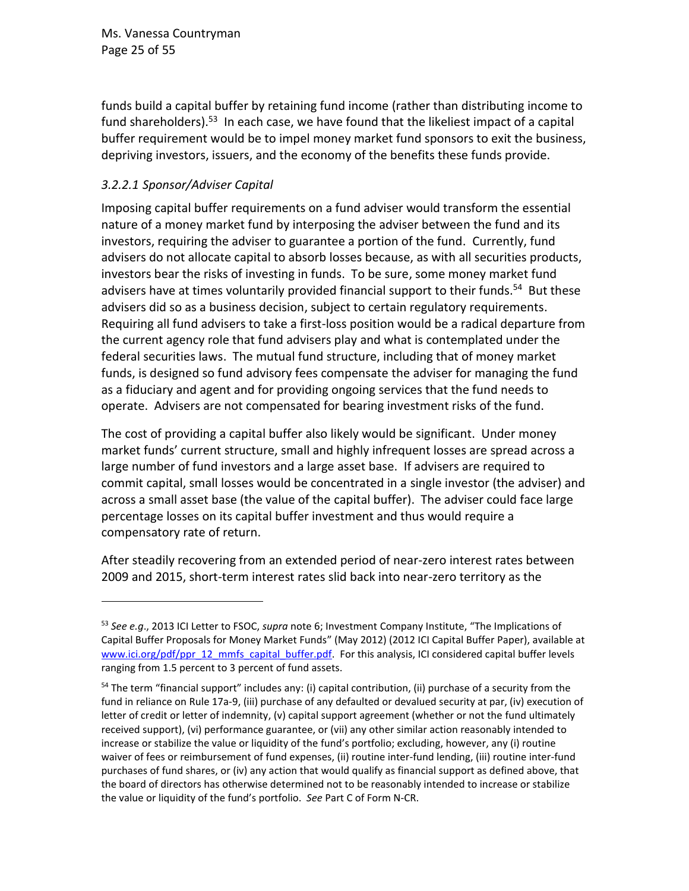Ms. Vanessa Countryman Page 25 of 55

<span id="page-24-0"></span>funds build a capital buffer by retaining fund income (rather than distributing income to fund shareholders).<sup>53</sup> In each case, we have found that the likeliest impact of a capital buffer requirement would be to impel money market fund sponsors to exit the business, depriving investors, issuers, and the economy of the benefits these funds provide.

## *3.2.2.1 Sponsor/Adviser Capital*

<span id="page-24-1"></span>Imposing capital buffer requirements on a fund adviser would transform the essential nature of a money market fund by interposing the adviser between the fund and its investors, requiring the adviser to guarantee a portion of the fund. Currently, fund advisers do not allocate capital to absorb losses because, as with all securities products, investors bear the risks of investing in funds. To be sure, some money market fund advisers have at times voluntarily provided financial support to their funds.<sup>54</sup> But these advisers did so as a business decision, subject to certain regulatory requirements. Requiring all fund advisers to take a first-loss position would be a radical departure from the current agency role that fund advisers play and what is contemplated under the federal securities laws. The mutual fund structure, including that of money market funds, is designed so fund advisory fees compensate the adviser for managing the fund as a fiduciary and agent and for providing ongoing services that the fund needs to operate. Advisers are not compensated for bearing investment risks of the fund.

The cost of providing a capital buffer also likely would be significant. Under money market funds' current structure, small and highly infrequent losses are spread across a large number of fund investors and a large asset base. If advisers are required to commit capital, small losses would be concentrated in a single investor (the adviser) and across a small asset base (the value of the capital buffer). The adviser could face large percentage losses on its capital buffer investment and thus would require a compensatory rate of return.

After steadily recovering from an extended period of near-zero interest rates between 2009 and 2015, short-term interest rates slid back into near-zero territory as the

<sup>53</sup> *See e.g*., 2013 ICI Letter to FSOC, *supra* note [6;](#page-2-0) Investment Company Institute, "The Implications of Capital Buffer Proposals for Money Market Funds" (May 2012) (2012 ICI Capital Buffer Paper), available at [www.ici.org/pdf/ppr\\_12\\_mmfs\\_capital\\_buffer.pdf.](http://www.ici.org/pdf/ppr_12_mmfs_capital_buffer.pdf) For this analysis, ICI considered capital buffer levels ranging from 1.5 percent to 3 percent of fund assets.

<sup>&</sup>lt;sup>54</sup> The term "financial support" includes any: (i) capital contribution, (ii) purchase of a security from the fund in reliance on Rule 17a-9, (iii) purchase of any defaulted or devalued security at par, (iv) execution of letter of credit or letter of indemnity, (v) capital support agreement (whether or not the fund ultimately received support), (vi) performance guarantee, or (vii) any other similar action reasonably intended to increase or stabilize the value or liquidity of the fund's portfolio; excluding, however, any (i) routine waiver of fees or reimbursement of fund expenses, (ii) routine inter-fund lending, (iii) routine inter-fund purchases of fund shares, or (iv) any action that would qualify as financial support as defined above, that the board of directors has otherwise determined not to be reasonably intended to increase or stabilize the value or liquidity of the fund's portfolio. *See* Part C of Form N-CR.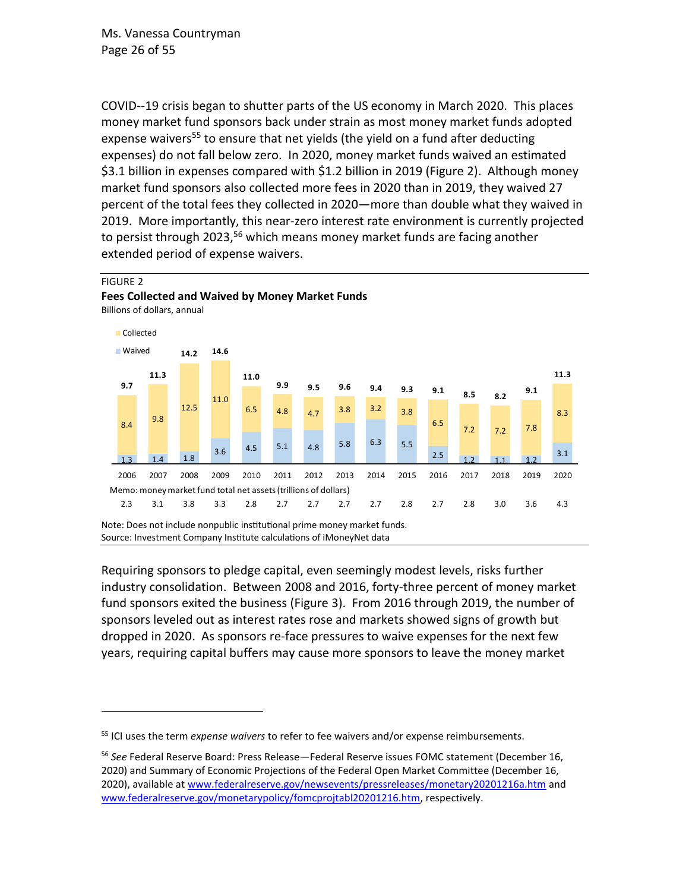Ms. Vanessa Countryman Page 26 of 55

FIGURE 2

COVID--19 crisis began to shutter parts of the US economy in March 2020. This places money market fund sponsors back under strain as most money market funds adopted expense waivers<sup>55</sup> to ensure that net yields (the yield on a fund after deducting expenses) do not fall below zero. In 2020, money market funds waived an estimated \$3.1 billion in expenses compared with \$1.2 billion in 2019 (Figure 2). Although money market fund sponsors also collected more fees in 2020 than in 2019, they waived 27 percent of the total fees they collected in 2020—more than double what they waived in 2019. More importantly, this near-zero interest rate environment is currently projected to persist through 2023,<sup>56</sup> which means money market funds are facing another extended period of expense waivers.

#### Billions of dollars, annual 1.3 1.4 1.8  $3.6$  4.5 5.1 4.8 5.8 6.3 5.5 2.5  $1.2$   $1.1$   $1.2$ 3.1 8.4 9.8 12.5 11.0 6.5 4.8 4.7 3.8 3.2 3.8 6.5 7.2 7.2 7.8 8.3 **9.7 11.3 14.2 14.6 11.0 9.9 9.5 9.6 9.4 9.3 9.1 8.5 8.2 9.1 11.3** 2006 2007 2008 2009 2010 2011 2012 2013 2014 2015 2016 2017 2018 2019 2020 ■ Collected **Waived** 2.3 3.1 3.8 3.3 2.8 2.7 2.7 2.7 2.7 2.8 2.7 2.8 3.0 3.6 4.3 Memo: money market fund total net assets (trillions of dollars)

**Fees Collected and Waived by Money Market Funds**

Note: Does not include nonpublic institutional prime money market funds. Source: Investment Company Institute calculations of iMoneyNet data

Requiring sponsors to pledge capital, even seemingly modest levels, risks further industry consolidation. Between 2008 and 2016, forty-three percent of money market fund sponsors exited the business (Figure 3). From 2016 through 2019, the number of sponsors leveled out as interest rates rose and markets showed signs of growth but dropped in 2020. As sponsors re-face pressures to waive expenses for the next few years, requiring capital buffers may cause more sponsors to leave the money market

<sup>55</sup> ICI uses the term *expense waivers* to refer to fee waivers and/or expense reimbursements.

<sup>56</sup> *See* Federal Reserve Board: Press Release—Federal Reserve issues FOMC statement (December 16, 2020) and Summary of Economic Projections of the Federal Open Market Committee (December 16, 2020), available a[t www.federalreserve.gov/newsevents/pressreleases/monetary20201216a.htm](https://www.federalreserve.gov/newsevents/pressreleases/monetary20201216a.htm) and [www.federalreserve.gov/monetarypolicy/fomcprojtabl20201216.htm,](https://www.federalreserve.gov/monetarypolicy/fomcprojtabl20201216.htm) respectively.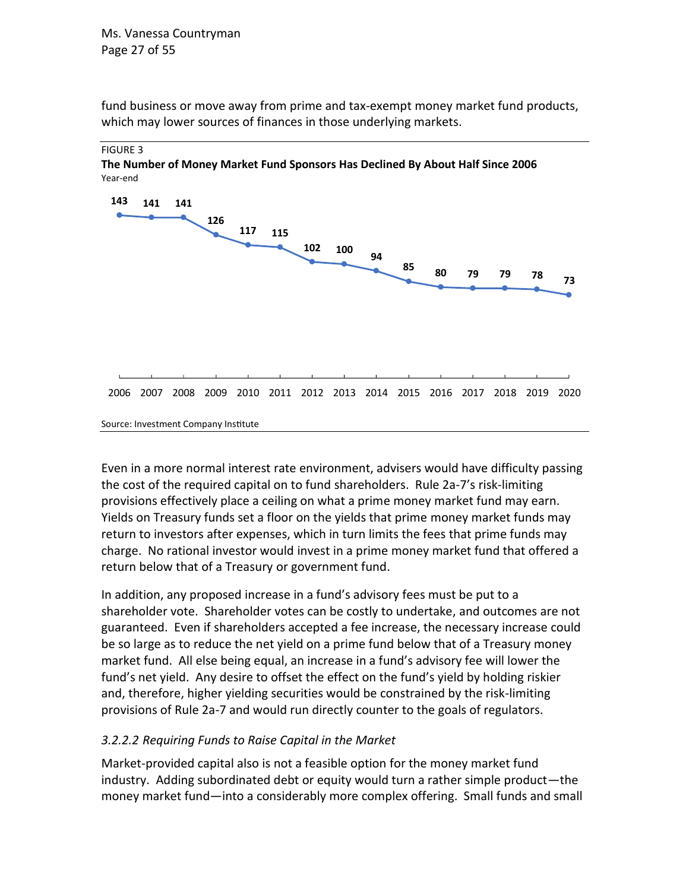fund business or move away from prime and tax-exempt money market fund products, which may lower sources of finances in those underlying markets.

#### FIGURE 3

**The Number of Money Market Fund Sponsors Has Declined By About Half Since 2006** Year-end



Even in a more normal interest rate environment, advisers would have difficulty passing the cost of the required capital on to fund shareholders. Rule 2a-7's risk-limiting provisions effectively place a ceiling on what a prime money market fund may earn. Yields on Treasury funds set a floor on the yields that prime money market funds may return to investors after expenses, which in turn limits the fees that prime funds may charge. No rational investor would invest in a prime money market fund that offered a return below that of a Treasury or government fund.

In addition, any proposed increase in a fund's advisory fees must be put to a shareholder vote. Shareholder votes can be costly to undertake, and outcomes are not guaranteed. Even if shareholders accepted a fee increase, the necessary increase could be so large as to reduce the net yield on a prime fund below that of a Treasury money market fund. All else being equal, an increase in a fund's advisory fee will lower the fund's net yield. Any desire to offset the effect on the fund's yield by holding riskier and, therefore, higher yielding securities would be constrained by the risk-limiting provisions of Rule 2a-7 and would run directly counter to the goals of regulators.

#### *3.2.2.2 Requiring Funds to Raise Capital in the Market*

Market-provided capital also is not a feasible option for the money market fund industry. Adding subordinated debt or equity would turn a rather simple product—the money market fund—into a considerably more complex offering. Small funds and small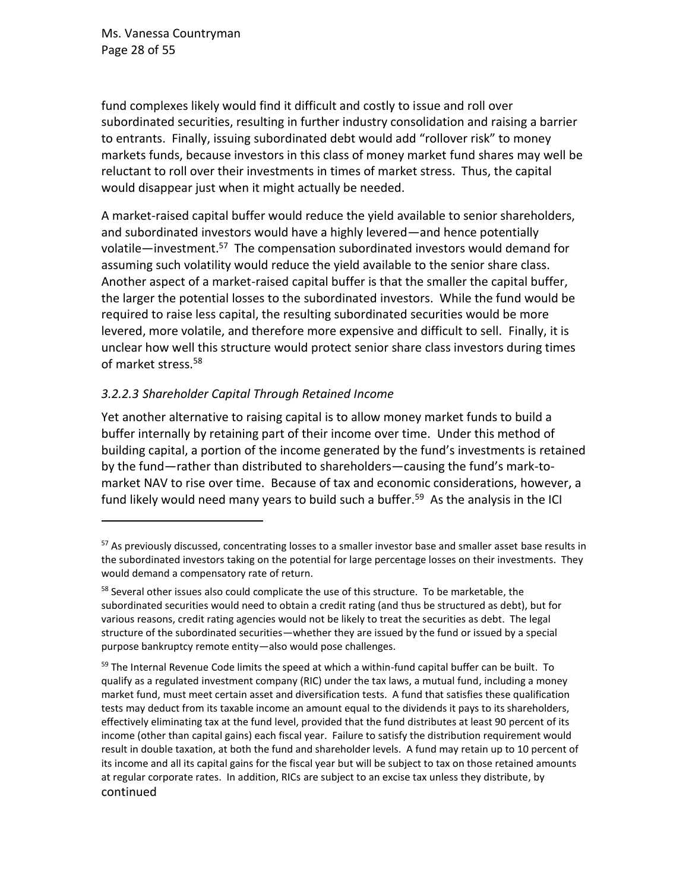Ms. Vanessa Countryman Page 28 of 55

fund complexes likely would find it difficult and costly to issue and roll over subordinated securities, resulting in further industry consolidation and raising a barrier to entrants. Finally, issuing subordinated debt would add "rollover risk" to money markets funds, because investors in this class of money market fund shares may well be reluctant to roll over their investments in times of market stress. Thus, the capital would disappear just when it might actually be needed.

A market-raised capital buffer would reduce the yield available to senior shareholders, and subordinated investors would have a highly levered—and hence potentially volatile—investment.<sup>57</sup> The compensation subordinated investors would demand for assuming such volatility would reduce the yield available to the senior share class. Another aspect of a market-raised capital buffer is that the smaller the capital buffer, the larger the potential losses to the subordinated investors. While the fund would be required to raise less capital, the resulting subordinated securities would be more levered, more volatile, and therefore more expensive and difficult to sell. Finally, it is unclear how well this structure would protect senior share class investors during times of market stress.<sup>58</sup>

#### *3.2.2.3 Shareholder Capital Through Retained Income*

Yet another alternative to raising capital is to allow money market funds to build a buffer internally by retaining part of their income over time. Under this method of building capital, a portion of the income generated by the fund's investments is retained by the fund—rather than distributed to shareholders—causing the fund's mark-tomarket NAV to rise over time. Because of tax and economic considerations, however, a fund likely would need many years to build such a buffer.<sup>59</sup> As the analysis in the ICI

<sup>&</sup>lt;sup>57</sup> As previously discussed, concentrating losses to a smaller investor base and smaller asset base results in the subordinated investors taking on the potential for large percentage losses on their investments. They would demand a compensatory rate of return.

 $58$  Several other issues also could complicate the use of this structure. To be marketable, the subordinated securities would need to obtain a credit rating (and thus be structured as debt), but for various reasons, credit rating agencies would not be likely to treat the securities as debt. The legal structure of the subordinated securities—whether they are issued by the fund or issued by a special purpose bankruptcy remote entity—also would pose challenges.

 $59$  The Internal Revenue Code limits the speed at which a within-fund capital buffer can be built. To qualify as a regulated investment company (RIC) under the tax laws, a mutual fund, including a money market fund, must meet certain asset and diversification tests. A fund that satisfies these qualification tests may deduct from its taxable income an amount equal to the dividends it pays to its shareholders, effectively eliminating tax at the fund level, provided that the fund distributes at least 90 percent of its income (other than capital gains) each fiscal year. Failure to satisfy the distribution requirement would result in double taxation, at both the fund and shareholder levels. A fund may retain up to 10 percent of its income and all its capital gains for the fiscal year but will be subject to tax on those retained amounts at regular corporate rates. In addition, RICs are subject to an excise tax unless they distribute, by continued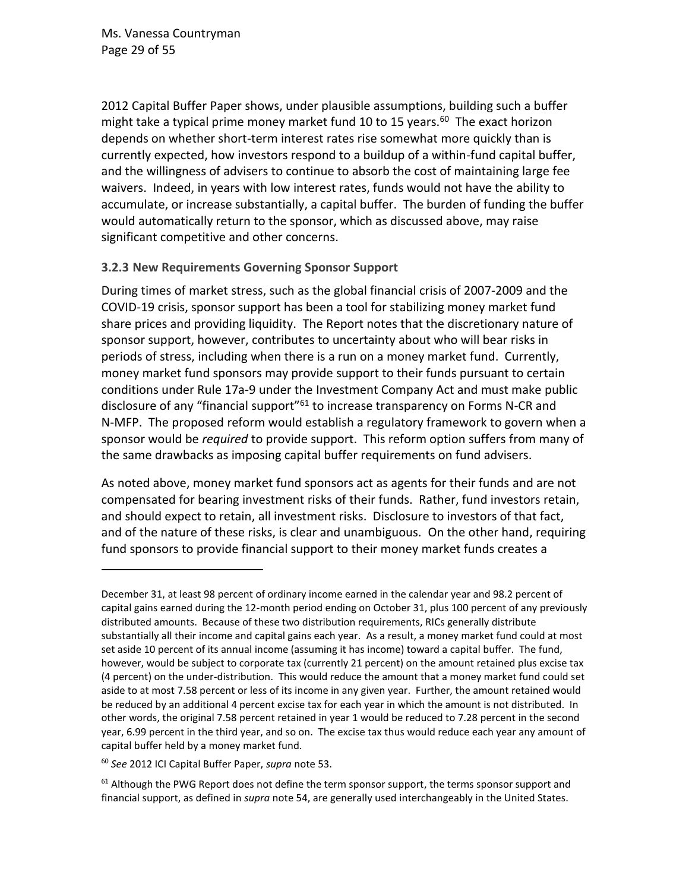Ms. Vanessa Countryman Page 29 of 55

2012 Capital Buffer Paper shows, under plausible assumptions, building such a buffer might take a typical prime money market fund 10 to 15 years.<sup>60</sup> The exact horizon depends on whether short-term interest rates rise somewhat more quickly than is currently expected, how investors respond to a buildup of a within-fund capital buffer, and the willingness of advisers to continue to absorb the cost of maintaining large fee waivers. Indeed, in years with low interest rates, funds would not have the ability to accumulate, or increase substantially, a capital buffer. The burden of funding the buffer would automatically return to the sponsor, which as discussed above, may raise significant competitive and other concerns.

#### <span id="page-28-0"></span>**3.2.3 New Requirements Governing Sponsor Support**

During times of market stress, such as the global financial crisis of 2007-2009 and the COVID-19 crisis, sponsor support has been a tool for stabilizing money market fund share prices and providing liquidity. The Report notes that the discretionary nature of sponsor support, however, contributes to uncertainty about who will bear risks in periods of stress, including when there is a run on a money market fund. Currently, money market fund sponsors may provide support to their funds pursuant to certain conditions under Rule 17a-9 under the Investment Company Act and must make public disclosure of any "financial support"<sup>61</sup> to increase transparency on Forms N-CR and N-MFP. The proposed reform would establish a regulatory framework to govern when a sponsor would be *required* to provide support. This reform option suffers from many of the same drawbacks as imposing capital buffer requirements on fund advisers.

As noted above, money market fund sponsors act as agents for their funds and are not compensated for bearing investment risks of their funds. Rather, fund investors retain, and should expect to retain, all investment risks. Disclosure to investors of that fact, and of the nature of these risks, is clear and unambiguous. On the other hand, requiring fund sponsors to provide financial support to their money market funds creates a

December 31, at least 98 percent of ordinary income earned in the calendar year and 98.2 percent of capital gains earned during the 12-month period ending on October 31, plus 100 percent of any previously distributed amounts. Because of these two distribution requirements, RICs generally distribute substantially all their income and capital gains each year. As a result, a money market fund could at most set aside 10 percent of its annual income (assuming it has income) toward a capital buffer. The fund, however, would be subject to corporate tax (currently 21 percent) on the amount retained plus excise tax (4 percent) on the under-distribution. This would reduce the amount that a money market fund could set aside to at most 7.58 percent or less of its income in any given year. Further, the amount retained would be reduced by an additional 4 percent excise tax for each year in which the amount is not distributed. In other words, the original 7.58 percent retained in year 1 would be reduced to 7.28 percent in the second year, 6.99 percent in the third year, and so on. The excise tax thus would reduce each year any amount of capital buffer held by a money market fund.

<sup>60</sup> *See* 2012 ICI Capital Buffer Paper, *supra* note [53.](#page-24-0)

 $61$  Although the PWG Report does not define the term sponsor support, the terms sponsor support and financial support, as defined in *supra* note [54,](#page-24-1) are generally used interchangeably in the United States.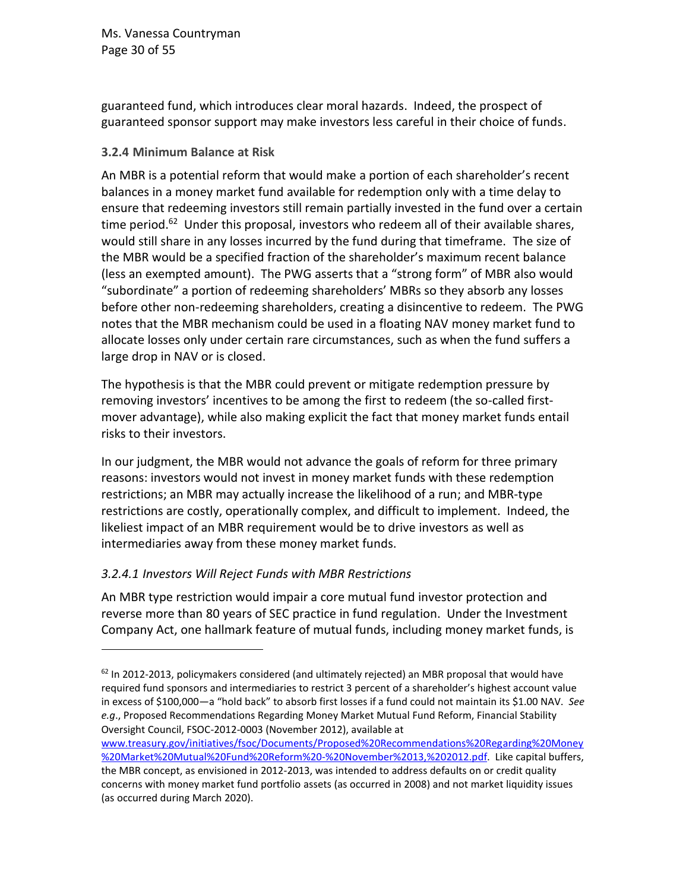Ms. Vanessa Countryman Page 30 of 55

guaranteed fund, which introduces clear moral hazards. Indeed, the prospect of guaranteed sponsor support may make investors less careful in their choice of funds.

#### <span id="page-29-0"></span>**3.2.4 Minimum Balance at Risk**

An MBR is a potential reform that would make a portion of each shareholder's recent balances in a money market fund available for redemption only with a time delay to ensure that redeeming investors still remain partially invested in the fund over a certain time period.<sup>62</sup> Under this proposal, investors who redeem all of their available shares, would still share in any losses incurred by the fund during that timeframe. The size of the MBR would be a specified fraction of the shareholder's maximum recent balance (less an exempted amount). The PWG asserts that a "strong form" of MBR also would "subordinate" a portion of redeeming shareholders' MBRs so they absorb any losses before other non-redeeming shareholders, creating a disincentive to redeem. The PWG notes that the MBR mechanism could be used in a floating NAV money market fund to allocate losses only under certain rare circumstances, such as when the fund suffers a large drop in NAV or is closed.

The hypothesis is that the MBR could prevent or mitigate redemption pressure by removing investors' incentives to be among the first to redeem (the so-called firstmover advantage), while also making explicit the fact that money market funds entail risks to their investors.

In our judgment, the MBR would not advance the goals of reform for three primary reasons: investors would not invest in money market funds with these redemption restrictions; an MBR may actually increase the likelihood of a run; and MBR-type restrictions are costly, operationally complex, and difficult to implement. Indeed, the likeliest impact of an MBR requirement would be to drive investors as well as intermediaries away from these money market funds.

### *3.2.4.1 Investors Will Reject Funds with MBR Restrictions*

An MBR type restriction would impair a core mutual fund investor protection and reverse more than 80 years of SEC practice in fund regulation. Under the Investment Company Act, one hallmark feature of mutual funds, including money market funds, is

[www.treasury.gov/initiatives/fsoc/Documents/Proposed%20Recommendations%20Regarding%20Money](http://www.treasury.gov/initiatives/fsoc/Documents/Proposed%20Recommendations%20Regarding%20Money%20Market%20Mutual%20Fund%20Reform%20-%20November%2013,%202012.pdf) [%20Market%20Mutual%20Fund%20Reform%20-%20November%2013,%202012.pdf.](http://www.treasury.gov/initiatives/fsoc/Documents/Proposed%20Recommendations%20Regarding%20Money%20Market%20Mutual%20Fund%20Reform%20-%20November%2013,%202012.pdf) Like capital buffers,

<sup>&</sup>lt;sup>62</sup> In 2012-2013, policymakers considered (and ultimately rejected) an MBR proposal that would have required fund sponsors and intermediaries to restrict 3 percent of a shareholder's highest account value in excess of \$100,000—a "hold back" to absorb first losses if a fund could not maintain its \$1.00 NAV. *See e.g*., Proposed Recommendations Regarding Money Market Mutual Fund Reform, Financial Stability Oversight Council, FSOC-2012-0003 (November 2012), available at

the MBR concept, as envisioned in 2012-2013, was intended to address defaults on or credit quality concerns with money market fund portfolio assets (as occurred in 2008) and not market liquidity issues (as occurred during March 2020).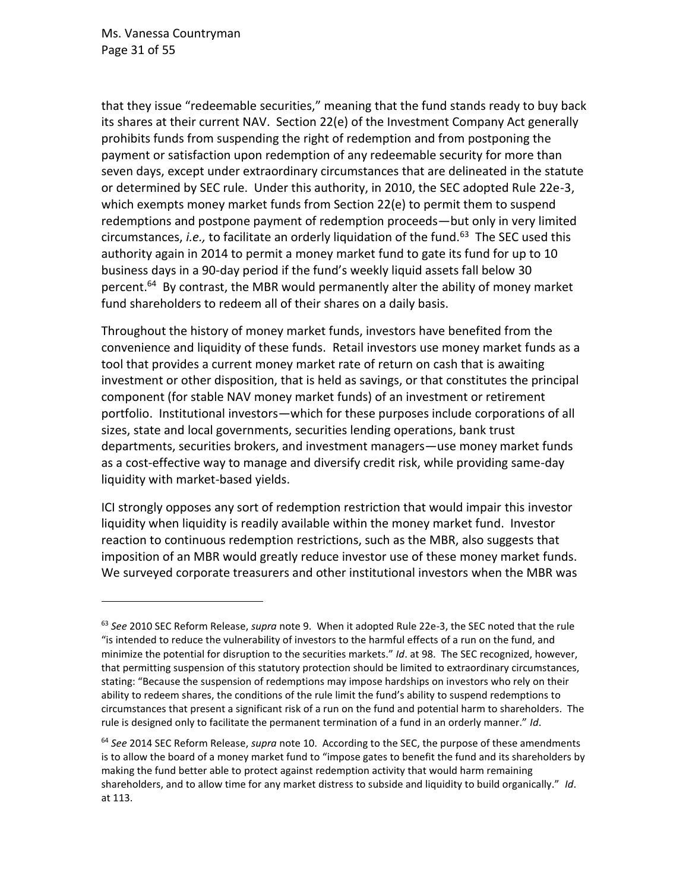Ms. Vanessa Countryman Page 31 of 55

that they issue "redeemable securities," meaning that the fund stands ready to buy back its shares at their current NAV. Section 22(e) of the Investment Company Act generally prohibits funds from suspending the right of redemption and from postponing the payment or satisfaction upon redemption of any redeemable security for more than seven days, except under extraordinary circumstances that are delineated in the statute or determined by SEC rule. Under this authority, in 2010, the SEC adopted Rule 22e-3, which exempts money market funds from Section 22(e) to permit them to suspend redemptions and postpone payment of redemption proceeds—but only in very limited circumstances, *i.e.*, to facilitate an orderly liquidation of the fund.<sup>63</sup> The SEC used this authority again in 2014 to permit a money market fund to gate its fund for up to 10 business days in a 90-day period if the fund's weekly liquid assets fall below 30 percent.<sup>64</sup> By contrast, the MBR would permanently alter the ability of money market fund shareholders to redeem all of their shares on a daily basis.

Throughout the history of money market funds, investors have benefited from the convenience and liquidity of these funds. Retail investors use money market funds as a tool that provides a current money market rate of return on cash that is awaiting investment or other disposition, that is held as savings, or that constitutes the principal component (for stable NAV money market funds) of an investment or retirement portfolio. Institutional investors—which for these purposes include corporations of all sizes, state and local governments, securities lending operations, bank trust departments, securities brokers, and investment managers—use money market funds as a cost-effective way to manage and diversify credit risk, while providing same-day liquidity with market-based yields.

ICI strongly opposes any sort of redemption restriction that would impair this investor liquidity when liquidity is readily available within the money market fund. Investor reaction to continuous redemption restrictions, such as the MBR, also suggests that imposition of an MBR would greatly reduce investor use of these money market funds. We surveyed corporate treasurers and other institutional investors when the MBR was

<sup>63</sup> *See* 2010 SEC Reform Release, *supra* not[e 9.](#page-6-1) When it adopted Rule 22e-3, the SEC noted that the rule "is intended to reduce the vulnerability of investors to the harmful effects of a run on the fund, and minimize the potential for disruption to the securities markets." *Id*. at 98. The SEC recognized, however, that permitting suspension of this statutory protection should be limited to extraordinary circumstances, stating: "Because the suspension of redemptions may impose hardships on investors who rely on their ability to redeem shares, the conditions of the rule limit the fund's ability to suspend redemptions to circumstances that present a significant risk of a run on the fund and potential harm to shareholders. The rule is designed only to facilitate the permanent termination of a fund in an orderly manner." *Id*.

<sup>64</sup> *See* 2014 SEC Reform Release, *supra* note [10.](#page-6-0) According to the SEC, the purpose of these amendments is to allow the board of a money market fund to "impose gates to benefit the fund and its shareholders by making the fund better able to protect against redemption activity that would harm remaining shareholders, and to allow time for any market distress to subside and liquidity to build organically." *Id*. at 113.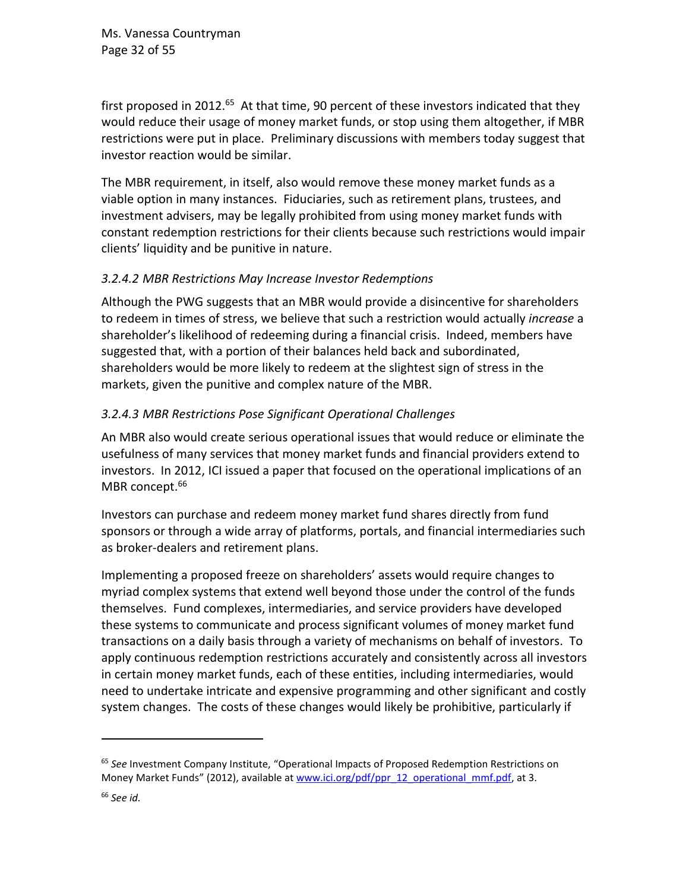Ms. Vanessa Countryman Page 32 of 55

first proposed in 2012.<sup>65</sup> At that time, 90 percent of these investors indicated that they would reduce their usage of money market funds, or stop using them altogether, if MBR restrictions were put in place. Preliminary discussions with members today suggest that investor reaction would be similar.

The MBR requirement, in itself, also would remove these money market funds as a viable option in many instances. Fiduciaries, such as retirement plans, trustees, and investment advisers, may be legally prohibited from using money market funds with constant redemption restrictions for their clients because such restrictions would impair clients' liquidity and be punitive in nature.

#### *3.2.4.2 MBR Restrictions May Increase Investor Redemptions*

Although the PWG suggests that an MBR would provide a disincentive for shareholders to redeem in times of stress, we believe that such a restriction would actually *increase* a shareholder's likelihood of redeeming during a financial crisis. Indeed, members have suggested that, with a portion of their balances held back and subordinated, shareholders would be more likely to redeem at the slightest sign of stress in the markets, given the punitive and complex nature of the MBR.

### *3.2.4.3 MBR Restrictions Pose Significant Operational Challenges*

An MBR also would create serious operational issues that would reduce or eliminate the usefulness of many services that money market funds and financial providers extend to investors. In 2012, ICI issued a paper that focused on the operational implications of an MBR concept.<sup>66</sup>

Investors can purchase and redeem money market fund shares directly from fund sponsors or through a wide array of platforms, portals, and financial intermediaries such as broker-dealers and retirement plans.

Implementing a proposed freeze on shareholders' assets would require changes to myriad complex systems that extend well beyond those under the control of the funds themselves. Fund complexes, intermediaries, and service providers have developed these systems to communicate and process significant volumes of money market fund transactions on a daily basis through a variety of mechanisms on behalf of investors. To apply continuous redemption restrictions accurately and consistently across all investors in certain money market funds, each of these entities, including intermediaries, would need to undertake intricate and expensive programming and other significant and costly system changes. The costs of these changes would likely be prohibitive, particularly if

<sup>65</sup> *See* Investment Company Institute, "Operational Impacts of Proposed Redemption Restrictions on Money Market Funds" (2012), available a[t www.ici.org/pdf/ppr\\_12\\_operational\\_mmf.pdf,](http://www.ici.org/pdf/ppr_12_operational_mmf.pdf) at 3.

<sup>66</sup> *See id.*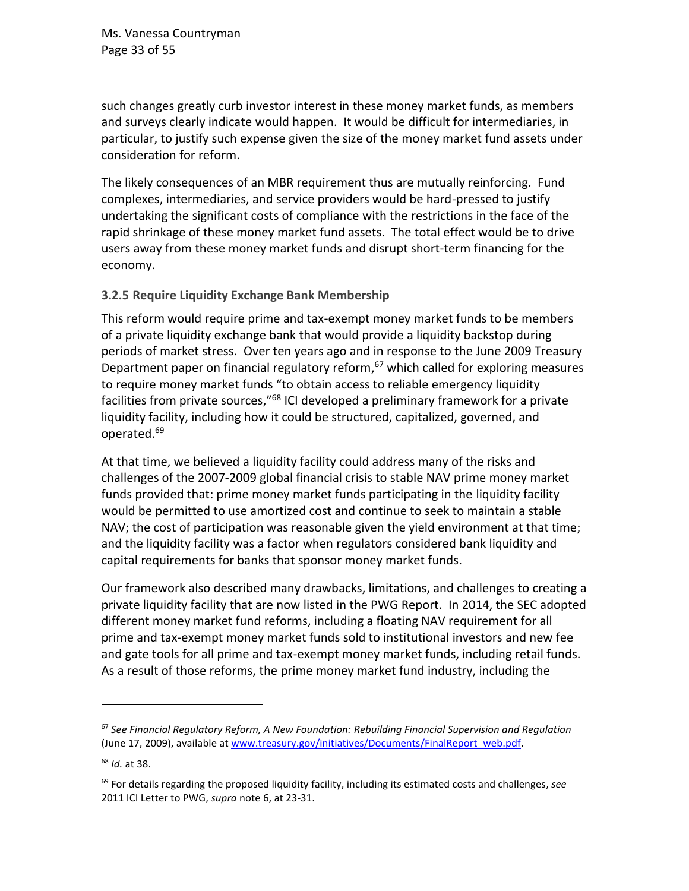such changes greatly curb investor interest in these money market funds, as members and surveys clearly indicate would happen. It would be difficult for intermediaries, in particular, to justify such expense given the size of the money market fund assets under consideration for reform.

The likely consequences of an MBR requirement thus are mutually reinforcing. Fund complexes, intermediaries, and service providers would be hard-pressed to justify undertaking the significant costs of compliance with the restrictions in the face of the rapid shrinkage of these money market fund assets. The total effect would be to drive users away from these money market funds and disrupt short-term financing for the economy.

#### <span id="page-32-0"></span>**3.2.5 Require Liquidity Exchange Bank Membership**

This reform would require prime and tax-exempt money market funds to be members of a private liquidity exchange bank that would provide a liquidity backstop during periods of market stress. Over ten years ago and in response to the June 2009 Treasury Department paper on financial regulatory reform,<sup>67</sup> which called for exploring measures to require money market funds "to obtain access to reliable emergency liquidity facilities from private sources,"<sup>68</sup> ICI developed a preliminary framework for a private liquidity facility, including how it could be structured, capitalized, governed, and operated. 69

At that time, we believed a liquidity facility could address many of the risks and challenges of the 2007-2009 global financial crisis to stable NAV prime money market funds provided that: prime money market funds participating in the liquidity facility would be permitted to use amortized cost and continue to seek to maintain a stable NAV; the cost of participation was reasonable given the yield environment at that time; and the liquidity facility was a factor when regulators considered bank liquidity and capital requirements for banks that sponsor money market funds.

Our framework also described many drawbacks, limitations, and challenges to creating a private liquidity facility that are now listed in the PWG Report. In 2014, the SEC adopted different money market fund reforms, including a floating NAV requirement for all prime and tax-exempt money market funds sold to institutional investors and new fee and gate tools for all prime and tax-exempt money market funds, including retail funds. As a result of those reforms, the prime money market fund industry, including the

<sup>67</sup> *See Financial Regulatory Reform, A New Foundation: Rebuilding Financial Supervision and Regulation* (June 17, 2009), available a[t www.treasury.gov/initiatives/Documents/FinalReport\\_web.pdf.](http://www.treasury.gov/initiatives/Documents/FinalReport_web.pdf)

<sup>68</sup> *Id.* at 38.

<sup>69</sup> For details regarding the proposed liquidity facility, including its estimated costs and challenges, *see* 2011 ICI Letter to PWG, *supra* note [6,](#page-2-0) at 23-31.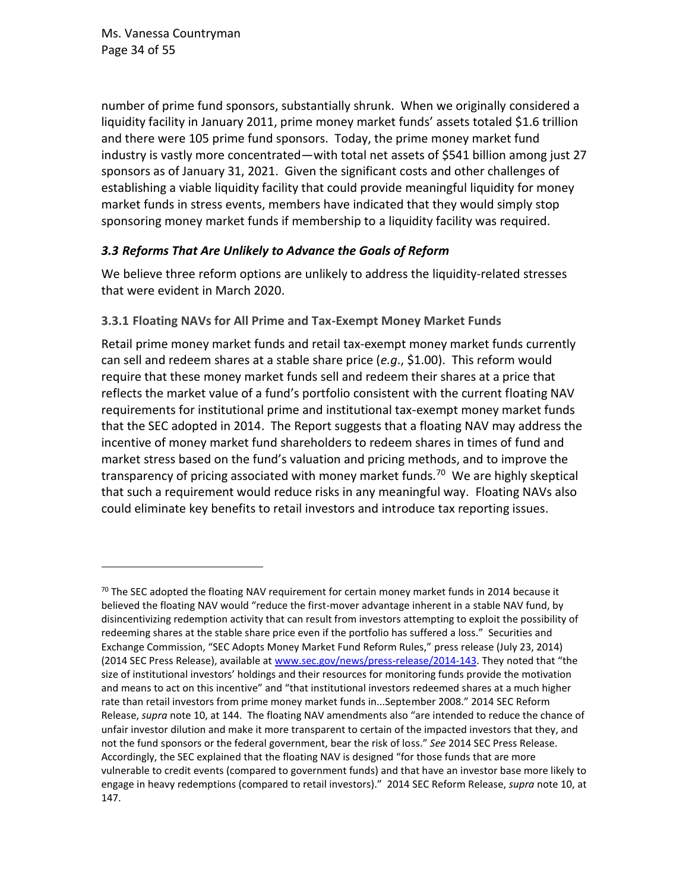number of prime fund sponsors, substantially shrunk. When we originally considered a liquidity facility in January 2011, prime money market funds' assets totaled \$1.6 trillion and there were 105 prime fund sponsors. Today, the prime money market fund industry is vastly more concentrated—with total net assets of \$541 billion among just 27 sponsors as of January 31, 2021. Given the significant costs and other challenges of establishing a viable liquidity facility that could provide meaningful liquidity for money market funds in stress events, members have indicated that they would simply stop sponsoring money market funds if membership to a liquidity facility was required.

## *3.3 Reforms That Are Unlikely to Advance the Goals of Reform*

We believe three reform options are unlikely to address the liquidity-related stresses that were evident in March 2020.

## <span id="page-33-0"></span>**3.3.1 Floating NAVs for All Prime and Tax-Exempt Money Market Funds**

Retail prime money market funds and retail tax-exempt money market funds currently can sell and redeem shares at a stable share price (*e.g*., \$1.00). This reform would require that these money market funds sell and redeem their shares at a price that reflects the market value of a fund's portfolio consistent with the current floating NAV requirements for institutional prime and institutional tax-exempt money market funds that the SEC adopted in 2014. The Report suggests that a floating NAV may address the incentive of money market fund shareholders to redeem shares in times of fund and market stress based on the fund's valuation and pricing methods, and to improve the transparency of pricing associated with money market funds.<sup>70</sup> We are highly skeptical that such a requirement would reduce risks in any meaningful way. Floating NAVs also could eliminate key benefits to retail investors and introduce tax reporting issues.

<sup>&</sup>lt;sup>70</sup> The SEC adopted the floating NAV requirement for certain money market funds in 2014 because it believed the floating NAV would "reduce the first-mover advantage inherent in a stable NAV fund, by disincentivizing redemption activity that can result from investors attempting to exploit the possibility of redeeming shares at the stable share price even if the portfolio has suffered a loss." Securities and Exchange Commission, "SEC Adopts Money Market Fund Reform Rules," press release (July 23, 2014) (2014 SEC Press Release), available at [www.sec.gov/news/press-release/2014-143](http://www.sec.gov/news/press-release/2014-143). They noted that "the size of institutional investors' holdings and their resources for monitoring funds provide the motivation and means to act on this incentive" and "that institutional investors redeemed shares at a much higher rate than retail investors from prime money market funds in...September 2008." 2014 SEC Reform Release, *supra* note [10](#page-6-0), at 144. The floating NAV amendments also "are intended to reduce the chance of unfair investor dilution and make it more transparent to certain of the impacted investors that they, and not the fund sponsors or the federal government, bear the risk of loss." *See* 2014 SEC Press Release. Accordingly, the SEC explained that the floating NAV is designed "for those funds that are more vulnerable to credit events (compared to government funds) and that have an investor base more likely to engage in heavy redemptions (compared to retail investors)." 2014 SEC Reform Release, *supra* note [10,](#page-6-0) at 147.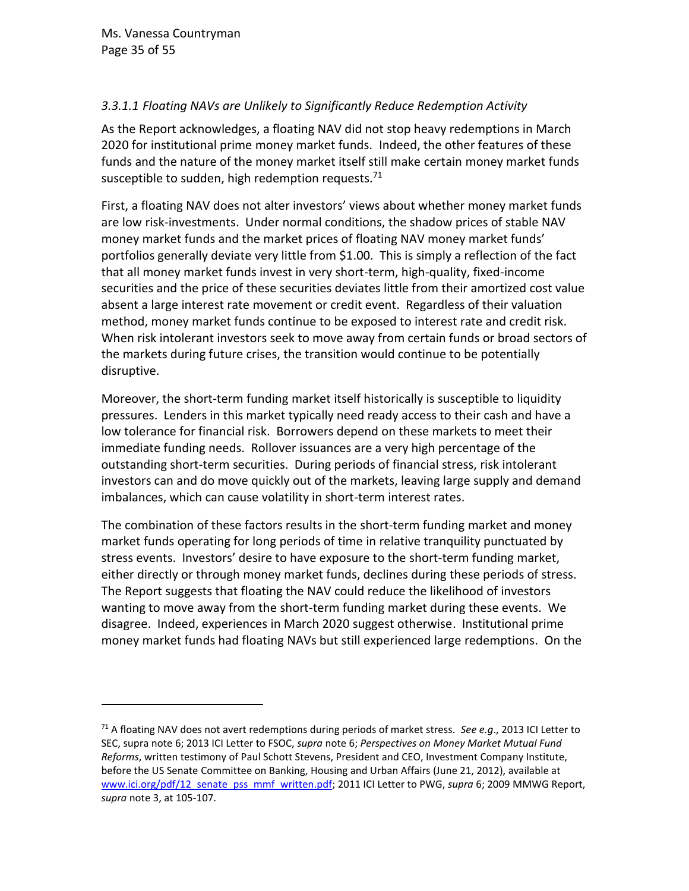## *3.3.1.1 Floating NAVs are Unlikely to Significantly Reduce Redemption Activity*

As the Report acknowledges, a floating NAV did not stop heavy redemptions in March 2020 for institutional prime money market funds. Indeed, the other features of these funds and the nature of the money market itself still make certain money market funds susceptible to sudden, high redemption requests.<sup>71</sup>

First, a floating NAV does not alter investors' views about whether money market funds are low risk-investments. Under normal conditions, the shadow prices of stable NAV money market funds and the market prices of floating NAV money market funds' portfolios generally deviate very little from \$1.00. This is simply a reflection of the fact that all money market funds invest in very short-term, high-quality, fixed-income securities and the price of these securities deviates little from their amortized cost value absent a large interest rate movement or credit event. Regardless of their valuation method, money market funds continue to be exposed to interest rate and credit risk. When risk intolerant investors seek to move away from certain funds or broad sectors of the markets during future crises, the transition would continue to be potentially disruptive.

Moreover, the short-term funding market itself historically is susceptible to liquidity pressures. Lenders in this market typically need ready access to their cash and have a low tolerance for financial risk. Borrowers depend on these markets to meet their immediate funding needs. Rollover issuances are a very high percentage of the outstanding short-term securities. During periods of financial stress, risk intolerant investors can and do move quickly out of the markets, leaving large supply and demand imbalances, which can cause volatility in short-term interest rates.

The combination of these factors results in the short-term funding market and money market funds operating for long periods of time in relative tranquility punctuated by stress events. Investors' desire to have exposure to the short-term funding market, either directly or through money market funds, declines during these periods of stress. The Report suggests that floating the NAV could reduce the likelihood of investors wanting to move away from the short-term funding market during these events. We disagree. Indeed, experiences in March 2020 suggest otherwise. Institutional prime money market funds had floating NAVs but still experienced large redemptions. On the

<sup>71</sup> A floating NAV does not avert redemptions during periods of market stress*. See e.g*., 2013 ICI Letter to SEC, supra note [6;](#page-2-0) 2013 ICI Letter to FSOC, *supra* note [6;](#page-2-0) *Perspectives on Money Market Mutual Fund Reforms*, written testimony of Paul Schott Stevens, President and CEO, Investment Company Institute, before the US Senate Committee on Banking, Housing and Urban Affairs (June 21, 2012), available at [www.ici.org/pdf/12\\_senate\\_pss\\_mmf\\_written.pdf;](http://www.ici.org/pdf/12_senate_pss_mmf_written.pdf) 2011 ICI Letter to PWG, *supra* [6;](#page-2-0) 2009 MMWG Report, *supra* note [3,](#page-1-0) at 105-107.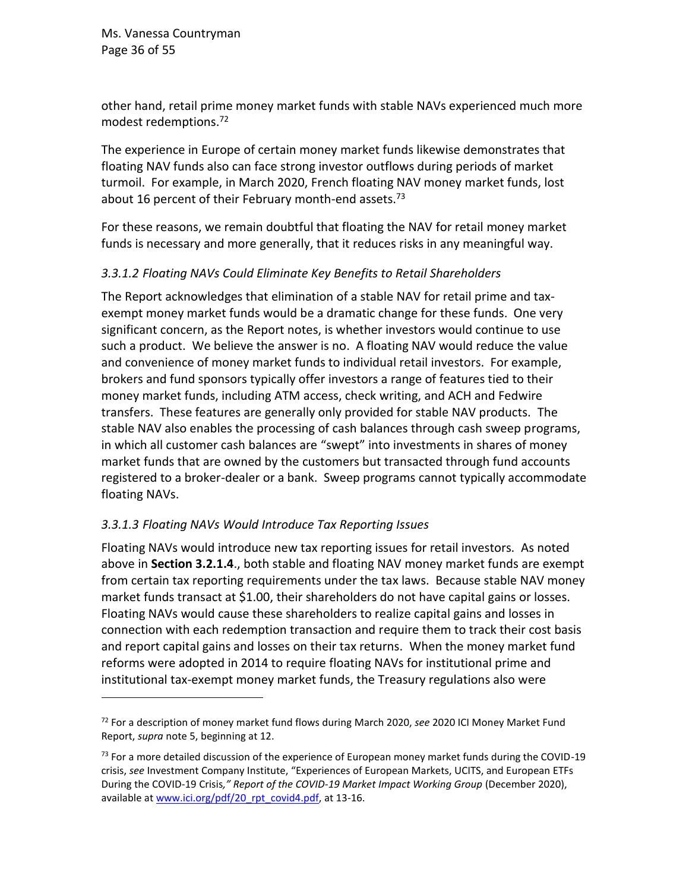Ms. Vanessa Countryman Page 36 of 55

other hand, retail prime money market funds with stable NAVs experienced much more modest redemptions.<sup>72</sup>

The experience in Europe of certain money market funds likewise demonstrates that floating NAV funds also can face strong investor outflows during periods of market turmoil. For example, in March 2020, French floating NAV money market funds, lost about 16 percent of their February month-end assets.<sup>73</sup>

For these reasons, we remain doubtful that floating the NAV for retail money market funds is necessary and more generally, that it reduces risks in any meaningful way.

#### *3.3.1.2 Floating NAVs Could Eliminate Key Benefits to Retail Shareholders*

The Report acknowledges that elimination of a stable NAV for retail prime and taxexempt money market funds would be a dramatic change for these funds. One very significant concern, as the Report notes, is whether investors would continue to use such a product. We believe the answer is no. A floating NAV would reduce the value and convenience of money market funds to individual retail investors. For example, brokers and fund sponsors typically offer investors a range of features tied to their money market funds, including ATM access, check writing, and ACH and Fedwire transfers. These features are generally only provided for stable NAV products. The stable NAV also enables the processing of cash balances through cash sweep programs, in which all customer cash balances are "swept" into investments in shares of money market funds that are owned by the customers but transacted through fund accounts registered to a broker-dealer or a bank. Sweep programs cannot typically accommodate floating NAVs.

### *3.3.1.3 Floating NAVs Would Introduce Tax Reporting Issues*

Floating NAVs would introduce new tax reporting issues for retail investors. As noted above in **Section 3.2.1.4**., both stable and floating NAV money market funds are exempt from certain tax reporting requirements under the tax laws. Because stable NAV money market funds transact at \$1.00, their shareholders do not have capital gains or losses. Floating NAVs would cause these shareholders to realize capital gains and losses in connection with each redemption transaction and require them to track their cost basis and report capital gains and losses on their tax returns. When the money market fund reforms were adopted in 2014 to require floating NAVs for institutional prime and institutional tax-exempt money market funds, the Treasury regulations also were

<sup>72</sup> For a description of money market fund flows during March 2020, *see* 2020 ICI Money Market Fund Report, *supra* note [5,](#page-1-1) beginning at 12.

 $^{73}$  For a more detailed discussion of the experience of European money market funds during the COVID-19 crisis, *see* Investment Company Institute, "Experiences of European Markets, UCITS, and European ETFs During the COVID-19 Crisis*," Report of the COVID-19 Market Impact Working Group* (December 2020), available a[t www.ici.org/pdf/20\\_rpt\\_covid4.pdf,](http://www.ici.org/pdf/20_rpt_covid4.pdf) at 13-16.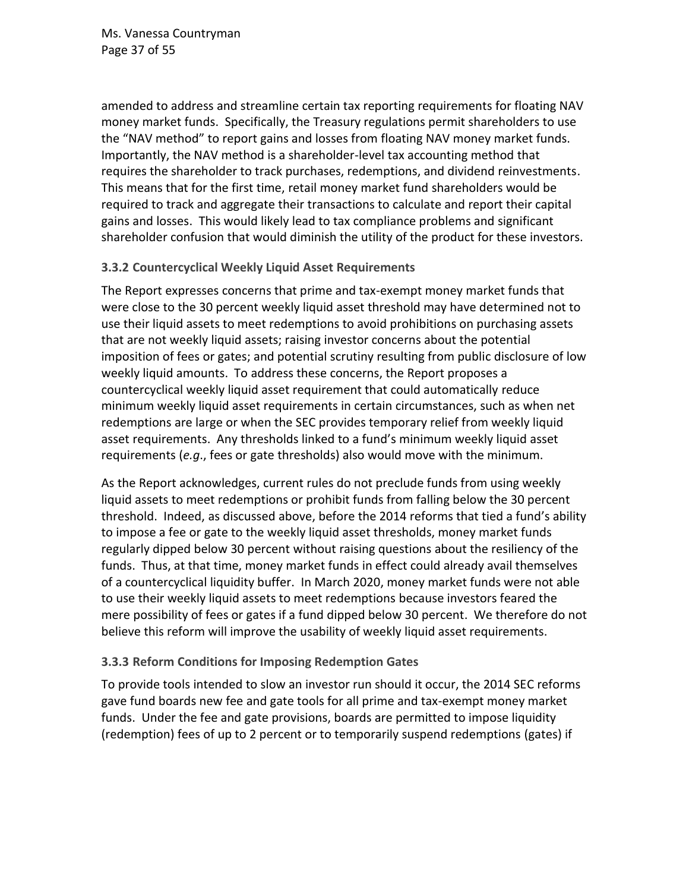Ms. Vanessa Countryman Page 37 of 55

amended to address and streamline certain tax reporting requirements for floating NAV money market funds. Specifically, the Treasury regulations permit shareholders to use the "NAV method" to report gains and losses from floating NAV money market funds. Importantly, the NAV method is a shareholder-level tax accounting method that requires the shareholder to track purchases, redemptions, and dividend reinvestments. This means that for the first time, retail money market fund shareholders would be required to track and aggregate their transactions to calculate and report their capital gains and losses. This would likely lead to tax compliance problems and significant shareholder confusion that would diminish the utility of the product for these investors.

#### <span id="page-36-0"></span>**3.3.2 Countercyclical Weekly Liquid Asset Requirements**

The Report expresses concerns that prime and tax-exempt money market funds that were close to the 30 percent weekly liquid asset threshold may have determined not to use their liquid assets to meet redemptions to avoid prohibitions on purchasing assets that are not weekly liquid assets; raising investor concerns about the potential imposition of fees or gates; and potential scrutiny resulting from public disclosure of low weekly liquid amounts. To address these concerns, the Report proposes a countercyclical weekly liquid asset requirement that could automatically reduce minimum weekly liquid asset requirements in certain circumstances, such as when net redemptions are large or when the SEC provides temporary relief from weekly liquid asset requirements. Any thresholds linked to a fund's minimum weekly liquid asset requirements (*e.g*., fees or gate thresholds) also would move with the minimum.

As the Report acknowledges, current rules do not preclude funds from using weekly liquid assets to meet redemptions or prohibit funds from falling below the 30 percent threshold. Indeed, as discussed above, before the 2014 reforms that tied a fund's ability to impose a fee or gate to the weekly liquid asset thresholds, money market funds regularly dipped below 30 percent without raising questions about the resiliency of the funds. Thus, at that time, money market funds in effect could already avail themselves of a countercyclical liquidity buffer. In March 2020, money market funds were not able to use their weekly liquid assets to meet redemptions because investors feared the mere possibility of fees or gates if a fund dipped below 30 percent. We therefore do not believe this reform will improve the usability of weekly liquid asset requirements.

### <span id="page-36-1"></span>**3.3.3 Reform Conditions for Imposing Redemption Gates**

To provide tools intended to slow an investor run should it occur, the 2014 SEC reforms gave fund boards new fee and gate tools for all prime and tax-exempt money market funds. Under the fee and gate provisions, boards are permitted to impose liquidity (redemption) fees of up to 2 percent or to temporarily suspend redemptions (gates) if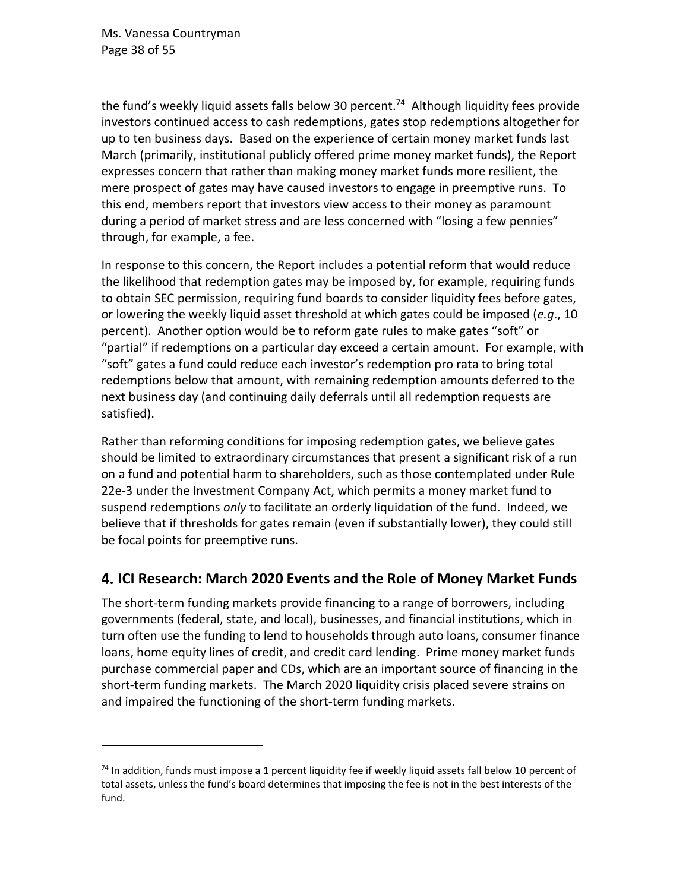the fund's weekly liquid assets falls below 30 percent.<sup>74</sup> Although liquidity fees provide investors continued access to cash redemptions, gates stop redemptions altogether for up to ten business days. Based on the experience of certain money market funds last March (primarily, institutional publicly offered prime money market funds), the Report expresses concern that rather than making money market funds more resilient, the mere prospect of gates may have caused investors to engage in preemptive runs. To this end, members report that investors view access to their money as paramount during a period of market stress and are less concerned with "losing a few pennies" through, for example, a fee.

In response to this concern, the Report includes a potential reform that would reduce the likelihood that redemption gates may be imposed by, for example, requiring funds to obtain SEC permission, requiring fund boards to consider liquidity fees before gates, or lowering the weekly liquid asset threshold at which gates could be imposed (*e.g*., 10 percent). Another option would be to reform gate rules to make gates "soft" or "partial" if redemptions on a particular day exceed a certain amount. For example, with "soft" gates a fund could reduce each investor's redemption pro rata to bring total redemptions below that amount, with remaining redemption amounts deferred to the next business day (and continuing daily deferrals until all redemption requests are satisfied).

Rather than reforming conditions for imposing redemption gates, we believe gates should be limited to extraordinary circumstances that present a significant risk of a run on a fund and potential harm to shareholders, such as those contemplated under Rule 22e-3 under the Investment Company Act, which permits a money market fund to suspend redemptions *only* to facilitate an orderly liquidation of the fund. Indeed, we believe that if thresholds for gates remain (even if substantially lower), they could still be focal points for preemptive runs.

# <span id="page-37-0"></span>**ICI Research: March 2020 Events and the Role of Money Market Funds**

The short-term funding markets provide financing to a range of borrowers, including governments (federal, state, and local), businesses, and financial institutions, which in turn often use the funding to lend to households through auto loans, consumer finance loans, home equity lines of credit, and credit card lending. Prime money market funds purchase commercial paper and CDs, which are an important source of financing in the short-term funding markets. The March 2020 liquidity crisis placed severe strains on and impaired the functioning of the short-term funding markets.

<sup>&</sup>lt;sup>74</sup> In addition, funds must impose a 1 percent liquidity fee if weekly liquid assets fall below 10 percent of total assets, unless the fund's board determines that imposing the fee is not in the best interests of the fund.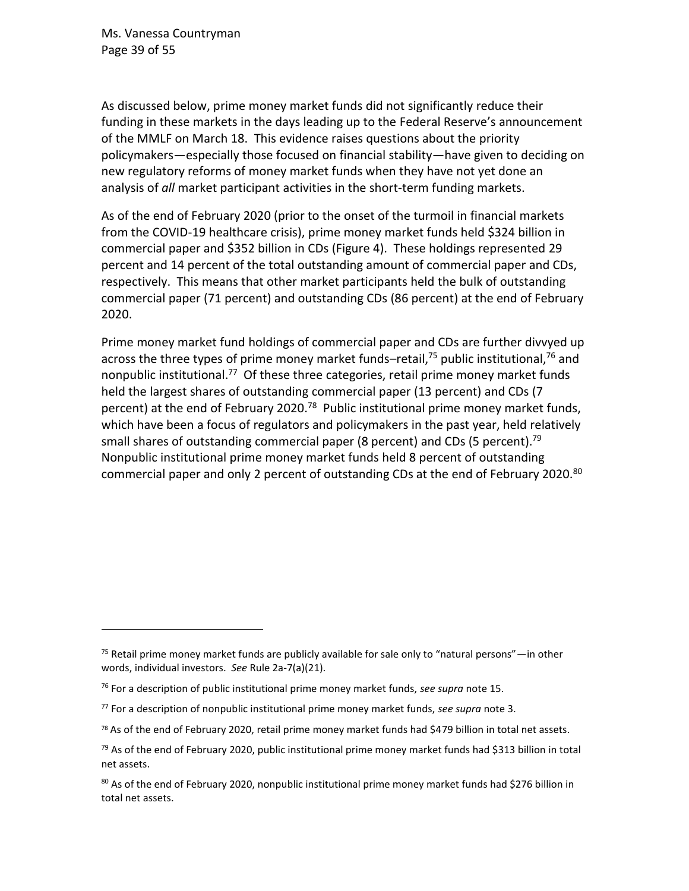Ms. Vanessa Countryman Page 39 of 55

As discussed below, prime money market funds did not significantly reduce their funding in these markets in the days leading up to the Federal Reserve's announcement of the MMLF on March 18. This evidence raises questions about the priority policymakers—especially those focused on financial stability—have given to deciding on new regulatory reforms of money market funds when they have not yet done an analysis of *all* market participant activities in the short-term funding markets.

As of the end of February 2020 (prior to the onset of the turmoil in financial markets from the COVID-19 healthcare crisis), prime money market funds held \$324 billion in commercial paper and \$352 billion in CDs (Figure 4). These holdings represented 29 percent and 14 percent of the total outstanding amount of commercial paper and CDs, respectively. This means that other market participants held the bulk of outstanding commercial paper (71 percent) and outstanding CDs (86 percent) at the end of February 2020.

Prime money market fund holdings of commercial paper and CDs are further divvyed up across the three types of prime money market funds–retail,<sup>75</sup> public institutional,<sup>76</sup> and nonpublic institutional.<sup>77</sup> Of these three categories, retail prime money market funds held the largest shares of outstanding commercial paper (13 percent) and CDs (7 percent) at the end of February 2020.<sup>78</sup> Public institutional prime money market funds, which have been a focus of regulators and policymakers in the past year, held relatively small shares of outstanding commercial paper (8 percent) and CDs (5 percent).<sup>79</sup> Nonpublic institutional prime money market funds held 8 percent of outstanding commercial paper and only 2 percent of outstanding CDs at the end of February 2020.<sup>80</sup>

 $75$  Retail prime money market funds are publicly available for sale only to "natural persons"—in other words, individual investors. *See* Rule 2a-7(a)(21).

<sup>76</sup> For a description of public institutional prime money market funds, *see supra* not[e 15.](#page-9-0)

<sup>77</sup> For a description of nonpublic institutional prime money market funds, *see supra* note [3.](#page-1-0)

<sup>78</sup> As of the end of February 2020, retail prime money market funds had \$479 billion in total net assets.

 $^{79}$  As of the end of February 2020, public institutional prime money market funds had \$313 billion in total net assets.

 $80$  As of the end of February 2020, nonpublic institutional prime money market funds had \$276 billion in total net assets.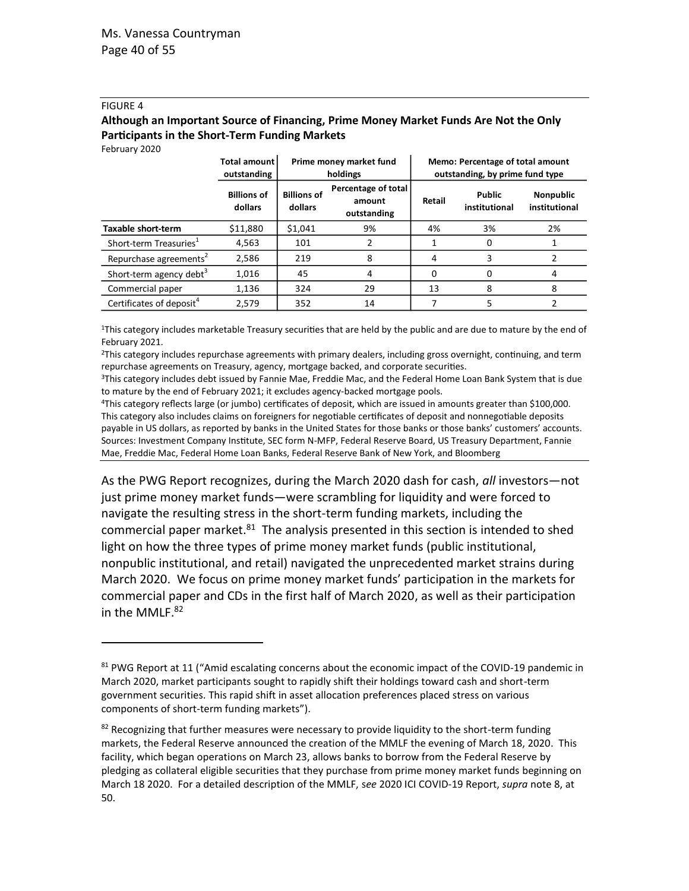#### FIGURE 4

#### **Although an Important Source of Financing, Prime Money Market Funds Are Not the Only Participants in the Short-Term Funding Markets**

February 2020

|                                      | Total amount<br>outstanding   | Prime money market fund<br>holdings |                                              | Memo: Percentage of total amount<br>outstanding, by prime fund type |                                |                                   |
|--------------------------------------|-------------------------------|-------------------------------------|----------------------------------------------|---------------------------------------------------------------------|--------------------------------|-----------------------------------|
|                                      | <b>Billions of</b><br>dollars | <b>Billions of</b><br>dollars       | Percentage of total<br>amount<br>outstanding | Retail                                                              | <b>Public</b><br>institutional | <b>Nonpublic</b><br>institutional |
| Taxable short-term                   | \$11,880                      | \$1,041                             | 9%                                           | 4%                                                                  | 3%                             | 2%                                |
| Short-term Treasuries <sup>1</sup>   | 4,563                         | 101                                 |                                              |                                                                     | 0                              |                                   |
| Repurchase agreements <sup>2</sup>   | 2,586                         | 219                                 | 8                                            | 4                                                                   | 3                              |                                   |
| Short-term agency debt <sup>3</sup>  | 1,016                         | 45                                  | 4                                            | 0                                                                   | 0                              | 4                                 |
| Commercial paper                     | 1,136                         | 324                                 | 29                                           | 13                                                                  | 8                              | 8                                 |
| Certificates of deposit <sup>4</sup> | 2.579                         | 352                                 | 14                                           |                                                                     |                                |                                   |

<sup>1</sup>This category includes marketable Treasury securities that are held by the public and are due to mature by the end of February 2021.

<sup>2</sup>This category includes repurchase agreements with primary dealers, including gross overnight, continuing, and term repurchase agreements on Treasury, agency, mortgage backed, and corporate securities.

<sup>3</sup>This category includes debt issued by Fannie Mae, Freddie Mac, and the Federal Home Loan Bank System that is due to mature by the end of February 2021; it excludes agency-backed mortgage pools.

<sup>4</sup>This category reflects large (or jumbo) certificates of deposit, which are issued in amounts greater than \$100,000. This category also includes claims on foreigners for negotiable certificates of deposit and nonnegotiable deposits payable in US dollars, as reported by banks in the United States for those banks or those banks' customers' accounts. Sources: Investment Company Institute, SEC form N-MFP, Federal Reserve Board, US Treasury Department, Fannie Mae, Freddie Mac, Federal Home Loan Banks, Federal Reserve Bank of New York, and Bloomberg

As the PWG Report recognizes, during the March 2020 dash for cash, *all* investors—not just prime money market funds—were scrambling for liquidity and were forced to navigate the resulting stress in the short-term funding markets, including the commercial paper market. $81$  The analysis presented in this section is intended to shed light on how the three types of prime money market funds (public institutional, nonpublic institutional, and retail) navigated the unprecedented market strains during March 2020. We focus on prime money market funds' participation in the markets for commercial paper and CDs in the first half of March 2020, as well as their participation in the MMLF. 82

<sup>81</sup> PWG Report at 11 ("Amid escalating concerns about the economic impact of the COVID-19 pandemic in March 2020, market participants sought to rapidly shift their holdings toward cash and short-term government securities. This rapid shift in asset allocation preferences placed stress on various components of short-term funding markets").

<sup>82</sup> Recognizing that further measures were necessary to provide liquidity to the short-term funding markets, the Federal Reserve announced the creation of the MMLF the evening of March 18, 2020. This facility, which began operations on March 23, allows banks to borrow from the Federal Reserve by pledging as collateral eligible securities that they purchase from prime money market funds beginning on March 18 2020. For a detailed description of the MMLF, s*ee* 2020 ICI COVID-19 Report, *supra* not[e 8,](#page-6-2) at 50.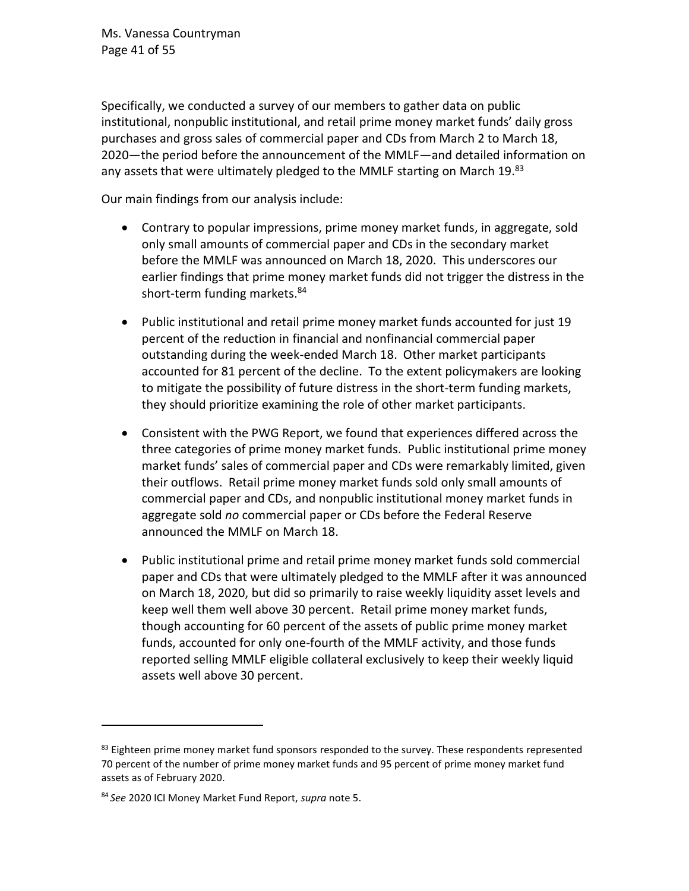Ms. Vanessa Countryman Page 41 of 55

Specifically, we conducted a survey of our members to gather data on public institutional, nonpublic institutional, and retail prime money market funds' daily gross purchases and gross sales of commercial paper and CDs from March 2 to March 18, 2020—the period before the announcement of the MMLF—and detailed information on any assets that were ultimately pledged to the MMLF starting on March 19.<sup>83</sup>

Our main findings from our analysis include:

- Contrary to popular impressions, prime money market funds, in aggregate, sold only small amounts of commercial paper and CDs in the secondary market before the MMLF was announced on March 18, 2020. This underscores our earlier findings that prime money market funds did not trigger the distress in the short-term funding markets.<sup>84</sup>
- Public institutional and retail prime money market funds accounted for just 19 percent of the reduction in financial and nonfinancial commercial paper outstanding during the week-ended March 18. Other market participants accounted for 81 percent of the decline. To the extent policymakers are looking to mitigate the possibility of future distress in the short-term funding markets, they should prioritize examining the role of other market participants.
- Consistent with the PWG Report, we found that experiences differed across the three categories of prime money market funds. Public institutional prime money market funds' sales of commercial paper and CDs were remarkably limited, given their outflows. Retail prime money market funds sold only small amounts of commercial paper and CDs, and nonpublic institutional money market funds in aggregate sold *no* commercial paper or CDs before the Federal Reserve announced the MMLF on March 18.
- Public institutional prime and retail prime money market funds sold commercial paper and CDs that were ultimately pledged to the MMLF after it was announced on March 18, 2020, but did so primarily to raise weekly liquidity asset levels and keep well them well above 30 percent. Retail prime money market funds, though accounting for 60 percent of the assets of public prime money market funds, accounted for only one-fourth of the MMLF activity, and those funds reported selling MMLF eligible collateral exclusively to keep their weekly liquid assets well above 30 percent.

 $83$  Eighteen prime money market fund sponsors responded to the survey. These respondents represented 70 percent of the number of prime money market funds and 95 percent of prime money market fund assets as of February 2020.

<sup>84</sup> *See* 2020 ICI Money Market Fund Report, *supra* not[e 5.](#page-1-1)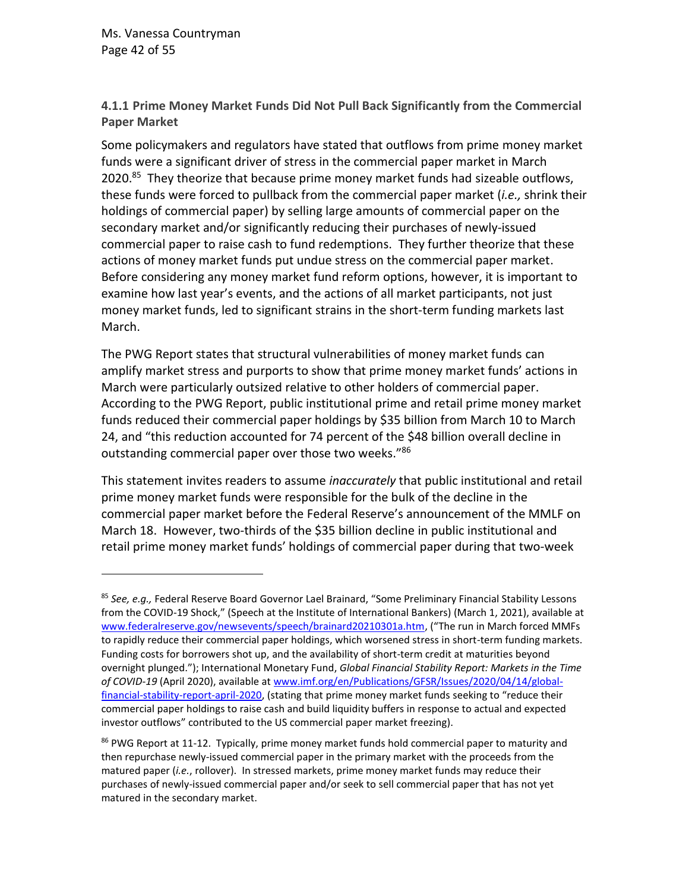**4.1.1 Prime Money Market Funds Did Not Pull Back Significantly from the Commercial Paper Market**

Some policymakers and regulators have stated that outflows from prime money market funds were a significant driver of stress in the commercial paper market in March 2020.<sup>85</sup> They theorize that because prime money market funds had sizeable outflows, these funds were forced to pullback from the commercial paper market (*i.e.,* shrink their holdings of commercial paper) by selling large amounts of commercial paper on the secondary market and/or significantly reducing their purchases of newly-issued commercial paper to raise cash to fund redemptions. They further theorize that these actions of money market funds put undue stress on the commercial paper market. Before considering any money market fund reform options, however, it is important to examine how last year's events, and the actions of all market participants, not just money market funds, led to significant strains in the short-term funding markets last March.

The PWG Report states that structural vulnerabilities of money market funds can amplify market stress and purports to show that prime money market funds' actions in March were particularly outsized relative to other holders of commercial paper. According to the PWG Report, public institutional prime and retail prime money market funds reduced their commercial paper holdings by \$35 billion from March 10 to March 24, and "this reduction accounted for 74 percent of the \$48 billion overall decline in outstanding commercial paper over those two weeks."<sup>86</sup>

This statement invites readers to assume *inaccurately* that public institutional and retail prime money market funds were responsible for the bulk of the decline in the commercial paper market before the Federal Reserve's announcement of the MMLF on March 18. However, two-thirds of the \$35 billion decline in public institutional and retail prime money market funds' holdings of commercial paper during that two-week

<sup>85</sup> *See, e.g.,* Federal Reserve Board Governor Lael Brainard, "Some Preliminary Financial Stability Lessons from the COVID-19 Shock," (Speech at the Institute of International Bankers) (March 1, 2021), available at [www.federalreserve.gov/newsevents/speech/brainard20210301a.htm,](http://www.federalreserve.gov/newsevents/speech/brainard20210301a.htm) ("The run in March forced MMFs to rapidly reduce their commercial paper holdings, which worsened stress in short-term funding markets. Funding costs for borrowers shot up, and the availability of short-term credit at maturities beyond overnight plunged."); International Monetary Fund, *Global Financial Stability Report: Markets in the Time of COVID-19* (April 2020), available at [www.imf.org/en/Publications/GFSR/Issues/2020/04/14/global](https://www.imf.org/en/Publications/GFSR/Issues/2020/04/14/global-financial-stability-report-april-2020)[financial-stability-report-april-2020,](https://www.imf.org/en/Publications/GFSR/Issues/2020/04/14/global-financial-stability-report-april-2020) (stating that prime money market funds seeking to "reduce their commercial paper holdings to raise cash and build liquidity buffers in response to actual and expected investor outflows" contributed to the US commercial paper market freezing).

<sup>&</sup>lt;sup>86</sup> PWG Report at 11-12. Typically, prime money market funds hold commercial paper to maturity and then repurchase newly-issued commercial paper in the primary market with the proceeds from the matured paper (*i.e.*, rollover). In stressed markets, prime money market funds may reduce their purchases of newly-issued commercial paper and/or seek to sell commercial paper that has not yet matured in the secondary market.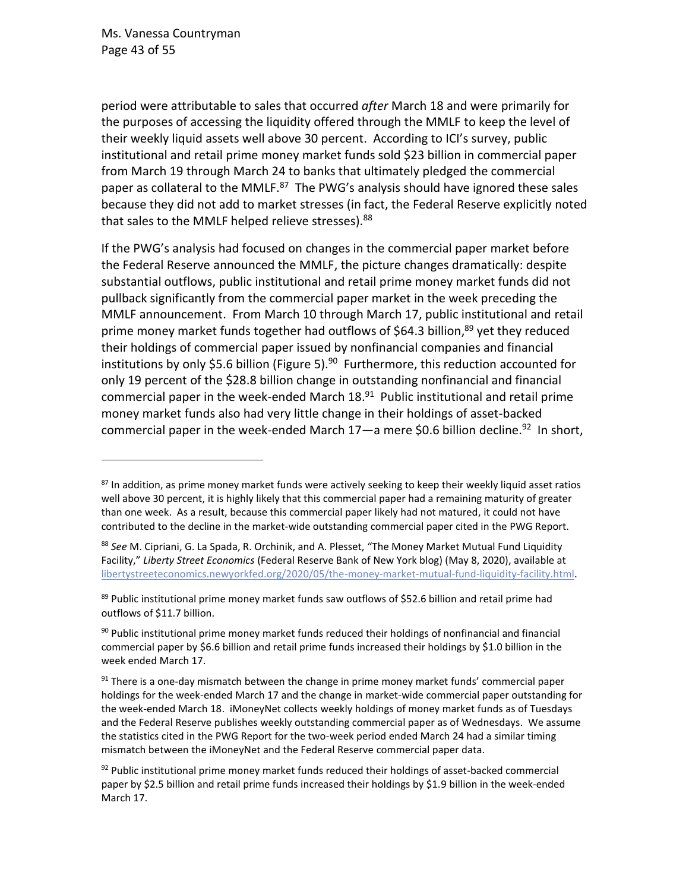Ms. Vanessa Countryman Page 43 of 55

period were attributable to sales that occurred *after* March 18 and were primarily for the purposes of accessing the liquidity offered through the MMLF to keep the level of their weekly liquid assets well above 30 percent. According to ICI's survey, public institutional and retail prime money market funds sold \$23 billion in commercial paper from March 19 through March 24 to banks that ultimately pledged the commercial paper as collateral to the MMLF. $87$  The PWG's analysis should have ignored these sales because they did not add to market stresses (in fact, the Federal Reserve explicitly noted that sales to the MMLF helped relieve stresses). <sup>88</sup>

If the PWG's analysis had focused on changes in the commercial paper market before the Federal Reserve announced the MMLF, the picture changes dramatically: despite substantial outflows, public institutional and retail prime money market funds did not pullback significantly from the commercial paper market in the week preceding the MMLF announcement. From March 10 through March 17, public institutional and retail prime money market funds together had outflows of \$64.3 billion,<sup>89</sup> yet they reduced their holdings of commercial paper issued by nonfinancial companies and financial institutions by only \$5.6 billion (Figure 5).<sup>90</sup> Furthermore, this reduction accounted for only 19 percent of the \$28.8 billion change in outstanding nonfinancial and financial commercial paper in the week-ended March 18.<sup>91</sup> Public institutional and retail prime money market funds also had very little change in their holdings of asset-backed commercial paper in the week-ended March  $17$ —a mere \$0.6 billion decline.<sup>92</sup> In short,

<sup>87</sup> In addition, as prime money market funds were actively seeking to keep their weekly liquid asset ratios well above 30 percent, it is highly likely that this commercial paper had a remaining maturity of greater than one week. As a result, because this commercial paper likely had not matured, it could not have contributed to the decline in the market-wide outstanding commercial paper cited in the PWG Report.

<sup>88</sup> *See* M. Cipriani, G. La Spada, R. Orchinik, and A. Plesset, "The Money Market Mutual Fund Liquidity Facility," *Liberty Street Economics* (Federal Reserve Bank of New York blog) (May 8, 2020), available at [libertystreeteconomics.newyorkfed.org/2020/05/the-money-market-mutual-fund-liquidity-facility.html.](https://libertystreeteconomics.newyorkfed.org/2020/05/the-money-market-mutual-fund-liquidity-facility.html)

<sup>&</sup>lt;sup>89</sup> Public institutional prime money market funds saw outflows of \$52.6 billion and retail prime had outflows of \$11.7 billion.

 $90$  Public institutional prime money market funds reduced their holdings of nonfinancial and financial commercial paper by \$6.6 billion and retail prime funds increased their holdings by \$1.0 billion in the week ended March 17.

 $91$  There is a one-day mismatch between the change in prime money market funds' commercial paper holdings for the week-ended March 17 and the change in market-wide commercial paper outstanding for the week-ended March 18. iMoneyNet collects weekly holdings of money market funds as of Tuesdays and the Federal Reserve publishes weekly outstanding commercial paper as of Wednesdays. We assume the statistics cited in the PWG Report for the two-week period ended March 24 had a similar timing mismatch between the iMoneyNet and the Federal Reserve commercial paper data.

 $92$  Public institutional prime money market funds reduced their holdings of asset-backed commercial paper by \$2.5 billion and retail prime funds increased their holdings by \$1.9 billion in the week-ended March 17.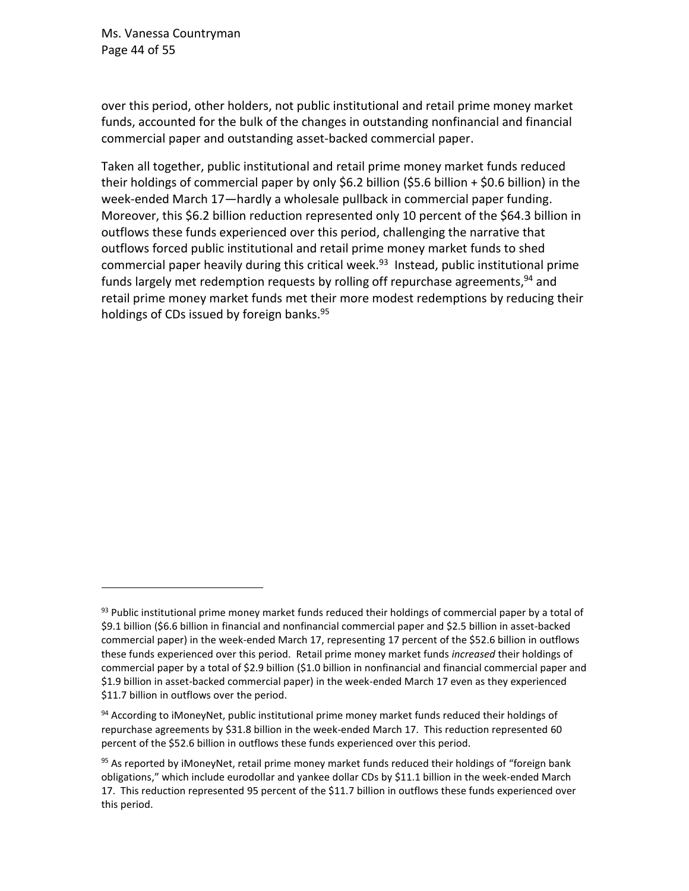Ms. Vanessa Countryman Page 44 of 55

over this period, other holders, not public institutional and retail prime money market funds, accounted for the bulk of the changes in outstanding nonfinancial and financial commercial paper and outstanding asset-backed commercial paper.

Taken all together, public institutional and retail prime money market funds reduced their holdings of commercial paper by only \$6.2 billion (\$5.6 billion + \$0.6 billion) in the week-ended March 17—hardly a wholesale pullback in commercial paper funding. Moreover, this \$6.2 billion reduction represented only 10 percent of the \$64.3 billion in outflows these funds experienced over this period, challenging the narrative that outflows forced public institutional and retail prime money market funds to shed commercial paper heavily during this critical week. <sup>93</sup> Instead, public institutional prime funds largely met redemption requests by rolling off repurchase agreements,<sup>94</sup> and retail prime money market funds met their more modest redemptions by reducing their holdings of CDs issued by foreign banks.<sup>95</sup>

<sup>93</sup> Public institutional prime money market funds reduced their holdings of commercial paper by a total of \$9.1 billion (\$6.6 billion in financial and nonfinancial commercial paper and \$2.5 billion in asset-backed commercial paper) in the week-ended March 17, representing 17 percent of the \$52.6 billion in outflows these funds experienced over this period. Retail prime money market funds *increased* their holdings of commercial paper by a total of \$2.9 billion (\$1.0 billion in nonfinancial and financial commercial paper and \$1.9 billion in asset-backed commercial paper) in the week-ended March 17 even as they experienced \$11.7 billion in outflows over the period.

<sup>&</sup>lt;sup>94</sup> According to iMoneyNet, public institutional prime money market funds reduced their holdings of repurchase agreements by \$31.8 billion in the week-ended March 17. This reduction represented 60 percent of the \$52.6 billion in outflows these funds experienced over this period.

<sup>&</sup>lt;sup>95</sup> As reported by iMoneyNet, retail prime money market funds reduced their holdings of "foreign bank obligations," which include eurodollar and yankee dollar CDs by \$11.1 billion in the week-ended March 17. This reduction represented 95 percent of the \$11.7 billion in outflows these funds experienced over this period.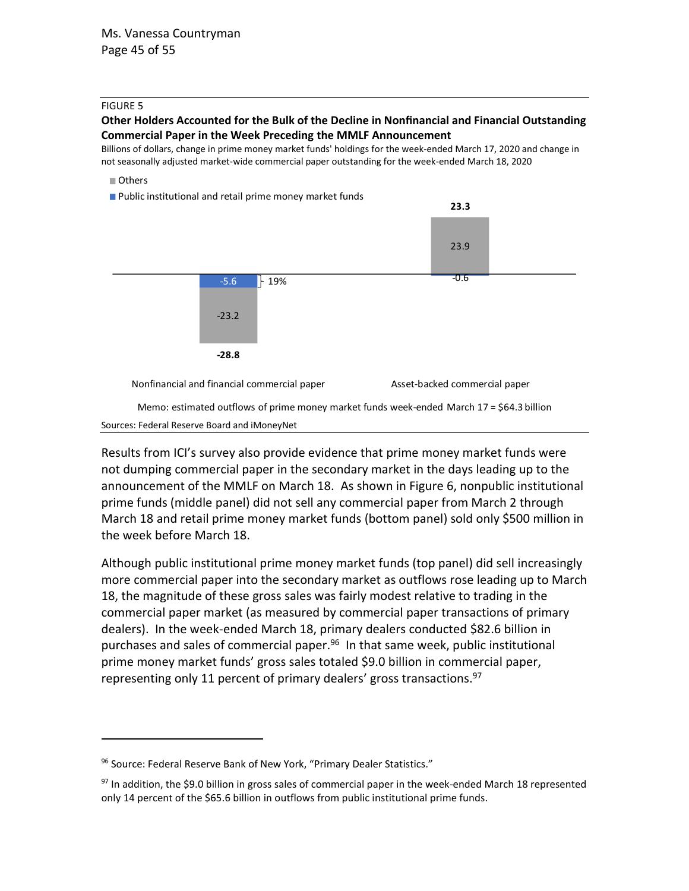#### FIGURE 5

#### **Other Holders Accounted for the Bulk of the Decline in Nonfinancial and Financial Outstanding Commercial Paper in the Week Preceding the MMLF Announcement**

Billions of dollars, change in prime money market funds' holdings for the week-ended March 17, 2020 and change in not seasonally adjusted market-wide commercial paper outstanding for the week-ended March 18, 2020

#### Others

**Public institutional and retail prime money market funds** 



Results from ICI's survey also provide evidence that prime money market funds were not dumping commercial paper in the secondary market in the days leading up to the announcement of the MMLF on March 18. As shown in Figure 6, nonpublic institutional prime funds (middle panel) did not sell any commercial paper from March 2 through March 18 and retail prime money market funds (bottom panel) sold only \$500 million in the week before March 18.

Although public institutional prime money market funds (top panel) did sell increasingly more commercial paper into the secondary market as outflows rose leading up to March 18, the magnitude of these gross sales was fairly modest relative to trading in the commercial paper market (as measured by commercial paper transactions of primary dealers). In the week-ended March 18, primary dealers conducted \$82.6 billion in purchases and sales of commercial paper. <sup>96</sup> In that same week, public institutional prime money market funds' gross sales totaled \$9.0 billion in commercial paper, representing only 11 percent of primary dealers' gross transactions.<sup>97</sup>

<sup>96</sup> Source: Federal Reserve Bank of New York, "Primary Dealer Statistics."

 $97$  In addition, the \$9.0 billion in gross sales of commercial paper in the week-ended March 18 represented only 14 percent of the \$65.6 billion in outflows from public institutional prime funds.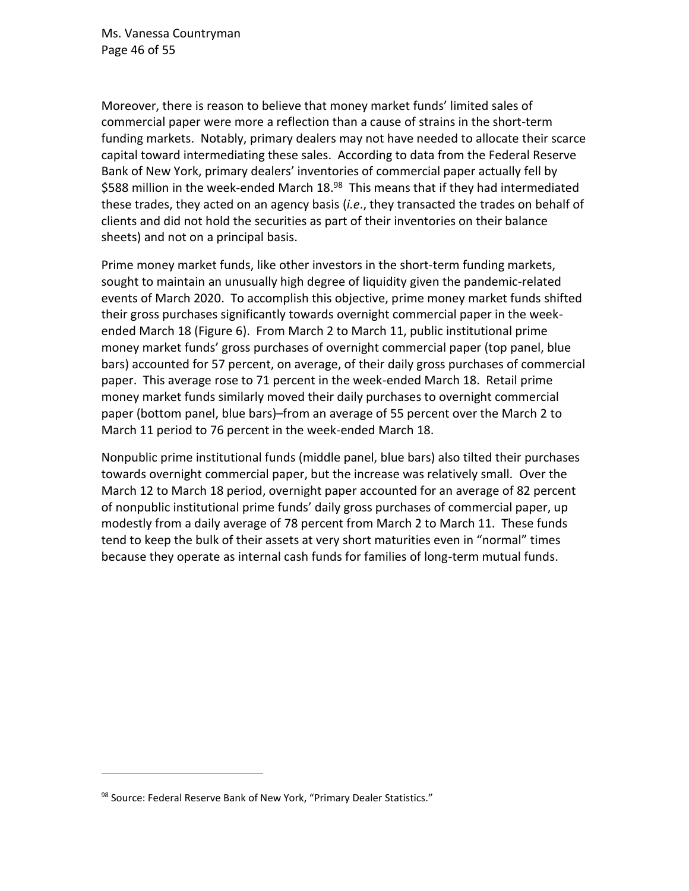Ms. Vanessa Countryman Page 46 of 55

Moreover, there is reason to believe that money market funds' limited sales of commercial paper were more a reflection than a cause of strains in the short-term funding markets. Notably, primary dealers may not have needed to allocate their scarce capital toward intermediating these sales. According to data from the Federal Reserve Bank of New York, primary dealers' inventories of commercial paper actually fell by \$588 million in the week-ended March 18.<sup>98</sup> This means that if they had intermediated these trades, they acted on an agency basis (*i.e*., they transacted the trades on behalf of clients and did not hold the securities as part of their inventories on their balance sheets) and not on a principal basis.

Prime money market funds, like other investors in the short-term funding markets, sought to maintain an unusually high degree of liquidity given the pandemic-related events of March 2020. To accomplish this objective, prime money market funds shifted their gross purchases significantly towards overnight commercial paper in the weekended March 18 (Figure 6). From March 2 to March 11, public institutional prime money market funds' gross purchases of overnight commercial paper (top panel, blue bars) accounted for 57 percent, on average, of their daily gross purchases of commercial paper. This average rose to 71 percent in the week-ended March 18. Retail prime money market funds similarly moved their daily purchases to overnight commercial paper (bottom panel, blue bars)–from an average of 55 percent over the March 2 to March 11 period to 76 percent in the week-ended March 18.

Nonpublic prime institutional funds (middle panel, blue bars) also tilted their purchases towards overnight commercial paper, but the increase was relatively small. Over the March 12 to March 18 period, overnight paper accounted for an average of 82 percent of nonpublic institutional prime funds' daily gross purchases of commercial paper, up modestly from a daily average of 78 percent from March 2 to March 11. These funds tend to keep the bulk of their assets at very short maturities even in "normal" times because they operate as internal cash funds for families of long-term mutual funds.

<sup>98</sup> Source: Federal Reserve Bank of New York, "Primary Dealer Statistics."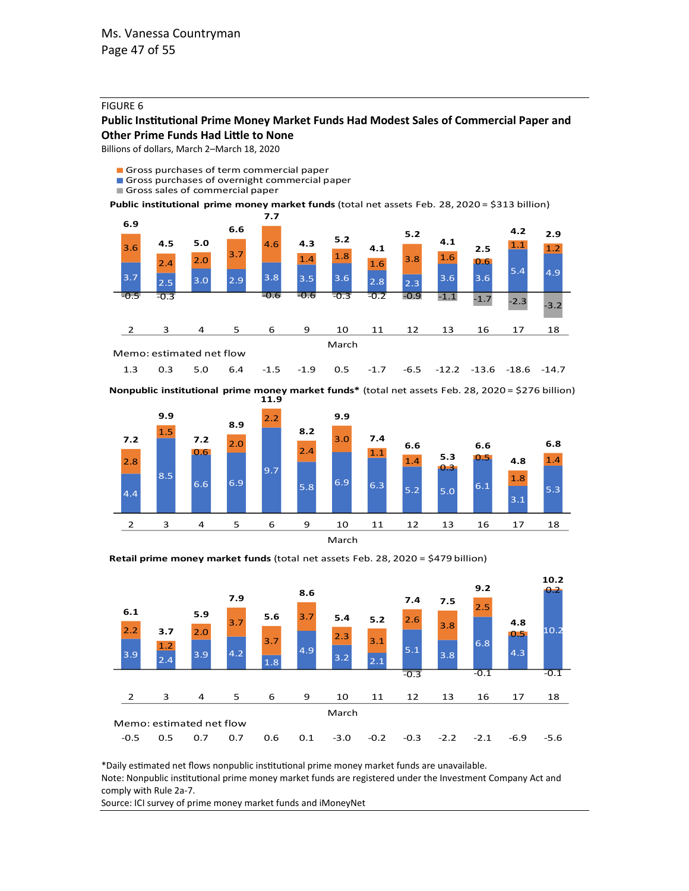#### FIGURE 6

#### **Public Institutional Prime Money Market Funds Had Modest Sales of Commercial Paper and Other Prime Funds Had Little to None**

Billions of dollars, March 2–March 18, 2020

Gross purchases of term commercial paper

- Gross purchases of overnight commercial paper
- Gross sales of commercial paper

**Public institutional prime money market funds** (total net assets Feb. 28, 2020 = \$313 billion)



1.3 0.3 5.0 6.4 -1.5 -1.9 0.5 -1.7 -6.5 -12.2 -13.6 -18.6 -14.7

**11.9 Nonpublic institutional prime money market funds\*** (total net assets Feb. 28, 2020 = \$276 billion)



**Retail prime money market funds** (total net assets Feb. 28, 2020 = \$479 billion)



\*Daily estimated net flows nonpublic institutional prime money market funds are unavailable. Note: Nonpublic institutional prime money market funds are registered under the Investment Company Act and comply with Rule 2a-7.

Source: ICI survey of prime money market funds and iMoneyNet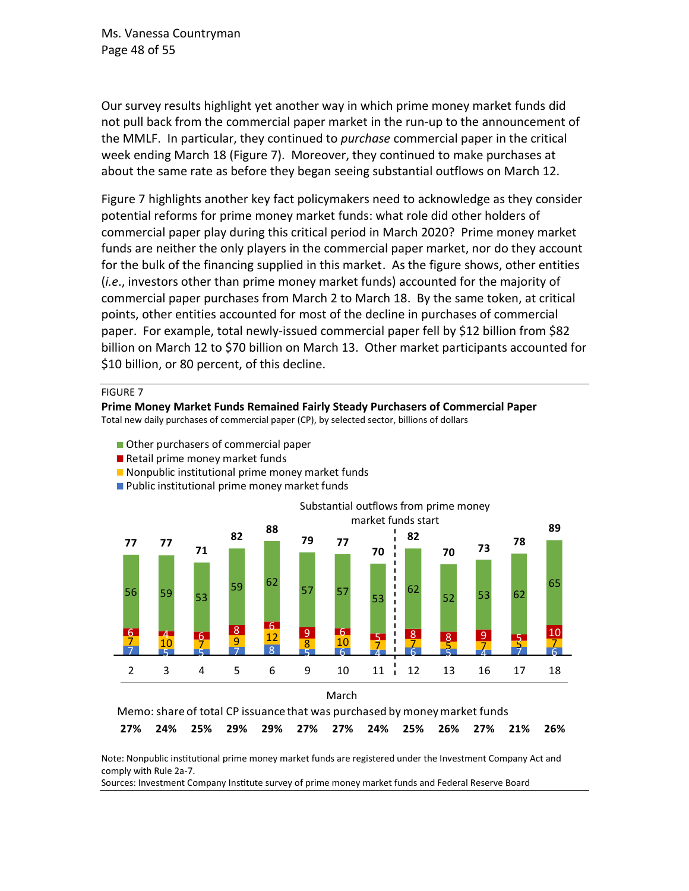Ms. Vanessa Countryman Page 48 of 55

Our survey results highlight yet another way in which prime money market funds did not pull back from the commercial paper market in the run-up to the announcement of the MMLF. In particular, they continued to *purchase* commercial paper in the critical week ending March 18 (Figure 7). Moreover, they continued to make purchases at about the same rate as before they began seeing substantial outflows on March 12.

Figure 7 highlights another key fact policymakers need to acknowledge as they consider potential reforms for prime money market funds: what role did other holders of commercial paper play during this critical period in March 2020? Prime money market funds are neither the only players in the commercial paper market, nor do they account for the bulk of the financing supplied in this market. As the figure shows, other entities (*i.e*., investors other than prime money market funds) accounted for the majority of commercial paper purchases from March 2 to March 18. By the same token, at critical points, other entities accounted for most of the decline in purchases of commercial paper. For example, total newly-issued commercial paper fell by \$12 billion from \$82 billion on March 12 to \$70 billion on March 13. Other market participants accounted for \$10 billion, or 80 percent, of this decline.

FIGURE 7

**Prime Money Market Funds Remained Fairly Steady Purchasers of Commercial Paper**

Total new daily purchases of commercial paper (CP), by selected sector, billions of dollars

- Other purchasers of commercial paper
- Retail prime money market funds
- Nonpublic institutional prime money market funds





**27% 24% 25% 29% 29% 27% 27% 24% 25% 26% 27% 21% 26%** Memo: share of total CP issuance that was purchased by money market funds

Note: Nonpublic institutional prime money market funds are registered under the Investment Company Act and comply with Rule 2a-7.

Sources: Investment Company Institute survey of prime money market funds and Federal Reserve Board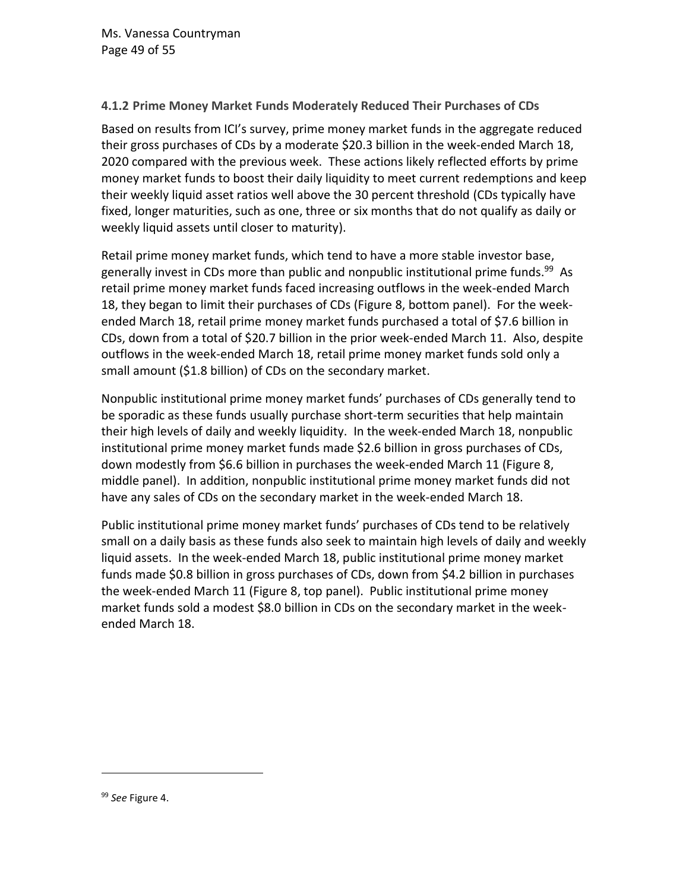## **4.1.2 Prime Money Market Funds Moderately Reduced Their Purchases of CDs**

Based on results from ICI's survey, prime money market funds in the aggregate reduced their gross purchases of CDs by a moderate \$20.3 billion in the week-ended March 18, 2020 compared with the previous week. These actions likely reflected efforts by prime money market funds to boost their daily liquidity to meet current redemptions and keep their weekly liquid asset ratios well above the 30 percent threshold (CDs typically have fixed, longer maturities, such as one, three or six months that do not qualify as daily or weekly liquid assets until closer to maturity).

Retail prime money market funds, which tend to have a more stable investor base, generally invest in CDs more than public and nonpublic institutional prime funds.<sup>99</sup> As retail prime money market funds faced increasing outflows in the week-ended March 18, they began to limit their purchases of CDs (Figure 8, bottom panel). For the weekended March 18, retail prime money market funds purchased a total of \$7.6 billion in CDs, down from a total of \$20.7 billion in the prior week-ended March 11. Also, despite outflows in the week-ended March 18, retail prime money market funds sold only a small amount (\$1.8 billion) of CDs on the secondary market.

Nonpublic institutional prime money market funds' purchases of CDs generally tend to be sporadic as these funds usually purchase short-term securities that help maintain their high levels of daily and weekly liquidity. In the week-ended March 18, nonpublic institutional prime money market funds made \$2.6 billion in gross purchases of CDs, down modestly from \$6.6 billion in purchases the week-ended March 11 (Figure 8, middle panel). In addition, nonpublic institutional prime money market funds did not have any sales of CDs on the secondary market in the week-ended March 18.

Public institutional prime money market funds' purchases of CDs tend to be relatively small on a daily basis as these funds also seek to maintain high levels of daily and weekly liquid assets. In the week-ended March 18, public institutional prime money market funds made \$0.8 billion in gross purchases of CDs, down from \$4.2 billion in purchases the week-ended March 11 (Figure 8, top panel). Public institutional prime money market funds sold a modest \$8.0 billion in CDs on the secondary market in the weekended March 18.

<sup>99</sup> *See* Figure 4.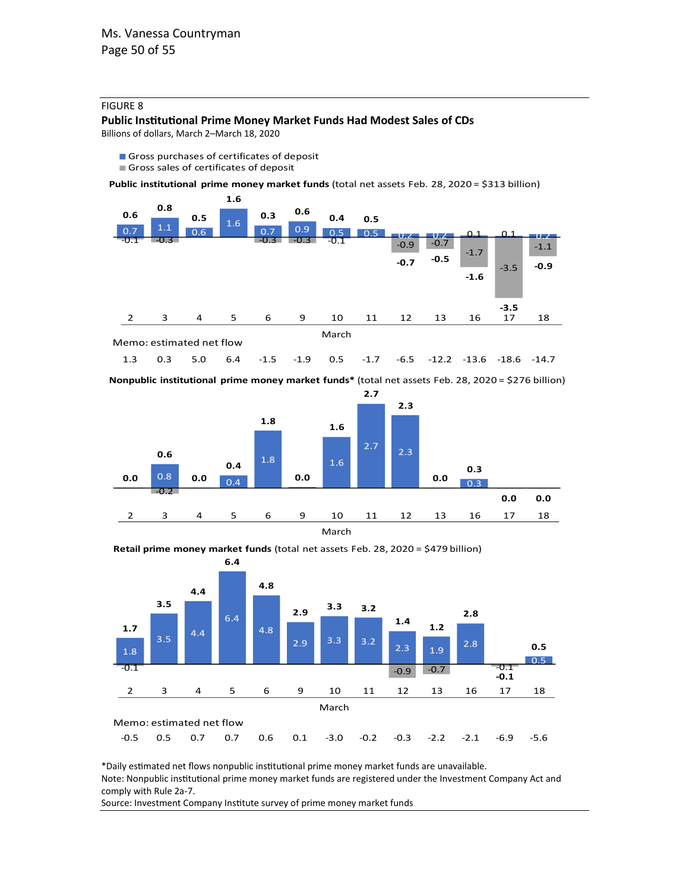#### FIGURE 8

#### **Public Institutional Prime Money Market Funds Had Modest Sales of CDs**

Billions of dollars, March 2–March 18, 2020

- Gross purchases of certificates of deposit
- Gross sales of certificates of deposit

**Public institutional prime money market funds** (total net assets Feb. 28, 2020 = \$313 billion)





**Nonpublic institutional prime money market funds\*** (total net assets Feb. 28, 2020 = \$276 billion)



**Retail prime money market funds** (total net assets Feb. 28, 2020 = \$479 billion)



\*Daily estimated net flows nonpublic institutional prime money market funds are unavailable. Note: Nonpublic institutional prime money market funds are registered under the Investment Company Act and comply with Rule 2a-7.

Source: Investment Company Institute survey of prime money market funds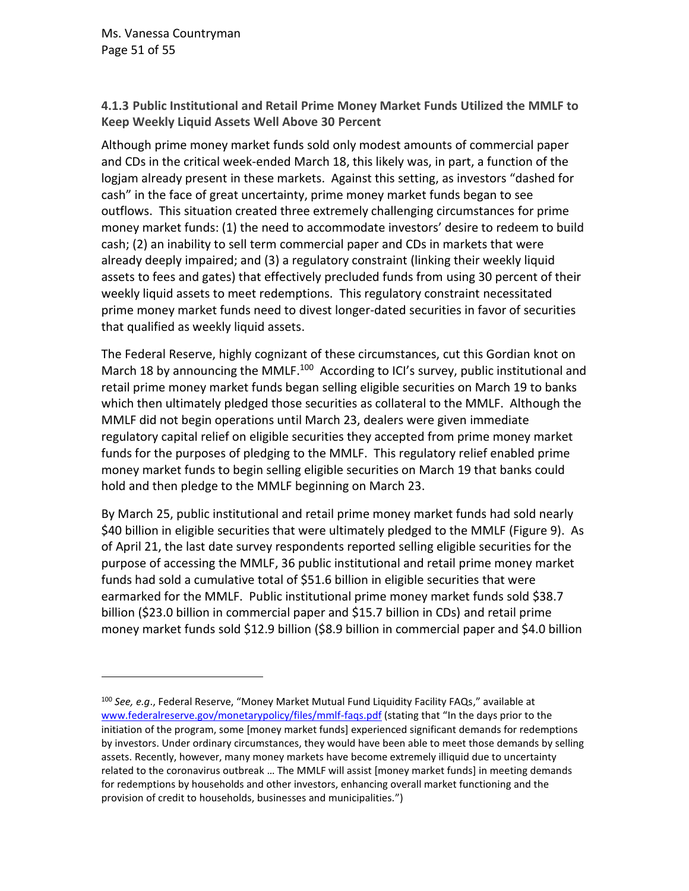Ms. Vanessa Countryman Page 51 of 55

**4.1.3 Public Institutional and Retail Prime Money Market Funds Utilized the MMLF to Keep Weekly Liquid Assets Well Above 30 Percent**

Although prime money market funds sold only modest amounts of commercial paper and CDs in the critical week-ended March 18, this likely was, in part, a function of the logjam already present in these markets. Against this setting, as investors "dashed for cash" in the face of great uncertainty, prime money market funds began to see outflows. This situation created three extremely challenging circumstances for prime money market funds: (1) the need to accommodate investors' desire to redeem to build cash; (2) an inability to sell term commercial paper and CDs in markets that were already deeply impaired; and (3) a regulatory constraint (linking their weekly liquid assets to fees and gates) that effectively precluded funds from using 30 percent of their weekly liquid assets to meet redemptions. This regulatory constraint necessitated prime money market funds need to divest longer-dated securities in favor of securities that qualified as weekly liquid assets.

The Federal Reserve, highly cognizant of these circumstances, cut this Gordian knot on March 18 by announcing the MMLF.<sup>100</sup> According to ICI's survey, public institutional and retail prime money market funds began selling eligible securities on March 19 to banks which then ultimately pledged those securities as collateral to the MMLF. Although the MMLF did not begin operations until March 23, dealers were given immediate regulatory capital relief on eligible securities they accepted from prime money market funds for the purposes of pledging to the MMLF. This regulatory relief enabled prime money market funds to begin selling eligible securities on March 19 that banks could hold and then pledge to the MMLF beginning on March 23.

By March 25, public institutional and retail prime money market funds had sold nearly \$40 billion in eligible securities that were ultimately pledged to the MMLF (Figure 9). As of April 21, the last date survey respondents reported selling eligible securities for the purpose of accessing the MMLF, 36 public institutional and retail prime money market funds had sold a cumulative total of \$51.6 billion in eligible securities that were earmarked for the MMLF. Public institutional prime money market funds sold \$38.7 billion (\$23.0 billion in commercial paper and \$15.7 billion in CDs) and retail prime money market funds sold \$12.9 billion (\$8.9 billion in commercial paper and \$4.0 billion

<sup>100</sup> *See, e.g*., Federal Reserve, "Money Market Mutual Fund Liquidity Facility FAQs," available at [www.federalreserve.gov/monetarypolicy/files/mmlf-faqs.pdf](http://www.federalreserve.gov/monetarypolicy/files/mmlf-faqs.pdf) (stating that "In the days prior to the initiation of the program, some [money market funds] experienced significant demands for redemptions by investors. Under ordinary circumstances, they would have been able to meet those demands by selling assets. Recently, however, many money markets have become extremely illiquid due to uncertainty related to the coronavirus outbreak … The MMLF will assist [money market funds] in meeting demands for redemptions by households and other investors, enhancing overall market functioning and the provision of credit to households, businesses and municipalities.")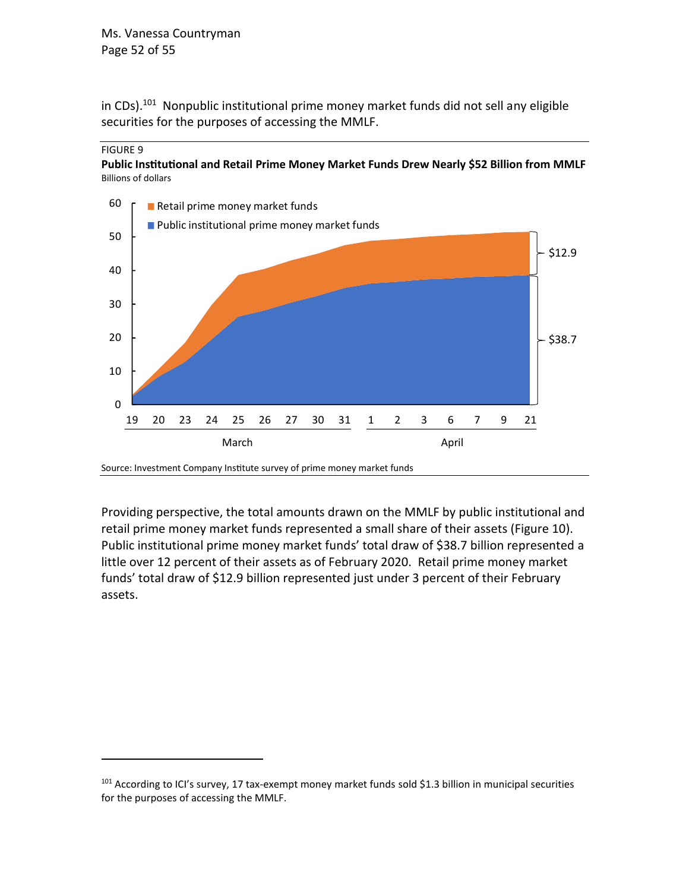in CDs).<sup>101</sup> Nonpublic institutional prime money market funds did not sell any eligible securities for the purposes of accessing the MMLF.



**Public Institutional and Retail Prime Money Market Funds Drew Nearly \$52 Billion from MMLF** Billions of dollars



Source: Investment Company Institute survey of prime money market funds

Providing perspective, the total amounts drawn on the MMLF by public institutional and retail prime money market funds represented a small share of their assets (Figure 10). Public institutional prime money market funds' total draw of \$38.7 billion represented a little over 12 percent of their assets as of February 2020. Retail prime money market funds' total draw of \$12.9 billion represented just under 3 percent of their February assets.

<sup>&</sup>lt;sup>101</sup> According to ICI's survey, 17 tax-exempt money market funds sold \$1.3 billion in municipal securities for the purposes of accessing the MMLF.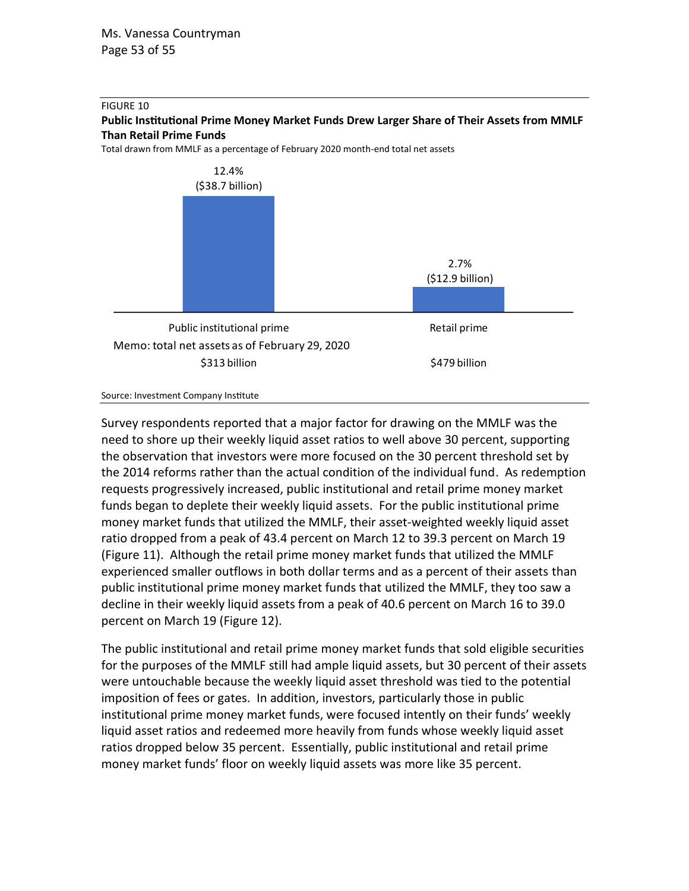

**Public Institutional Prime Money Market Funds Drew Larger Share of Their Assets from MMLF Than Retail Prime Funds**

Total drawn from MMLF as a percentage of February 2020 month-end total net assets



Source: Investment Company Institute

Survey respondents reported that a major factor for drawing on the MMLF was the need to shore up their weekly liquid asset ratios to well above 30 percent, supporting the observation that investors were more focused on the 30 percent threshold set by the 2014 reforms rather than the actual condition of the individual fund. As redemption requests progressively increased, public institutional and retail prime money market funds began to deplete their weekly liquid assets. For the public institutional prime money market funds that utilized the MMLF, their asset-weighted weekly liquid asset ratio dropped from a peak of 43.4 percent on March 12 to 39.3 percent on March 19 (Figure 11). Although the retail prime money market funds that utilized the MMLF experienced smaller outflows in both dollar terms and as a percent of their assets than public institutional prime money market funds that utilized the MMLF, they too saw a decline in their weekly liquid assets from a peak of 40.6 percent on March 16 to 39.0 percent on March 19 (Figure 12).

The public institutional and retail prime money market funds that sold eligible securities for the purposes of the MMLF still had ample liquid assets, but 30 percent of their assets were untouchable because the weekly liquid asset threshold was tied to the potential imposition of fees or gates. In addition, investors, particularly those in public institutional prime money market funds, were focused intently on their funds' weekly liquid asset ratios and redeemed more heavily from funds whose weekly liquid asset ratios dropped below 35 percent. Essentially, public institutional and retail prime money market funds' floor on weekly liquid assets was more like 35 percent.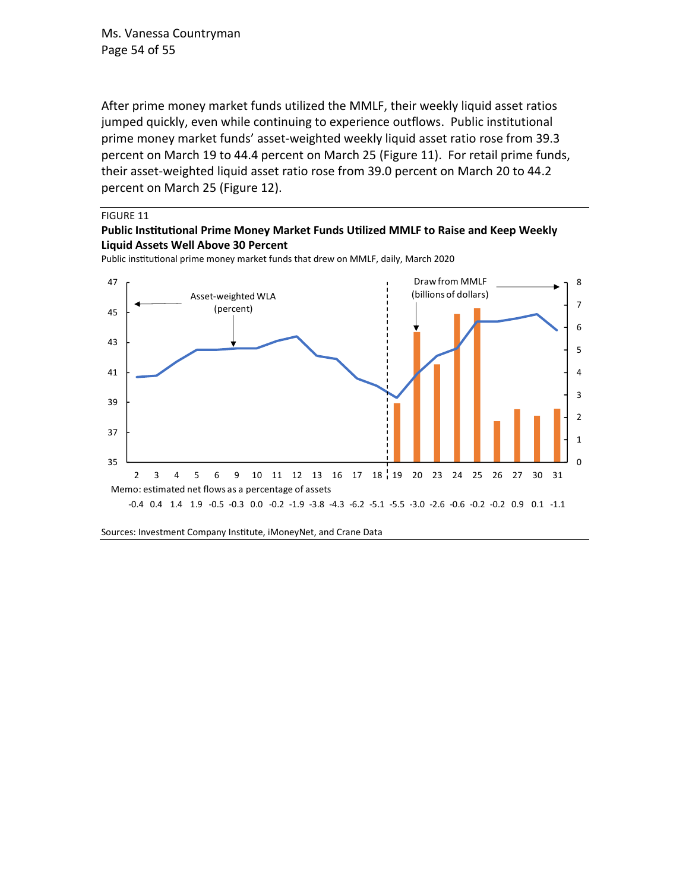Ms. Vanessa Countryman Page 54 of 55

After prime money market funds utilized the MMLF, their weekly liquid asset ratios jumped quickly, even while continuing to experience outflows. Public institutional prime money market funds' asset-weighted weekly liquid asset ratio rose from 39.3 percent on March 19 to 44.4 percent on March 25 (Figure 11). For retail prime funds, their asset-weighted liquid asset ratio rose from 39.0 percent on March 20 to 44.2 percent on March 25 (Figure 12).

#### FIGURE 11

#### **Public Institutional Prime Money Market Funds Utilized MMLF to Raise and Keep Weekly Liquid Assets Well Above 30 Percent**

Public institutional prime money market funds that drew on MMLF, daily, March 2020